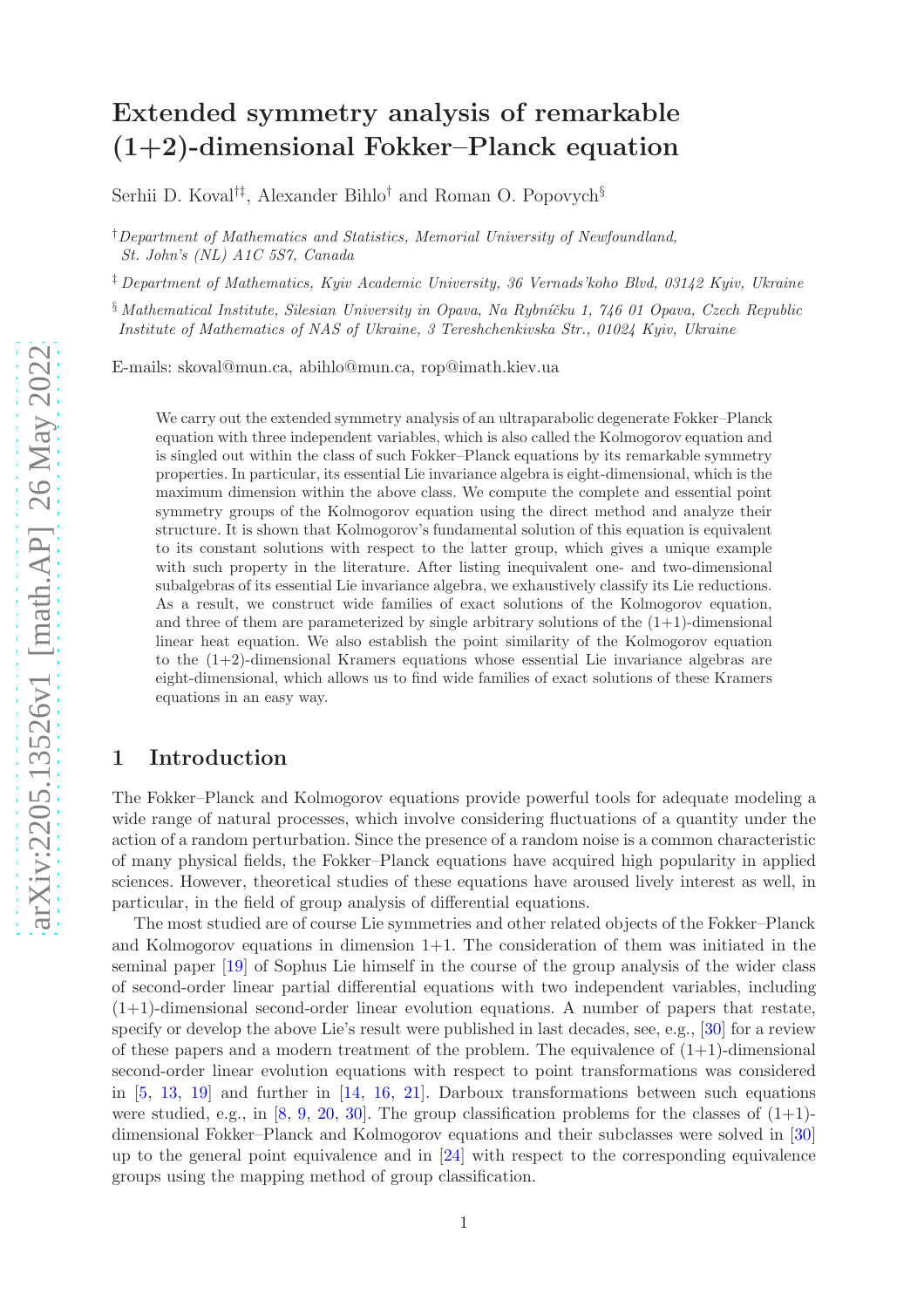# Extended symmetry analysis of remarkable (1+2)-dimensional Fokker–Planck equation

Serhii D. Koval†‡, Alexander Bihlo† and Roman O. Popovych§

†Department of Mathematics and Statistics, Memorial University of Newfoundland, St. John's (NL) A1C 5S7, Canada

‡ Department of Mathematics, Kyiv Academic University, 36 Vernads'koho Blvd, 03142 Kyiv, Ukraine

 $\S$ Mathematical Institute, Silesian University in Opava, Na Rybníčku 1, 746 01 Opava, Czech Republic Institute of Mathematics of NAS of Ukraine, 3 Tereshchenkivska Str., 01024 Kyiv, Ukraine

E-mails: skoval@mun.ca, abihlo@mun.ca, rop@imath.kiev.ua

We carry out the extended symmetry analysis of an ultraparabolic degenerate Fokker–Planck equation with three independent variables, which is also called the Kolmogorov equation and is singled out within the class of such Fokker–Planck equations by its remarkable symmetry properties. In particular, its essential Lie invariance algebra is eight-dimensional, which is the maximum dimension within the above class. We compute the complete and essential point symmetry groups of the Kolmogorov equation using the direct method and analyze their structure. It is shown that Kolmogorov's fundamental solution of this equation is equivalent to its constant solutions with respect to the latter group, which gives a unique example with such property in the literature. After listing inequivalent one- and two-dimensional subalgebras of its essential Lie invariance algebra, we exhaustively classify its Lie reductions. As a result, we construct wide families of exact solutions of the Kolmogorov equation, and three of them are parameterized by single arbitrary solutions of the  $(1+1)$ -dimensional linear heat equation. We also establish the point similarity of the Kolmogorov equation to the (1+2)-dimensional Kramers equations whose essential Lie invariance algebras are eight-dimensional, which allows us to find wide families of exact solutions of these Kramers equations in an easy way.

# 1 Introduction

The Fokker–Planck and Kolmogorov equations provide powerful tools for adequate modeling a wide range of natural processes, which involve considering fluctuations of a quantity under the action of a random perturbation. Since the presence of a random noise is a common characteristic of many physical fields, the Fokker–Planck equations have acquired high popularity in applied sciences. However, theoretical studies of these equations have aroused lively interest as well, in particular, in the field of group analysis of differential equations.

The most studied are of course Lie symmetries and other related objects of the Fokker–Planck and Kolmogorov equations in dimension  $1+1$ . The consideration of them was initiated in the seminal paper [\[19\]](#page-23-0) of Sophus Lie himself in the course of the group analysis of the wider class of second-order linear partial differential equations with two independent variables, including (1+1)-dimensional second-order linear evolution equations. A number of papers that restate, specify or develop the above Lie's result were published in last decades, see, e.g., [\[30\]](#page-23-1) for a review of these papers and a modern treatment of the problem. The equivalence of  $(1+1)$ -dimensional second-order linear evolution equations with respect to point transformations was considered in  $[5, 13, 19]$  $[5, 13, 19]$  $[5, 13, 19]$  $[5, 13, 19]$  and further in  $[14, 16, 21]$  $[14, 16, 21]$  $[14, 16, 21]$  $[14, 16, 21]$ . Darboux transformations between such equations were studied, e.g., in  $[8, 9, 20, 30]$  $[8, 9, 20, 30]$  $[8, 9, 20, 30]$  $[8, 9, 20, 30]$  $[8, 9, 20, 30]$  $[8, 9, 20, 30]$ . The group classification problems for the classes of  $(1+1)$ dimensional Fokker–Planck and Kolmogorov equations and their subclasses were solved in [\[30\]](#page-23-1) up to the general point equivalence and in [\[24\]](#page-23-6) with respect to the corresponding equivalence groups using the mapping method of group classification.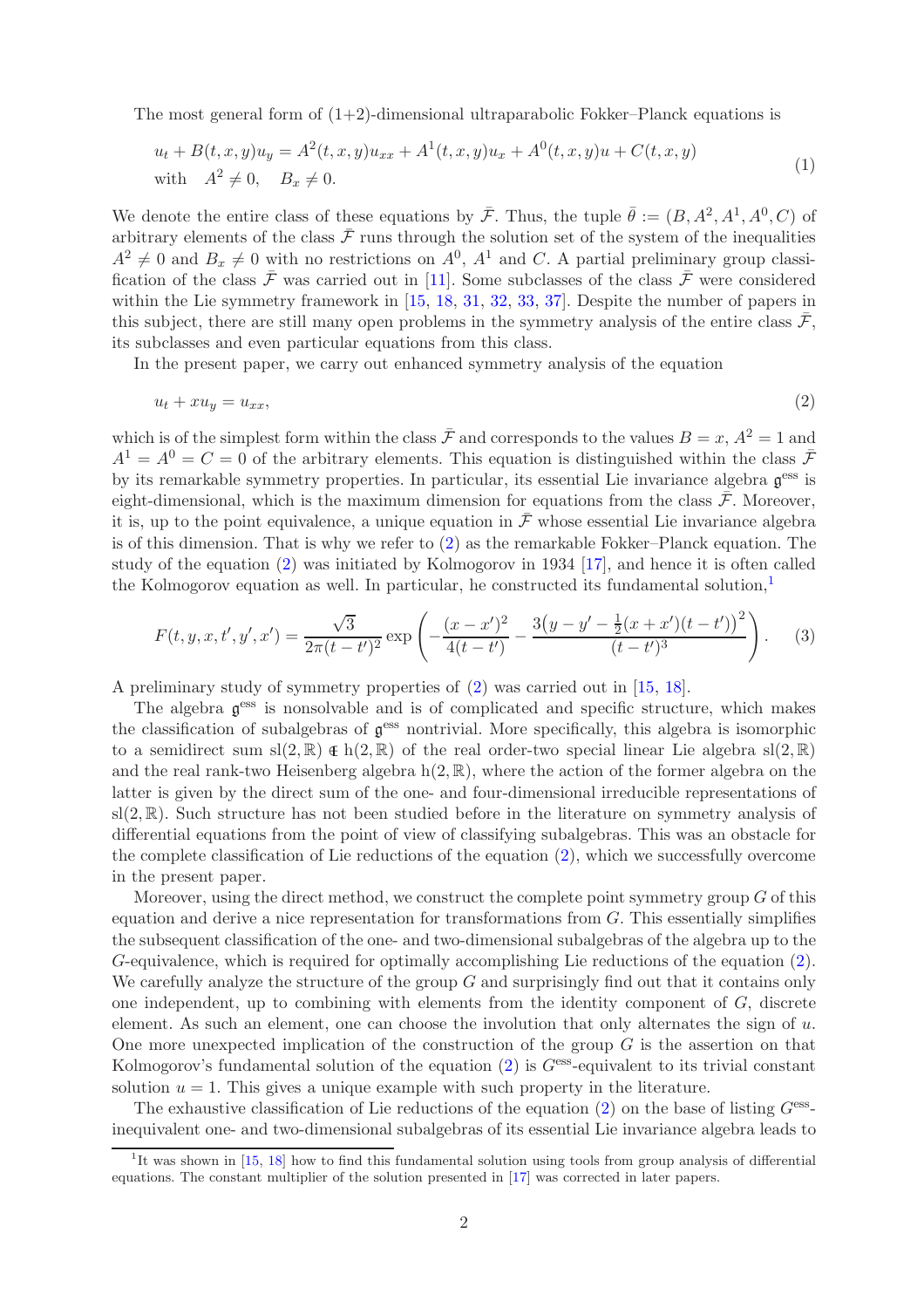The most general form of  $(1+2)$ -dimensional ultraparabolic Fokker–Planck equations is

<span id="page-1-3"></span>
$$
u_t + B(t, x, y)u_y = A^2(t, x, y)u_{xx} + A^1(t, x, y)u_x + A^0(t, x, y)u + C(t, x, y)
$$
  
with 
$$
A^2 \neq 0, \quad B_x \neq 0.
$$
 (1)

We denote the entire class of these equations by  $\bar{\mathcal{F}}$ . Thus, the tuple  $\bar{\theta} := (B, A^2, A^1, A^0, C)$  of arbitrary elements of the class  $\bar{\mathcal{F}}$  runs through the solution set of the system of the inequalities  $A^2 \neq 0$  and  $B_x \neq 0$  with no restrictions on  $A^0$ ,  $A^1$  and C. A partial preliminary group classification of the class  $\bar{\mathcal{F}}$  was carried out in [\[11\]](#page-22-4). Some subclasses of the class  $\bar{\mathcal{F}}$  were considered within the Lie symmetry framework in [\[15,](#page-23-7) [18,](#page-23-8) [31,](#page-23-9) [32,](#page-23-10) [33,](#page-23-11) [37\]](#page-23-12). Despite the number of papers in this subject, there are still many open problems in the symmetry analysis of the entire class  $\bar{\mathcal{F}}$ , its subclasses and even particular equations from this class.

In the present paper, we carry out enhanced symmetry analysis of the equation

<span id="page-1-0"></span>
$$
u_t + xu_y = u_{xx},\tag{2}
$$

which is of the simplest form within the class  $\bar{\mathcal{F}}$  and corresponds to the values  $B = x, A^2 = 1$  and  $A^1 = A^0 = C = 0$  of the arbitrary elements. This equation is distinguished within the class  $\bar{\mathcal{F}}$ by its remarkable symmetry properties. In particular, its essential Lie invariance algebra  $\mathfrak{g}^{\text{ess}}$  is eight-dimensional, which is the maximum dimension for equations from the class  $\bar{\mathcal{F}}$ . Moreover, it is, up to the point equivalence, a unique equation in  $\bar{\mathcal{F}}$  whose essential Lie invariance algebra is of this dimension. That is why we refer to [\(2\)](#page-1-0) as the remarkable Fokker–Planck equation. The study of the equation [\(2\)](#page-1-0) was initiated by Kolmogorov in 1934 [\[17\]](#page-23-13), and hence it is often called the Kolmogorov equation as well. In particular, he constructed its fundamental solution, $<sup>1</sup>$  $<sup>1</sup>$  $<sup>1</sup>$ </sup>

<span id="page-1-2"></span>
$$
F(t, y, x, t', y', x') = \frac{\sqrt{3}}{2\pi(t - t')^2} \exp\left(-\frac{(x - x')^2}{4(t - t')} - \frac{3(y - y' - \frac{1}{2}(x + x')(t - t'))^2}{(t - t')^3}\right).
$$
 (3)

A preliminary study of symmetry properties of [\(2\)](#page-1-0) was carried out in [\[15,](#page-23-7) [18\]](#page-23-8).

The algebra  $\mathfrak{g}^{\text{ess}}$  is nonsolvable and is of complicated and specific structure, which makes the classification of subalgebras of  $\mathfrak{g}^{\text{ess}}$  nontrivial. More specifically, this algebra is isomorphic to a semidirect sum sl(2, R)  $\in$  h(2, R) of the real order-two special linear Lie algebra sl(2, R) and the real rank-two Heisenberg algebra  $h(2, \mathbb{R})$ , where the action of the former algebra on the latter is given by the direct sum of the one- and four-dimensional irreducible representations of  $sl(2,\mathbb{R})$ . Such structure has not been studied before in the literature on symmetry analysis of differential equations from the point of view of classifying subalgebras. This was an obstacle for the complete classification of Lie reductions of the equation [\(2\)](#page-1-0), which we successfully overcome in the present paper.

Moreover, using the direct method, we construct the complete point symmetry group  $G$  of this equation and derive a nice representation for transformations from G. This essentially simplifies the subsequent classification of the one- and two-dimensional subalgebras of the algebra up to the G-equivalence, which is required for optimally accomplishing Lie reductions of the equation [\(2\)](#page-1-0). We carefully analyze the structure of the group  $G$  and surprisingly find out that it contains only one independent, up to combining with elements from the identity component of  $G$ , discrete element. As such an element, one can choose the involution that only alternates the sign of  $u$ . One more unexpected implication of the construction of the group  $G$  is the assertion on that Kolmogorov's fundamental solution of the equation  $(2)$  is  $G<sup>ess</sup>$ -equivalent to its trivial constant solution  $u = 1$ . This gives a unique example with such property in the literature.

The exhaustive classification of Lie reductions of the equation  $(2)$  on the base of listing  $G<sup>ess</sup>$ inequivalent one- and two-dimensional subalgebras of its essential Lie invariance algebra leads to

<span id="page-1-1"></span><sup>&</sup>lt;sup>1</sup>It was shown in [\[15,](#page-23-7) [18\]](#page-23-8) how to find this fundamental solution using tools from group analysis of differential equations. The constant multiplier of the solution presented in [\[17\]](#page-23-13) was corrected in later papers.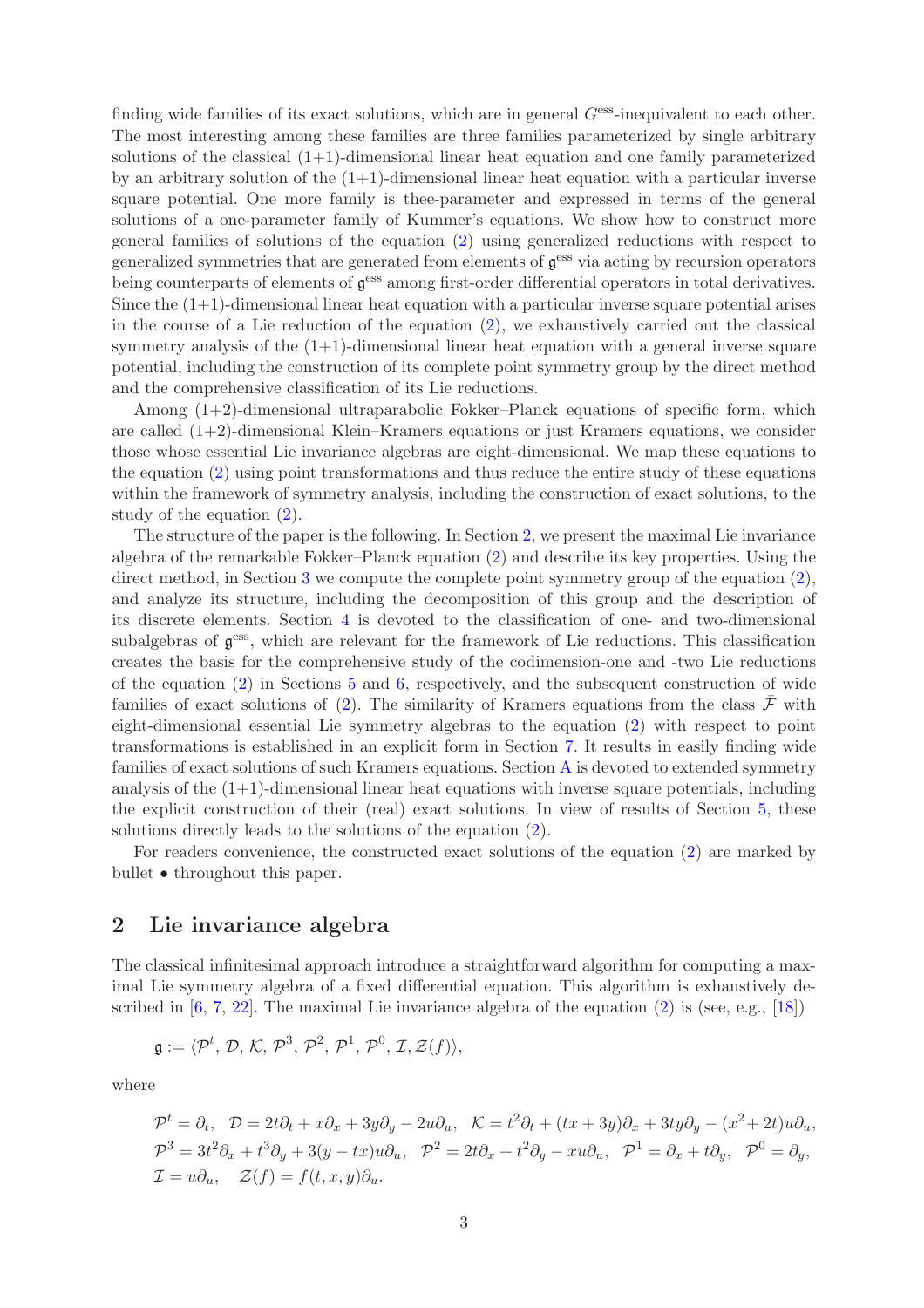finding wide families of its exact solutions, which are in general  $G<sup>ess</sup>$ -inequivalent to each other. The most interesting among these families are three families parameterized by single arbitrary solutions of the classical  $(1+1)$ -dimensional linear heat equation and one family parameterized by an arbitrary solution of the  $(1+1)$ -dimensional linear heat equation with a particular inverse square potential. One more family is thee-parameter and expressed in terms of the general solutions of a one-parameter family of Kummer's equations. We show how to construct more general families of solutions of the equation [\(2\)](#page-1-0) using generalized reductions with respect to generalized symmetries that are generated from elements of  $\mathfrak{g}^{\text{ess}}$  via acting by recursion operators being counterparts of elements of  $\mathfrak{g}^{\text{ess}}$  among first-order differential operators in total derivatives. Since the  $(1+1)$ -dimensional linear heat equation with a particular inverse square potential arises in the course of a Lie reduction of the equation [\(2\)](#page-1-0), we exhaustively carried out the classical symmetry analysis of the  $(1+1)$ -dimensional linear heat equation with a general inverse square potential, including the construction of its complete point symmetry group by the direct method and the comprehensive classification of its Lie reductions.

Among  $(1+2)$ -dimensional ultraparabolic Fokker–Planck equations of specific form, which are called  $(1+2)$ -dimensional Klein–Kramers equations or just Kramers equations, we consider those whose essential Lie invariance algebras are eight-dimensional. We map these equations to the equation [\(2\)](#page-1-0) using point transformations and thus reduce the entire study of these equations within the framework of symmetry analysis, including the construction of exact solutions, to the study of the equation [\(2\)](#page-1-0).

The structure of the paper is the following. In Section [2,](#page-2-0) we present the maximal Lie invariance algebra of the remarkable Fokker–Planck equation [\(2\)](#page-1-0) and describe its key properties. Using the direct method, in Section [3](#page-3-0) we compute the complete point symmetry group of the equation [\(2\)](#page-1-0), and analyze its structure, including the decomposition of this group and the description of its discrete elements. Section [4](#page-7-0) is devoted to the classification of one- and two-dimensional subalgebras of  $g^{ess}$ , which are relevant for the framework of Lie reductions. This classification creates the basis for the comprehensive study of the codimension-one and -two Lie reductions of the equation [\(2\)](#page-1-0) in Sections [5](#page-11-0) and [6,](#page-14-0) respectively, and the subsequent construction of wide families of exact solutions of [\(2\)](#page-1-0). The similarity of Kramers equations from the class  $\bar{\mathcal{F}}$  with eight-dimensional essential Lie symmetry algebras to the equation [\(2\)](#page-1-0) with respect to point transformations is established in an explicit form in Section [7.](#page-15-0) It results in easily finding wide families of exact solutions of such Kramers equations. Section [A](#page-18-0) is devoted to extended symmetry analysis of the  $(1+1)$ -dimensional linear heat equations with inverse square potentials, including the explicit construction of their (real) exact solutions. In view of results of Section [5,](#page-11-0) these solutions directly leads to the solutions of the equation [\(2\)](#page-1-0).

For readers convenience, the constructed exact solutions of the equation [\(2\)](#page-1-0) are marked by bullet • throughout this paper.

# <span id="page-2-0"></span>2 Lie invariance algebra

The classical infinitesimal approach introduce a straightforward algorithm for computing a maximal Lie symmetry algebra of a fixed differential equation. This algorithm is exhaustively described in  $[6, 7, 22]$  $[6, 7, 22]$  $[6, 7, 22]$  $[6, 7, 22]$ . The maximal Lie invariance algebra of the equation  $(2)$  is (see, e.g., [\[18\]](#page-23-8))

$$
\mathfrak{g}:=\langle \mathcal{P}^t, \mathcal{D}, \mathcal{K}, \mathcal{P}^3, \mathcal{P}^2, \mathcal{P}^1, \mathcal{P}^0, \mathcal{I}, \mathcal{Z}(f) \rangle,
$$

where

$$
\mathcal{P}^t = \partial_t, \quad \mathcal{D} = 2t\partial_t + x\partial_x + 3y\partial_y - 2u\partial_u, \quad \mathcal{K} = t^2\partial_t + (tx + 3y)\partial_x + 3ty\partial_y - (x^2 + 2t)u\partial_u,
$$
  

$$
\mathcal{P}^3 = 3t^2\partial_x + t^3\partial_y + 3(y - tx)u\partial_u, \quad \mathcal{P}^2 = 2t\partial_x + t^2\partial_y - xu\partial_u, \quad \mathcal{P}^1 = \partial_x + t\partial_y, \quad \mathcal{P}^0 = \partial_y,
$$
  

$$
\mathcal{I} = u\partial_u, \quad \mathcal{Z}(f) = f(t, x, y)\partial_u.
$$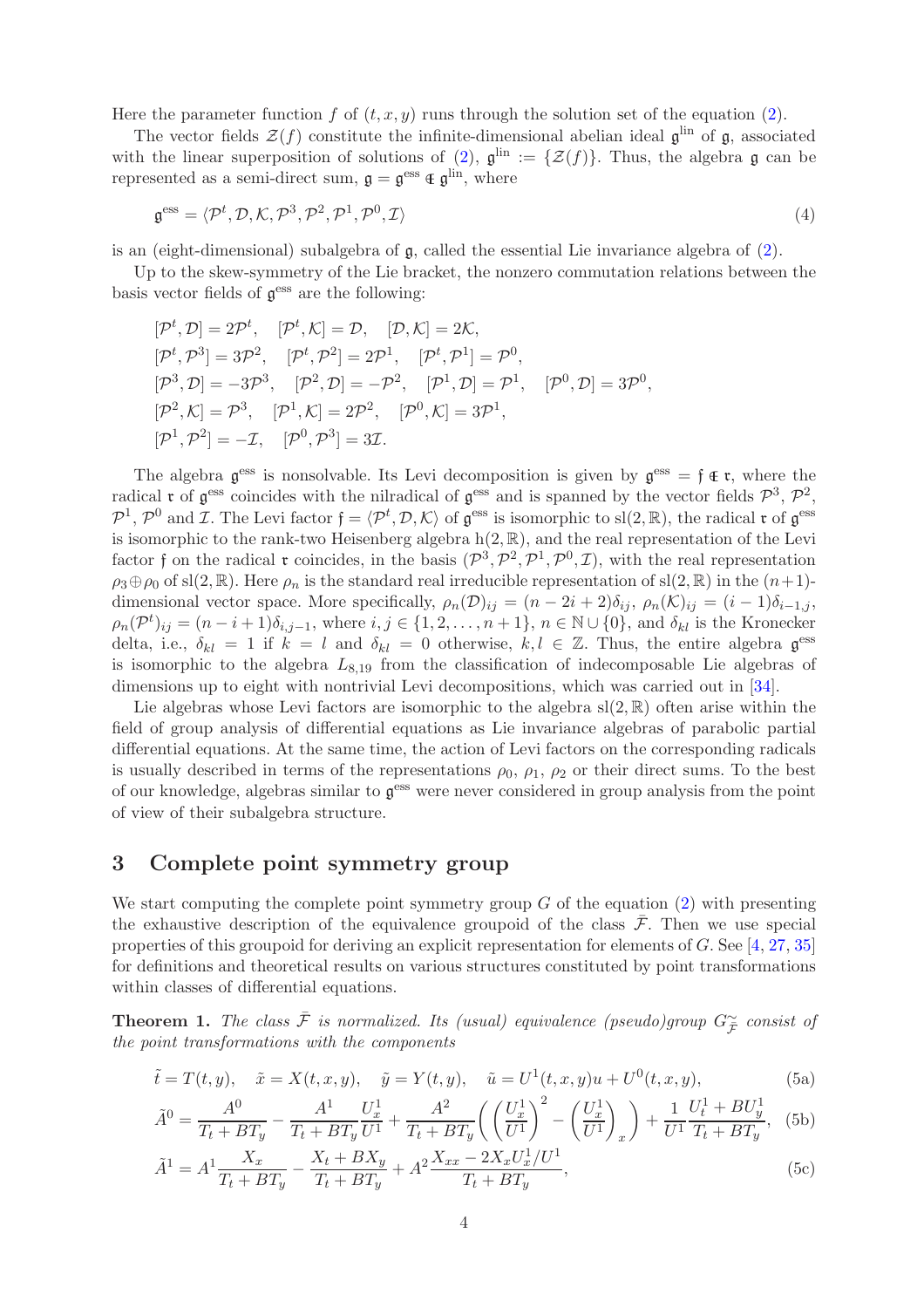Here the parameter function f of  $(t, x, y)$  runs through the solution set of the equation [\(2\)](#page-1-0).

The vector fields  $\mathcal{Z}(f)$  constitute the infinite-dimensional abelian ideal  $\mathfrak{g}^{\text{lin}}$  of  $\mathfrak{g}$ , associated with the linear superposition of solutions of [\(2\)](#page-1-0),  $\mathfrak{g}^{\text{lin}} := \{ \mathcal{Z}(f) \}.$  Thus, the algebra  $\mathfrak{g}$  can be represented as a semi-direct sum,  $\mathfrak{g} = \mathfrak{g}^{\text{ess}} \in \mathfrak{g}^{\text{lin}}$ , where

<span id="page-3-5"></span>
$$
\mathfrak{g}^{\text{ess}} = \langle \mathcal{P}^t, \mathcal{D}, \mathcal{K}, \mathcal{P}^3, \mathcal{P}^2, \mathcal{P}^1, \mathcal{P}^0, \mathcal{I} \rangle \tag{4}
$$

is an (eight-dimensional) subalgebra of  $\mathfrak{g}$ , called the essential Lie invariance algebra of [\(2\)](#page-1-0).

Up to the skew-symmetry of the Lie bracket, the nonzero commutation relations between the basis vector fields of  $\mathfrak{g}^{\text{ess}}$  are the following:

$$
[\mathcal{P}^t, \mathcal{D}] = 2\mathcal{P}^t, \quad [\mathcal{P}^t, \mathcal{K}] = \mathcal{D}, \quad [\mathcal{D}, \mathcal{K}] = 2\mathcal{K}, [\mathcal{P}^t, \mathcal{P}^3] = 3\mathcal{P}^2, \quad [\mathcal{P}^t, \mathcal{P}^2] = 2\mathcal{P}^1, \quad [\mathcal{P}^t, \mathcal{P}^1] = \mathcal{P}^0, [\mathcal{P}^3, \mathcal{D}] = -3\mathcal{P}^3, \quad [\mathcal{P}^2, \mathcal{D}] = -\mathcal{P}^2, \quad [\mathcal{P}^1, \mathcal{D}] = \mathcal{P}^1, \quad [\mathcal{P}^0, \mathcal{D}] = 3\mathcal{P}^0, [\mathcal{P}^2, \mathcal{K}] = \mathcal{P}^3, \quad [\mathcal{P}^1, \mathcal{K}] = 2\mathcal{P}^2, \quad [\mathcal{P}^0, \mathcal{K}] = 3\mathcal{P}^1, [\mathcal{P}^1, \mathcal{P}^2] = -\mathcal{I}, \quad [\mathcal{P}^0, \mathcal{P}^3] = 3\mathcal{I}.
$$

The algebra  $\mathfrak{g}^{\text{ess}}$  is nonsolvable. Its Levi decomposition is given by  $\mathfrak{g}^{\text{ess}} = \mathfrak{f} \oplus \mathfrak{r}$ , where the radical **r** of  $\mathfrak{g}^{\text{ess}}$  coincides with the nilradical of  $\mathfrak{g}^{\text{ess}}$  and is spanned by the vector fields  $\mathcal{P}^3$ ,  $\mathcal{P}^2$ ,  $\mathcal{P}^1$ ,  $\mathcal{P}^0$  and *I*. The Levi factor  $\mathfrak{f} = \langle \mathcal{P}^t, \mathcal{D}, \mathcal{K} \rangle$  of  $\mathfrak{g}^{\text{ess}}$  is isomorphic to sl(2, R), the radical  $\mathfrak{r}$  of  $\mathfrak{g}^{\text{ess}}$ is isomorphic to the rank-two Heisenberg algebra  $h(2, \mathbb{R})$ , and the real representation of the Levi factor f on the radical **r** coincides, in the basis  $(\mathcal{P}^3, \mathcal{P}^2, \mathcal{P}^1, \mathcal{P}^0, \mathcal{I})$ , with the real representation  $\rho_3 \oplus \rho_0$  of sl(2, R). Here  $\rho_n$  is the standard real irreducible representation of sl(2, R) in the  $(n+1)$ dimensional vector space. More specifically,  $\rho_n(\mathcal{D})_{ij} = (n - 2i + 2)\delta_{ij}$ ,  $\rho_n(\mathcal{K})_{ij} = (i - 1)\delta_{i-1,j}$ ,  $\rho_n(\mathcal{P}^t)_{ij} = (n-i+1)\delta_{i,j-1}$ , where  $i, j \in \{1, 2, \ldots, n+1\}$ ,  $n \in \mathbb{N} \cup \{0\}$ , and  $\delta_{kl}$  is the Kronecker delta, i.e.,  $\delta_{kl} = 1$  if  $k = l$  and  $\delta_{kl} = 0$  otherwise,  $k, l \in \mathbb{Z}$ . Thus, the entire algebra  $\mathfrak{g}^{\text{ess}}$ is isomorphic to the algebra  $L_{8,19}$  from the classification of indecomposable Lie algebras of dimensions up to eight with nontrivial Levi decompositions, which was carried out in [\[34\]](#page-23-15).

Lie algebras whose Levi factors are isomorphic to the algebra  $sl(2, \mathbb{R})$  often arise within the field of group analysis of differential equations as Lie invariance algebras of parabolic partial differential equations. At the same time, the action of Levi factors on the corresponding radicals is usually described in terms of the representations  $\rho_0$ ,  $\rho_1$ ,  $\rho_2$  or their direct sums. To the best of our knowledge, algebras similar to  $g<sup>ess</sup>$  were never considered in group analysis from the point of view of their subalgebra structure.

# <span id="page-3-0"></span>3 Complete point symmetry group

We start computing the complete point symmetry group  $G$  of the equation  $(2)$  with presenting the exhaustive description of the equivalence groupoid of the class  $\bar{\mathcal{F}}$ . Then we use special properties of this groupoid for deriving an explicit representation for elements of G. See [\[4,](#page-22-7) [27,](#page-23-16) [35\]](#page-23-17) for definitions and theoretical results on various structures constituted by point transformations within classes of differential equations.

<span id="page-3-1"></span>**Theorem 1.** The class  $\overline{F}$  is normalized. Its (usual) equivalence (pseudo)group  $G_{\overline{F}}^{\sim}$  consist of the point transformations with the components

<span id="page-3-2"></span>
$$
\tilde{t} = T(t, y), \quad \tilde{x} = X(t, x, y), \quad \tilde{y} = Y(t, y), \quad \tilde{u} = U^1(t, x, y)u + U^0(t, x, y),
$$
\n(5a)

<span id="page-3-4"></span>
$$
\tilde{A}^0 = \frac{A^0}{T_t + BT_y} - \frac{A^1}{T_t + BT_y} \frac{U_x^1}{U^1} + \frac{A^2}{T_t + BT_y} \left( \left( \frac{U_x^1}{U^1} \right)^2 - \left( \frac{U_x^1}{U^1} \right)_x \right) + \frac{1}{U^1} \frac{U_t^1 + BU_y^1}{T_t + BT_y}, \quad (5b)
$$

<span id="page-3-3"></span>
$$
\tilde{A}^{1} = A^{1} \frac{X_{x}}{T_{t} + BT_{y}} - \frac{X_{t} + BX_{y}}{T_{t} + BT_{y}} + A^{2} \frac{X_{xx} - 2X_{x}U_{x}^{1}/U^{1}}{T_{t} + BT_{y}},
$$
\n(5c)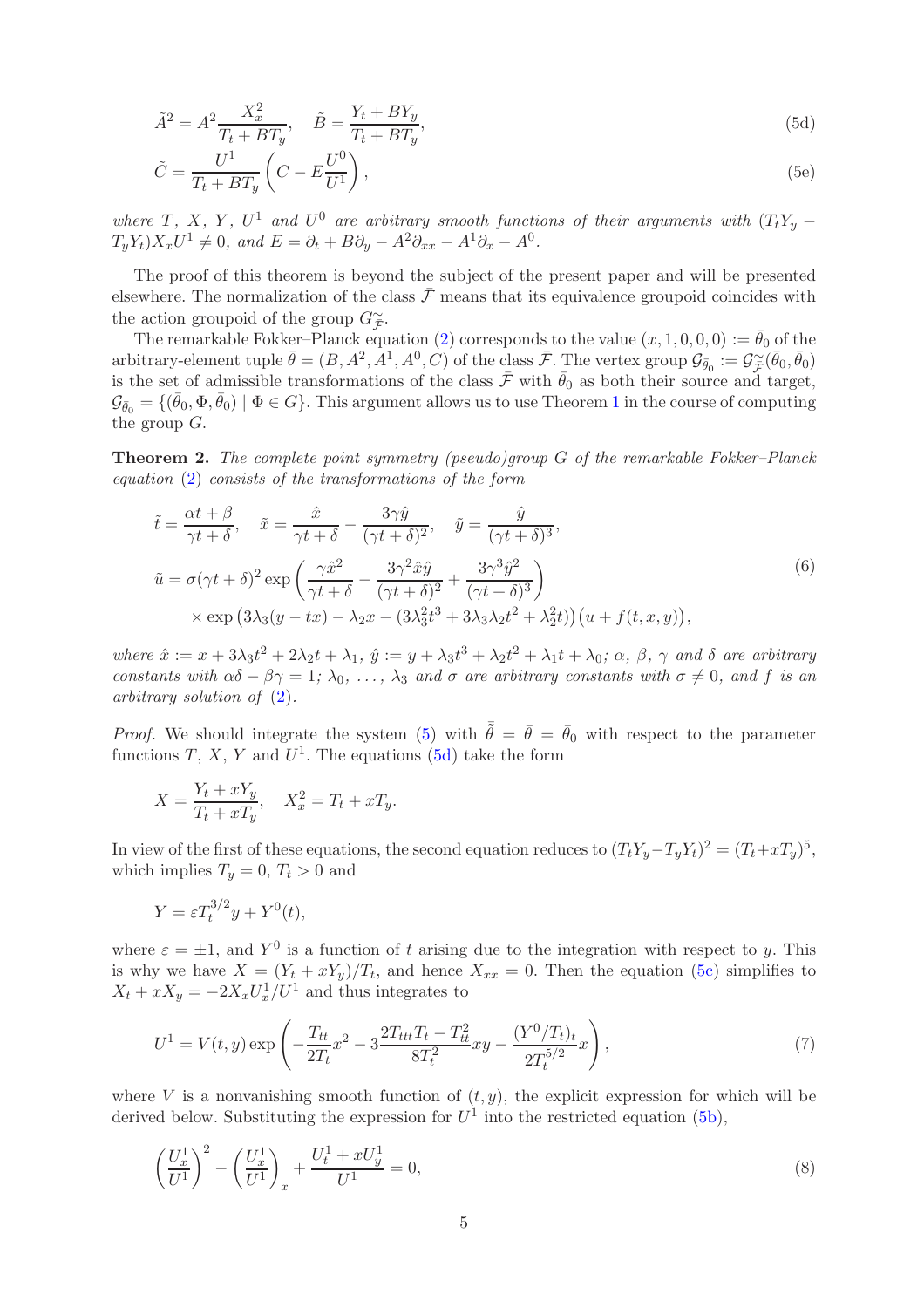<span id="page-4-0"></span>
$$
\tilde{A}^2 = A^2 \frac{X_x^2}{T_t + BT_y}, \quad \tilde{B} = \frac{Y_t + BY_y}{T_t + BT_y},\tag{5d}
$$

<span id="page-4-1"></span>
$$
\tilde{C} = \frac{U^1}{T_t + BT_y} \left( C - E \frac{U^0}{U^1} \right),\tag{5e}
$$

where T, X, Y, U<sup>1</sup> and U<sup>0</sup> are arbitrary smooth functions of their arguments with  $(T_tY_y - T_x)$  $T_y Y_t$ ) $X_x U^1 \neq 0$ , and  $E = \partial_t + B \partial_y - A^2 \partial_{xx} - A^1 \partial_x - A^0$ .

The proof of this theorem is beyond the subject of the present paper and will be presented elsewhere. The normalization of the class  $\bar{\mathcal{F}}$  means that its equivalence groupoid coincides with the action groupoid of the group  $G_{\tilde{\mathcal{F}}}^{\sim}$ .

The remarkable Fokker–Planck equation [\(2\)](#page-1-0) corresponds to the value  $(x, 1, 0, 0, 0) := \bar{\theta}_0$  of the arbitrary-element tuple  $\bar{\theta} = (B, A^2, A^1, A^0, C)$  of the class  $\bar{\mathcal{F}}$ . The vertex group  $\mathcal{G}_{\bar{\theta}_0} := \mathcal{G}^{\sim}_{\bar{\mathcal{F}}}(\bar{\theta}_0, \bar{\theta}_0)$ is the set of admissible transformations of the class  $\bar{\mathcal{F}}$  with  $\bar{\theta}_0$  as both their source and target,  $\mathcal{G}_{\bar{\theta}_0} = \{(\bar{\theta}_0, \Phi, \bar{\theta}_0) \mid \Phi \in G\}$ . This argument allows us to use Theorem [1](#page-3-1) in the course of computing the group G.

<span id="page-4-3"></span>Theorem 2. The complete point symmetry (pseudo)group G of the remarkable Fokker–Planck equation [\(2\)](#page-1-0) consists of the transformations of the form

<span id="page-4-2"></span>
$$
\tilde{t} = \frac{\alpha t + \beta}{\gamma t + \delta}, \quad \tilde{x} = \frac{\hat{x}}{\gamma t + \delta} - \frac{3\gamma \hat{y}}{(\gamma t + \delta)^2}, \quad \tilde{y} = \frac{\hat{y}}{(\gamma t + \delta)^3},
$$
\n
$$
\tilde{u} = \sigma(\gamma t + \delta)^2 \exp\left(\frac{\gamma \hat{x}^2}{\gamma t + \delta} - \frac{3\gamma^2 \hat{x} \hat{y}}{(\gamma t + \delta)^2} + \frac{3\gamma^3 \hat{y}^2}{(\gamma t + \delta)^3}\right)
$$
\n
$$
\times \exp\left(3\lambda_3(y - tx) - \lambda_2 x - (3\lambda_3^2 t^3 + 3\lambda_3 \lambda_2 t^2 + \lambda_2^2 t)\right)(u + f(t, x, y)),
$$
\n(6)

where  $\hat{x} := x + 3\lambda_3 t^2 + 2\lambda_2 t + \lambda_1$ ,  $\hat{y} := y + \lambda_3 t^3 + \lambda_2 t^2 + \lambda_1 t + \lambda_0$ ;  $\alpha$ ,  $\beta$ ,  $\gamma$  and  $\delta$  are arbitrary constants with  $\alpha\delta - \beta\gamma = 1$ ;  $\lambda_0, \ldots, \lambda_3$  and  $\sigma$  are arbitrary constants with  $\sigma \neq 0$ , and f is an arbitrary solution of [\(2\)](#page-1-0).

*Proof.* We should integrate the system [\(5\)](#page-3-2) with  $\bar{\tilde{\theta}} = \bar{\theta} = \bar{\theta}_0$  with respect to the parameter functions T, X, Y and  $U^1$ . The equations [\(5d\)](#page-4-0) take the form

$$
X = \frac{Y_t + xY_y}{T_t + xT_y}, \quad X_x^2 = T_t + xT_y.
$$

In view of the first of these equations, the second equation reduces to  $(T_t Y_y - T_y Y_t)^2 = (T_t + xT_y)^5$ , which implies  $T_y = 0, T_t > 0$  and

$$
Y = \varepsilon T_t^{3/2} y + Y^0(t),
$$

where  $\varepsilon = \pm 1$ , and  $Y^0$  is a function of t arising due to the integration with respect to y. This is why we have  $X = (Y_t + xY_y)/T_t$ , and hence  $X_{xx} = 0$ . Then the equation [\(5c\)](#page-3-3) simplifies to  $X_t + xX_y = -2X_xU_x^1/U^1$  and thus integrates to

$$
U^{1} = V(t, y) \exp\left(-\frac{T_{tt}}{2T_{t}}x^{2} - 3\frac{2T_{ttt}T_{t} - T_{tt}^{2}}{8T_{t}^{2}}xy - \frac{(Y^{0}/T_{t})_{t}}{2T_{t}^{5/2}}x\right),\tag{7}
$$

where V is a nonvanishing smooth function of  $(t, y)$ , the explicit expression for which will be derived below. Substituting the expression for  $U^1$  into the restricted equation [\(5b\)](#page-3-4),

$$
\left(\frac{U_x^1}{U^1}\right)^2 - \left(\frac{U_x^1}{U^1}\right)_x + \frac{U_t^1 + xU_y^1}{U^1} = 0,\tag{8}
$$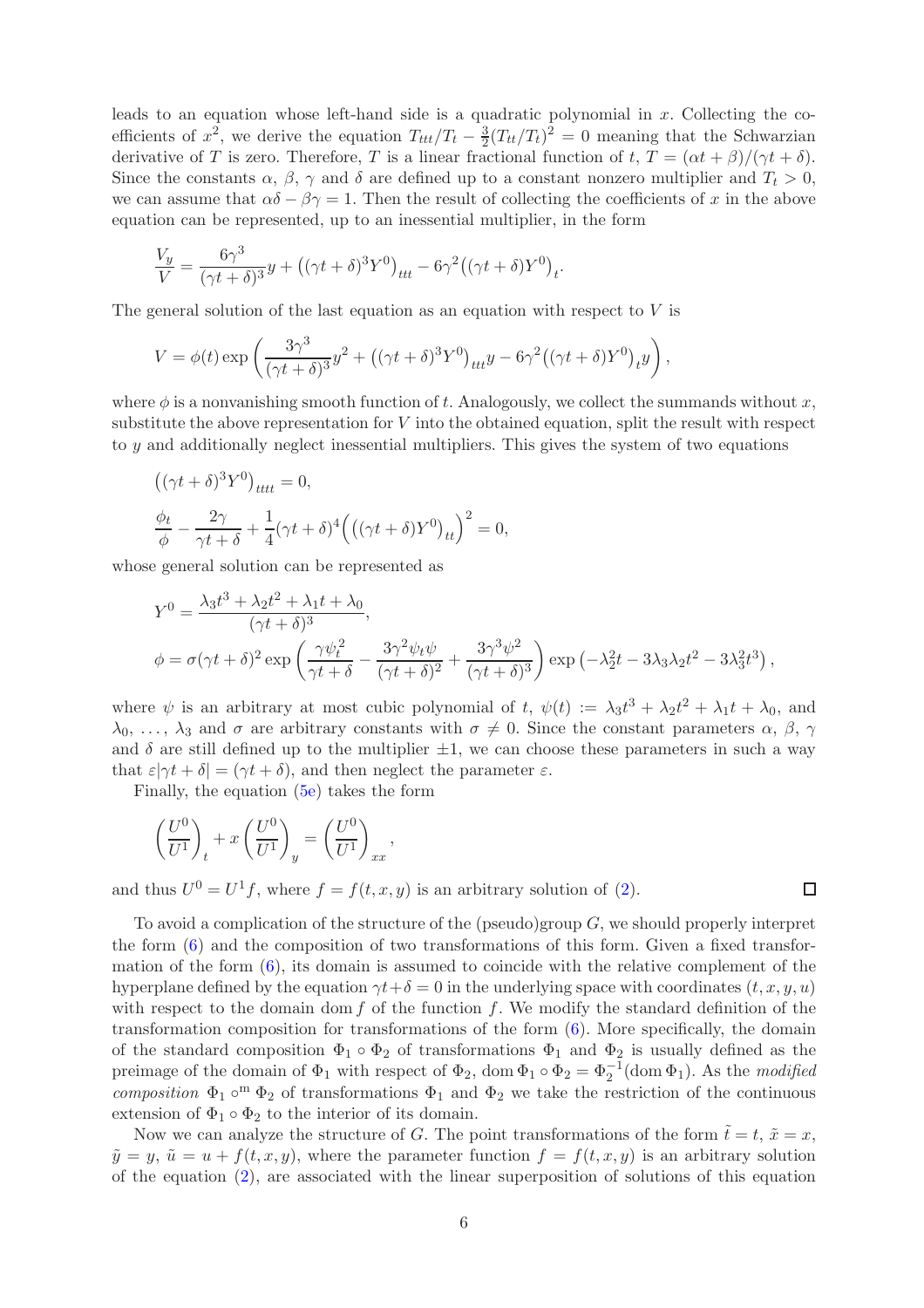leads to an equation whose left-hand side is a quadratic polynomial in  $x$ . Collecting the coefficients of  $x^2$ , we derive the equation  $T_{ttt}/T_t - \frac{3}{2}$  $\frac{3}{2}(T_{tt}/T_t)^2 = 0$  meaning that the Schwarzian derivative of T is zero. Therefore, T is a linear fractional function of t,  $T = (\alpha t + \beta)/(\gamma t + \delta)$ . Since the constants  $\alpha$ ,  $\beta$ ,  $\gamma$  and  $\delta$  are defined up to a constant nonzero multiplier and  $T_t > 0$ , we can assume that  $\alpha\delta - \beta\gamma = 1$ . Then the result of collecting the coefficients of x in the above equation can be represented, up to an inessential multiplier, in the form

$$
\frac{V_y}{V} = \frac{6\gamma^3}{(\gamma t + \delta)^3} y + \left( (\gamma t + \delta)^3 Y^0 \right)_{ttt} - 6\gamma^2 \left( (\gamma t + \delta) Y^0 \right)_t.
$$

The general solution of the last equation as an equation with respect to  $V$  is

$$
V = \phi(t) \exp\left(\frac{3\gamma^3}{(\gamma t + \delta)^3}y^2 + \left((\gamma t + \delta)^3 Y^0\right)_{ttt}y - 6\gamma^2 \left((\gamma t + \delta)Y^0\right)_t y\right),
$$

where  $\phi$  is a nonvanishing smooth function of t. Analogously, we collect the summands without x, substitute the above representation for  $V$  into the obtained equation, split the result with respect to y and additionally neglect inessential multipliers. This gives the system of two equations

$$
((\gamma t + \delta)^3 Y^0)_{tttt} = 0,
$$
  

$$
\frac{\phi_t}{\phi} - \frac{2\gamma}{\gamma t + \delta} + \frac{1}{4}(\gamma t + \delta)^4 ((\gamma t + \delta)Y^0)_{tt})^2 = 0,
$$

whose general solution can be represented as

$$
Y^{0} = \frac{\lambda_{3}t^{3} + \lambda_{2}t^{2} + \lambda_{1}t + \lambda_{0}}{(\gamma t + \delta)^{3}},
$$
  

$$
\phi = \sigma(\gamma t + \delta)^{2} \exp\left(\frac{\gamma \psi_{t}^{2}}{\gamma t + \delta} - \frac{3\gamma^{2}\psi_{t}\psi}{(\gamma t + \delta)^{2}} + \frac{3\gamma^{3}\psi^{2}}{(\gamma t + \delta)^{3}}\right) \exp\left(-\lambda_{2}^{2}t - 3\lambda_{3}\lambda_{2}t^{2} - 3\lambda_{3}^{2}t^{3}\right),
$$

where  $\psi$  is an arbitrary at most cubic polynomial of t,  $\psi(t) := \lambda_3 t^3 + \lambda_2 t^2 + \lambda_1 t + \lambda_0$ , and  $\lambda_0, \ldots, \lambda_3$  and  $\sigma$  are arbitrary constants with  $\sigma \neq 0$ . Since the constant parameters  $\alpha, \beta, \gamma$ and  $\delta$  are still defined up to the multiplier  $\pm 1$ , we can choose these parameters in such a way that  $\varepsilon|\gamma t + \delta| = (\gamma t + \delta)$ , and then neglect the parameter  $\varepsilon$ .

Finally, the equation [\(5e\)](#page-4-1) takes the form

$$
\left(\frac{U^0}{U^1}\right)_t + x \left(\frac{U^0}{U^1}\right)_y = \left(\frac{U^0}{U^1}\right)_{xx}
$$

and thus  $U^0 = U^1 f$ , where  $f = f(t, x, y)$  is an arbitrary solution of [\(2\)](#page-1-0).

,

 $\Box$ 

To avoid a complication of the structure of the (pseudo)group  $G$ , we should properly interpret the form  $(6)$  and the composition of two transformations of this form. Given a fixed transformation of the form  $(6)$ , its domain is assumed to coincide with the relative complement of the hyperplane defined by the equation  $\gamma t + \delta = 0$  in the underlying space with coordinates  $(t, x, y, u)$ with respect to the domain dom  $f$  of the function  $f$ . We modify the standard definition of the transformation composition for transformations of the form  $(6)$ . More specifically, the domain of the standard composition  $\Phi_1 \circ \Phi_2$  of transformations  $\Phi_1$  and  $\Phi_2$  is usually defined as the preimage of the domain of  $\Phi_1$  with respect of  $\Phi_2$ , dom  $\Phi_1 \circ \Phi_2 = \Phi_2^{-1}$  (dom  $\Phi_1$ ). As the *modified* composition  $\Phi_1 \circ^m \Phi_2$  of transformations  $\Phi_1$  and  $\Phi_2$  we take the restriction of the continuous extension of  $\Phi_1 \circ \Phi_2$  to the interior of its domain.

Now we can analyze the structure of G. The point transformations of the form  $\tilde{t} = t$ ,  $\tilde{x} = x$ ,  $\tilde{y} = y$ ,  $\tilde{u} = u + f(t, x, y)$ , where the parameter function  $f = f(t, x, y)$  is an arbitrary solution of the equation [\(2\)](#page-1-0), are associated with the linear superposition of solutions of this equation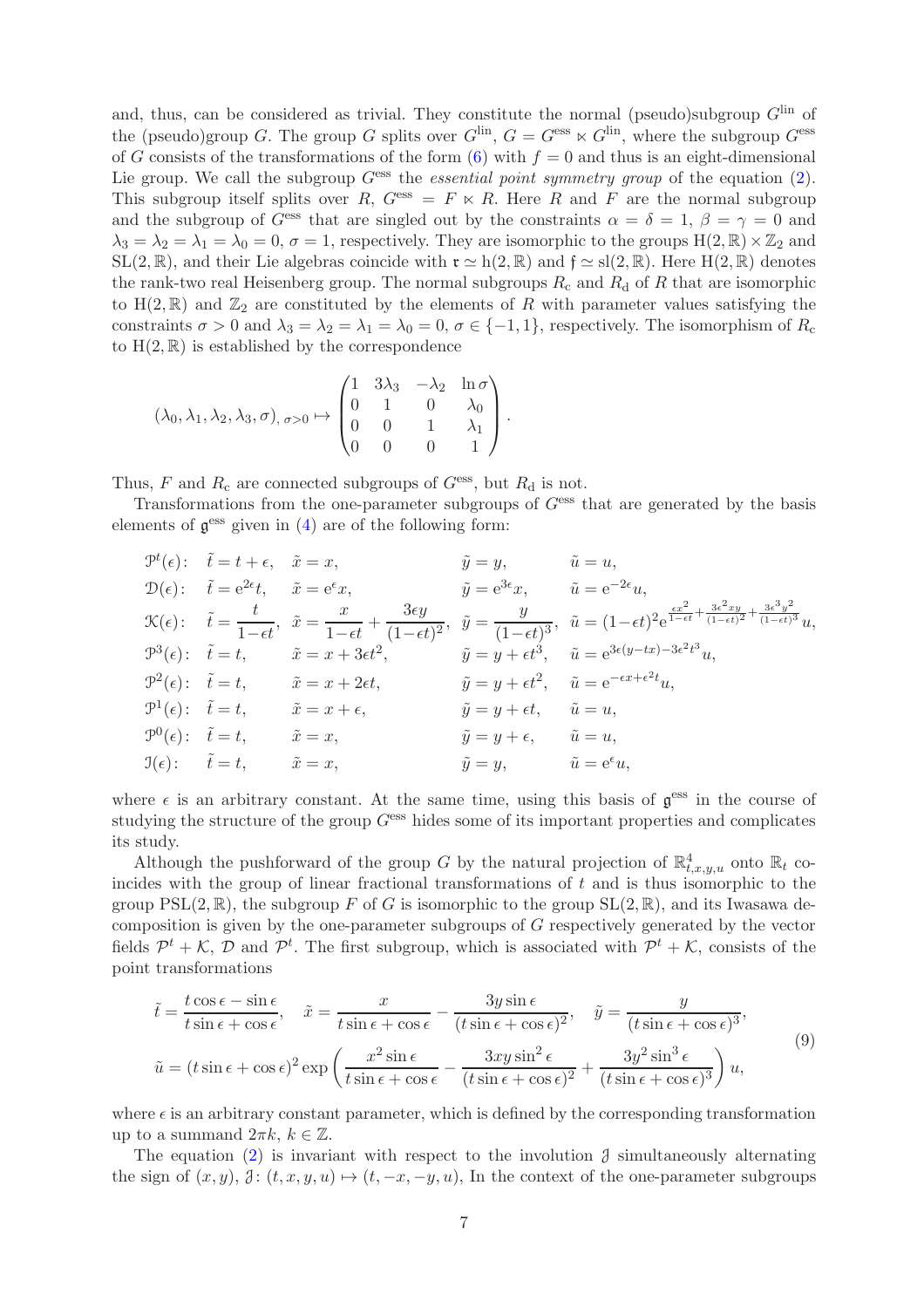and, thus, can be considered as trivial. They constitute the normal (pseudo)subgroup  $G<sup>lin</sup>$  of the (pseudo)group G. The group G splits over  $G^{\text{lin}}$ ,  $G = G^{\text{ess}} \ltimes G^{\text{lin}}$ , where the subgroup  $G^{\text{ess}}$ of G consists of the transformations of the form  $(6)$  with  $f = 0$  and thus is an eight-dimensional Lie group. We call the subgroup  $G<sup>ess</sup>$  the *essential point symmetry group* of the equation  $(2)$ . This subgroup itself splits over R,  $G<sup>ess</sup> = F \ltimes R$ . Here R and F are the normal subgroup and the subgroup of  $G<sup>ess</sup>$  that are singled out by the constraints  $\alpha = \delta = 1, \beta = \gamma = 0$  and  $\lambda_3 = \lambda_2 = \lambda_1 = \lambda_0 = 0, \sigma = 1$ , respectively. They are isomorphic to the groups  $H(2, \mathbb{R}) \times \mathbb{Z}_2$  and SL(2, R), and their Lie algebras coincide with  $\mathfrak{r} \simeq h(2, \mathbb{R})$  and  $\mathfrak{f} \simeq sl(2, \mathbb{R})$ . Here  $H(2, \mathbb{R})$  denotes the rank-two real Heisenberg group. The normal subgroups  $R_c$  and  $R_d$  of R that are isomorphic to  $H(2,\mathbb{R})$  and  $\mathbb{Z}_2$  are constituted by the elements of R with parameter values satisfying the constraints  $\sigma > 0$  and  $\lambda_3 = \lambda_2 = \lambda_1 = \lambda_0 = 0$ ,  $\sigma \in \{-1, 1\}$ , respectively. The isomorphism of  $R_c$ to  $H(2,\mathbb{R})$  is established by the correspondence

$$
(\lambda_0, \lambda_1, \lambda_2, \lambda_3, \sigma), \sigma > 0 \mapsto \begin{pmatrix} 1 & 3\lambda_3 & -\lambda_2 & \ln \sigma \\ 0 & 1 & 0 & \lambda_0 \\ 0 & 0 & 1 & \lambda_1 \\ 0 & 0 & 0 & 1 \end{pmatrix}.
$$

Thus, F and  $R_c$  are connected subgroups of  $G<sup>ess</sup>$ , but  $R_d$  is not.

Transformations from the one-parameter subgroups of  $G<sup>ess</sup>$  that are generated by the basis elements of  $\mathfrak{g}^{\text{ess}}$  given in  $(4)$  are of the following form:

$$
\mathcal{P}^{t}(\epsilon): \quad \tilde{t} = t + \epsilon, \quad \tilde{x} = x, \qquad \tilde{y} = y, \qquad \tilde{u} = u,
$$
\n
$$
\mathcal{D}(\epsilon): \quad \tilde{t} = e^{2\epsilon}t, \qquad \tilde{x} = e^{\epsilon}x, \qquad \tilde{y} = e^{3\epsilon}x, \qquad \tilde{u} = e^{-2\epsilon}u,
$$
\n
$$
\mathcal{K}(\epsilon): \quad \tilde{t} = \frac{t}{1 - \epsilon t}, \quad \tilde{x} = \frac{x}{1 - \epsilon t} + \frac{3\epsilon y}{(1 - \epsilon t)^2}, \quad \tilde{y} = \frac{y}{(1 - \epsilon t)^3}, \quad \tilde{u} = (1 - \epsilon t)^2 e^{\frac{\epsilon x^2}{1 - \epsilon t} + \frac{3\epsilon^2 xy}{(1 - \epsilon t)^3}}u,
$$
\n
$$
\mathcal{P}^{3}(\epsilon): \quad \tilde{t} = t, \qquad \tilde{x} = x + 3\epsilon t^2, \qquad \tilde{y} = y + \epsilon t^3, \qquad \tilde{u} = e^{3\epsilon(y - tx) - 3\epsilon^2 t^3}u,
$$
\n
$$
\mathcal{P}^{2}(\epsilon): \quad \tilde{t} = t, \qquad \tilde{x} = x + 2\epsilon t, \qquad \tilde{y} = y + \epsilon t^2, \qquad \tilde{u} = e^{-\epsilon x + \epsilon^2 t}u,
$$
\n
$$
\mathcal{P}^{0}(\epsilon): \quad \tilde{t} = t, \qquad \tilde{x} = x, \qquad \qquad \tilde{y} = y + \epsilon, \qquad \tilde{u} = u,
$$
\n
$$
\mathcal{P}^{0}(\epsilon): \quad \tilde{t} = t, \qquad \tilde{x} = x, \qquad \qquad \tilde{y} = y, \qquad \tilde{u} = e^{\epsilon}u,
$$

where  $\epsilon$  is an arbitrary constant. At the same time, using this basis of  $\mathfrak{g}^{\text{ess}}$  in the course of studying the structure of the group  $G<sup>ess</sup>$  hides some of its important properties and complicates its study.

Although the pushforward of the group G by the natural projection of  $\mathbb{R}^4_{t,x,y,u}$  onto  $\mathbb{R}_t$  coincides with the group of linear fractional transformations of  $t$  and is thus isomorphic to the group  $PSL(2,\mathbb{R})$ , the subgroup F of G is isomorphic to the group  $SL(2,\mathbb{R})$ , and its Iwasawa decomposition is given by the one-parameter subgroups of G respectively generated by the vector fields  $\mathcal{P}^t + \mathcal{K}, \mathcal{D}$  and  $\mathcal{P}^t$ . The first subgroup, which is associated with  $\mathcal{P}^t + \mathcal{K}$ , consists of the point transformations

<span id="page-6-0"></span>
$$
\tilde{t} = \frac{t \cos \epsilon - \sin \epsilon}{t \sin \epsilon + \cos \epsilon}, \quad \tilde{x} = \frac{x}{t \sin \epsilon + \cos \epsilon} - \frac{3y \sin \epsilon}{(t \sin \epsilon + \cos \epsilon)^2}, \quad \tilde{y} = \frac{y}{(t \sin \epsilon + \cos \epsilon)^3},
$$
  

$$
\tilde{u} = (t \sin \epsilon + \cos \epsilon)^2 \exp\left(\frac{x^2 \sin \epsilon}{t \sin \epsilon + \cos \epsilon} - \frac{3xy \sin^2 \epsilon}{(t \sin \epsilon + \cos \epsilon)^2} + \frac{3y^2 \sin^3 \epsilon}{(t \sin \epsilon + \cos \epsilon)^3}\right) u,
$$

$$
(9)
$$

where  $\epsilon$  is an arbitrary constant parameter, which is defined by the corresponding transformation up to a summand  $2\pi k, k \in \mathbb{Z}$ .

The equation [\(2\)](#page-1-0) is invariant with respect to the involution  $\mathcal{J}$  simultaneously alternating the sign of  $(x, y)$ ,  $\mathcal{J}: (t, x, y, u) \mapsto (t, -x, -y, u)$ , In the context of the one-parameter subgroups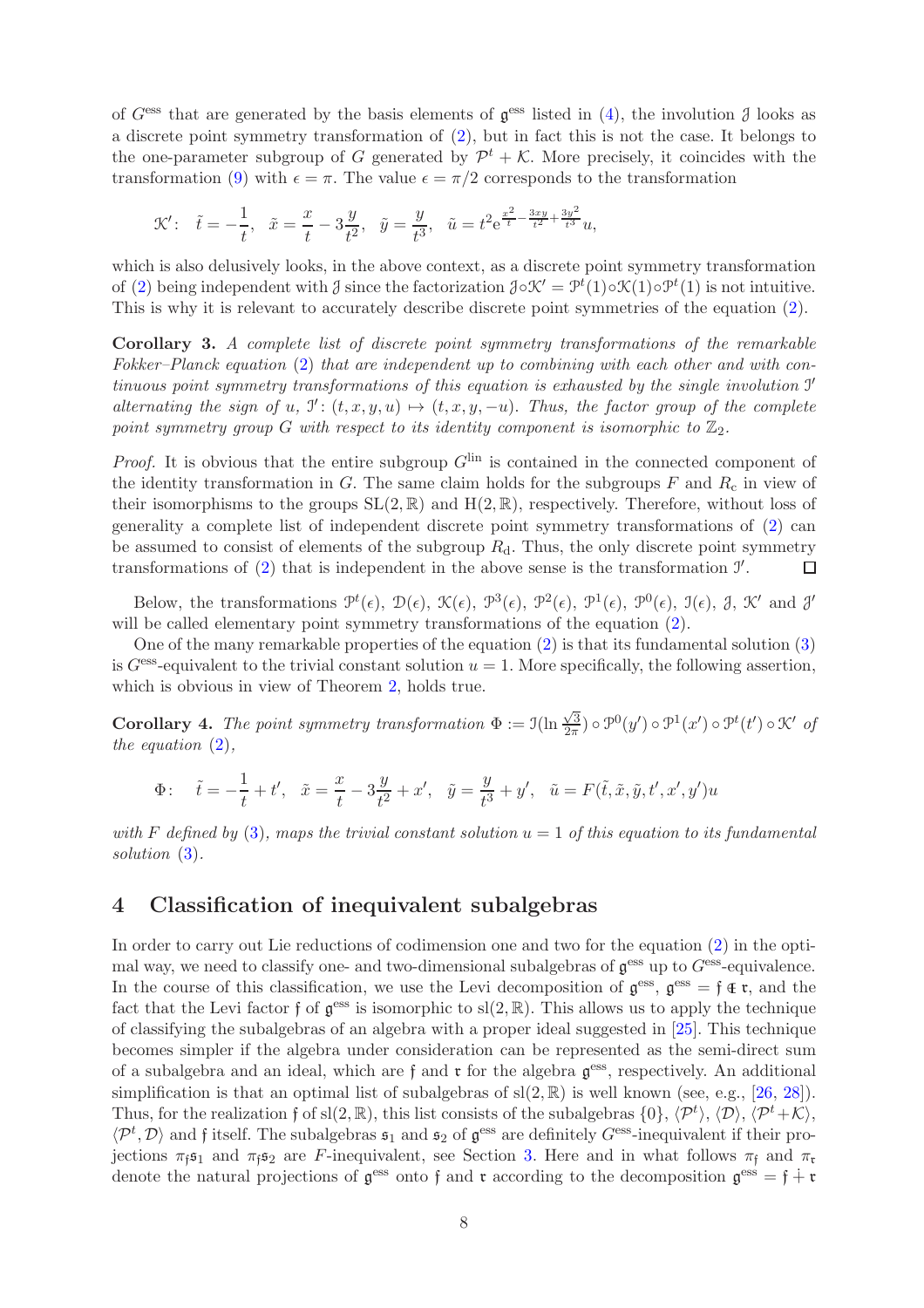of  $G<sup>ess</sup>$  that are generated by the basis elements of  $\mathfrak{g}^{ess}$  listed in [\(4\)](#page-3-5), the involution  $\mathfrak{J}$  looks as a discrete point symmetry transformation of [\(2\)](#page-1-0), but in fact this is not the case. It belongs to the one-parameter subgroup of G generated by  $\mathcal{P}^t + \mathcal{K}$ . More precisely, it coincides with the transformation [\(9\)](#page-6-0) with  $\epsilon = \pi$ . The value  $\epsilon = \pi/2$  corresponds to the transformation

$$
\mathcal{K}'\colon\ \ \, \tilde{t}=-\frac{1}{t},\ \ \, \tilde{x}=\frac{x}{t}-3\frac{y}{t^2},\ \ \, \tilde{y}=\frac{y}{t^3},\ \ \, \tilde{u}=t^2\mathrm{e}^{\frac{x^2}{t}-\frac{3xy}{t^2}+\frac{3y^2}{t^3}}u,
$$

which is also delusively looks, in the above context, as a discrete point symmetry transformation of [\(2\)](#page-1-0) being independent with  $\beta$  since the factorization  $\partial \circ \mathcal{K}' = \mathcal{P}^t(1) \circ \mathcal{K}(1) \circ \mathcal{P}^t(1)$  is not intuitive. This is why it is relevant to accurately describe discrete point symmetries of the equation [\(2\)](#page-1-0).

Corollary 3. A complete list of discrete point symmetry transformations of the remarkable Fokker–Planck equation [\(2\)](#page-1-0) that are independent up to combining with each other and with continuous point symmetry transformations of this equation is exhausted by the single involution I ′ alternating the sign of u,  $\mathcal{I}' : (t, x, y, u) \mapsto (t, x, y, -u)$ . Thus, the factor group of the complete point symmetry group G with respect to its identity component is isomorphic to  $\mathbb{Z}_2$ .

*Proof.* It is obvious that the entire subgroup  $G^{\text{lin}}$  is contained in the connected component of the identity transformation in  $G$ . The same claim holds for the subgroups  $F$  and  $R_c$  in view of their isomorphisms to the groups  $SL(2, \mathbb{R})$  and  $H(2, \mathbb{R})$ , respectively. Therefore, without loss of generality a complete list of independent discrete point symmetry transformations of [\(2\)](#page-1-0) can be assumed to consist of elements of the subgroup  $R_d$ . Thus, the only discrete point symmetry transformations of  $(2)$  that is independent in the above sense is the transformation  $\mathcal{I}'$ .  $\Box$ 

Below, the transformations  $\mathcal{P}^t(\epsilon)$ ,  $\mathcal{D}(\epsilon)$ ,  $\mathcal{K}(\epsilon)$ ,  $\mathcal{P}^3(\epsilon)$ ,  $\mathcal{P}^2(\epsilon)$ ,  $\mathcal{P}^1(\epsilon)$ ,  $\mathcal{P}^0(\epsilon)$ ,  $\mathcal{I}(\epsilon)$ ,  $\mathcal{J}$ ,  $\mathcal{K}'$  and  $\mathcal{J}'$ will be called elementary point symmetry transformations of the equation [\(2\)](#page-1-0).

One of the many remarkable properties of the equation [\(2\)](#page-1-0) is that its fundamental solution [\(3\)](#page-1-2) is  $G<sup>ess</sup>$ -equivalent to the trivial constant solution  $u = 1$ . More specifically, the following assertion, which is obvious in view of Theorem [2,](#page-4-3) holds true.

**Corollary 4.** The point symmetry transformation  $\Phi := \mathfrak{I}(\ln \frac{\sqrt{3}}{2\pi})$  $\frac{\sqrt{3}}{2\pi}$ )  $\circ \mathcal{P}^0(y') \circ \mathcal{P}^1(x') \circ \mathcal{P}^t(t') \circ \mathcal{K}'$  of the equation  $(2)$ ,

$$
\Phi: \quad \tilde{t} = -\frac{1}{t} + t', \quad \tilde{x} = \frac{x}{t} - 3\frac{y}{t^2} + x', \quad \tilde{y} = \frac{y}{t^3} + y', \quad \tilde{u} = F(\tilde{t}, \tilde{x}, \tilde{y}, t', x', y')u
$$

with F defined by [\(3\)](#page-1-2), maps the trivial constant solution  $u = 1$  of this equation to its fundamental solution  $(3)$ .

#### <span id="page-7-0"></span>4 Classification of inequivalent subalgebras

In order to carry out Lie reductions of codimension one and two for the equation [\(2\)](#page-1-0) in the optimal way, we need to classify one- and two-dimensional subalgebras of  $\mathfrak{g}^{\text{ess}}$  up to  $G^{\text{ess}}$ -equivalence. In the course of this classification, we use the Levi decomposition of  $\mathfrak{g}^{\text{ess}}, \mathfrak{g}^{\text{ess}} = \mathfrak{f} \in \mathfrak{r}$ , and the fact that the Levi factor f of  $\mathfrak{g}^{\text{ess}}$  is isomorphic to  $\text{sl}(2,\mathbb{R})$ . This allows us to apply the technique of classifying the subalgebras of an algebra with a proper ideal suggested in [\[25\]](#page-23-18). This technique becomes simpler if the algebra under consideration can be represented as the semi-direct sum of a subalgebra and an ideal, which are  $f$  and  $\mathfrak r$  for the algebra  $\mathfrak g^{\text{ess}}$ , respectively. An additional simplification is that an optimal list of subalgebras of  $sl(2, \mathbb{R})$  is well known (see, e.g., [\[26,](#page-23-19) [28\]](#page-23-20)). Thus, for the realization f of sl $(2, \mathbb{R})$ , this list consists of the subalgebras  $\{0\}$ ,  $\langle \mathcal{P}^t \rangle$ ,  $\langle \mathcal{D} \rangle$ ,  $\langle \mathcal{P}^t + \mathcal{K} \rangle$ ,  $\langle P^t, \mathcal{D} \rangle$  and f itself. The subalgebras  $\mathfrak{s}_1$  and  $\mathfrak{s}_2$  of  $\mathfrak{g}^{\text{ess}}$  are definitely  $G^{\text{ess}}$ -inequivalent if their projections  $\pi_f$ **s**<sub>1</sub> and  $\pi_f$ **s**<sub>2</sub> are *F*-inequivalent, see Section [3.](#page-3-0) Here and in what follows  $\pi_f$  and  $\pi_r$ denote the natural projections of  $\mathfrak{g}^{\text{ess}}$  onto f and  $\mathfrak{r}$  according to the decomposition  $\mathfrak{g}^{\text{ess}} = \mathfrak{f} + \mathfrak{r}$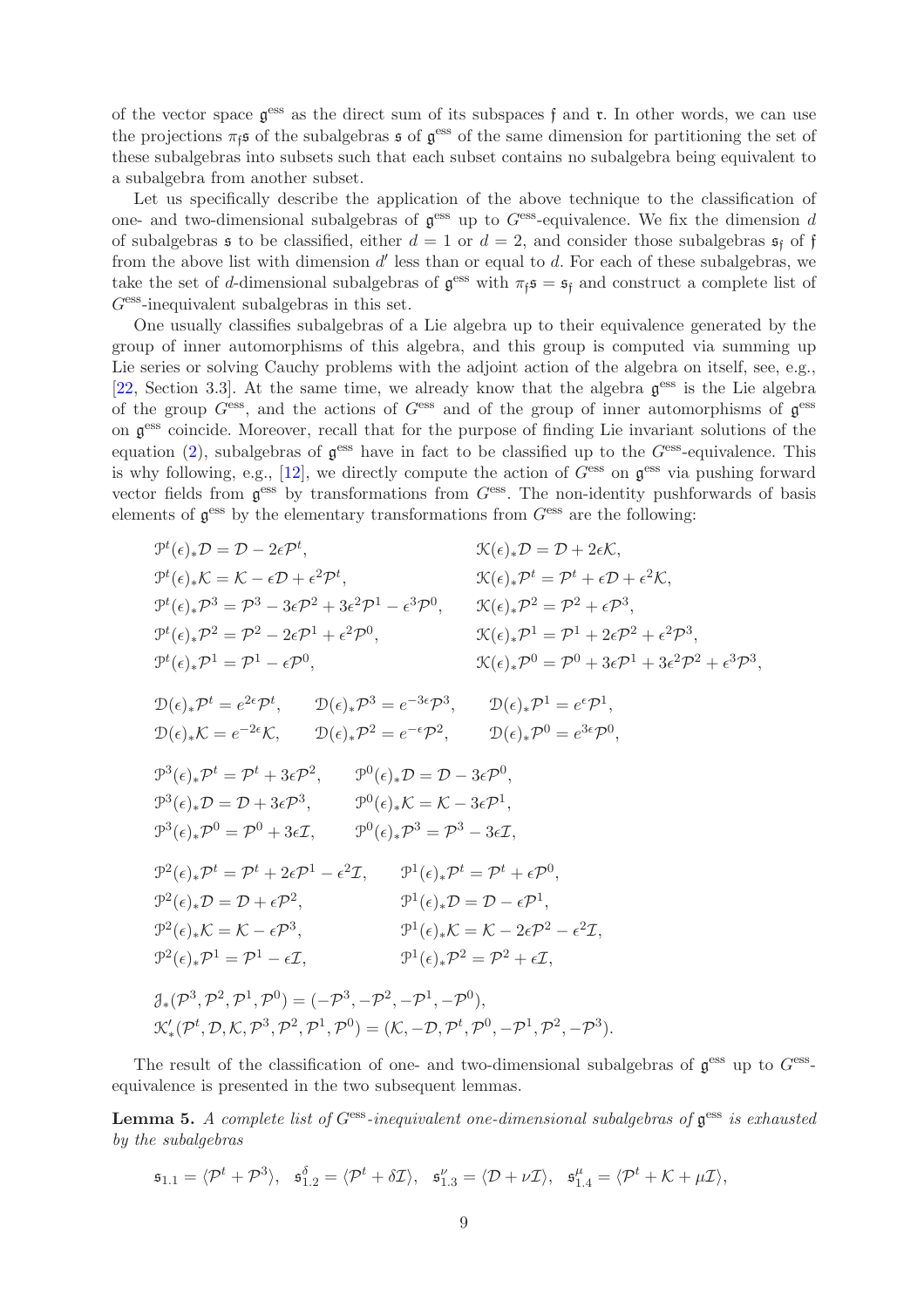of the vector space  $\mathfrak{g}^{\text{ess}}$  as the direct sum of its subspaces f and  $\mathfrak{r}$ . In other words, we can use the projections  $\pi_{\mathfrak{f}}$  of the subalgebras s of  $\mathfrak{g}^{\text{ess}}$  of the same dimension for partitioning the set of these subalgebras into subsets such that each subset contains no subalgebra being equivalent to a subalgebra from another subset.

Let us specifically describe the application of the above technique to the classification of one- and two-dimensional subalgebras of  $\mathfrak{g}^{\text{ess}}$  up to  $G^{\text{ess}}$ -equivalence. We fix the dimension d of subalgebras  $\mathfrak s$  to be classified, either  $d = 1$  or  $d = 2$ , and consider those subalgebras  $\mathfrak s_f$  of f from the above list with dimension  $d'$  less than or equal to  $d$ . For each of these subalgebras, we take the set of d-dimensional subalgebras of  $\mathfrak{g}^{\text{ess}}$  with  $\pi_{\mathfrak{f}} \mathfrak{s} = \mathfrak{s}_{\mathfrak{f}}$  and construct a complete list of  $G<sup>ess</sup>$ -inequivalent subalgebras in this set.

One usually classifies subalgebras of a Lie algebra up to their equivalence generated by the group of inner automorphisms of this algebra, and this group is computed via summing up Lie series or solving Cauchy problems with the adjoint action of the algebra on itself, see, e.g., [\[22,](#page-23-14) Section 3.3]. At the same time, we already know that the algebra  $\mathfrak{g}^{\text{ess}}$  is the Lie algebra of the group  $G<sup>ess</sup>$ , and the actions of  $G<sup>ess</sup>$  and of the group of inner automorphisms of  $\mathfrak{g}^{ess}$ on g ess coincide. Moreover, recall that for the purpose of finding Lie invariant solutions of the equation [\(2\)](#page-1-0), subalgebras of  $\mathfrak{g}^{\text{ess}}$  have in fact to be classified up to the  $G^{\text{ess}}$ -equivalence. This is why following, e.g., [\[12\]](#page-22-8), we directly compute the action of  $G^{\text{ess}}$  on  $\mathfrak{g}^{\text{ess}}$  via pushing forward vector fields from  $\mathfrak{g}^{\text{ess}}$  by transformations from  $G^{\text{ess}}$ . The non-identity pushforwards of basis elements of  $\mathfrak{g}^{\text{ess}}$  by the elementary transformations from  $G^{\text{ess}}$  are the following:

$$
\mathcal{P}^{t}(\epsilon)_{*}\mathcal{D} = \mathcal{D} - 2\epsilon \mathcal{P}^{t}, \qquad \mathcal{K}(\epsilon)_{*}\mathcal{D} = \mathcal{D} + 2\epsilon \mathcal{K},
$$
\n
$$
\mathcal{P}^{t}(\epsilon)_{*}\mathcal{K} = \mathcal{K} - \epsilon \mathcal{D} + \epsilon^{2} \mathcal{P}^{t}, \qquad \mathcal{K}(\epsilon)_{*}\mathcal{P}^{t} = \mathcal{P}^{t} + \epsilon \mathcal{D} + \epsilon^{2} \mathcal{K},
$$
\n
$$
\mathcal{P}^{t}(\epsilon)_{*}\mathcal{P}^{3} = \mathcal{P}^{3} - 3\epsilon \mathcal{P}^{2} + 3\epsilon^{2} \mathcal{P}^{1} - \epsilon^{3} \mathcal{P}^{0}, \qquad \mathcal{K}(\epsilon)_{*}\mathcal{P}^{2} = \mathcal{P}^{2} + \epsilon \mathcal{P}^{3},
$$
\n
$$
\mathcal{P}^{t}(\epsilon)_{*}\mathcal{P}^{1} = \mathcal{P}^{1} - \epsilon \mathcal{P}^{0}, \qquad \mathcal{K}(\epsilon)_{*}\mathcal{P}^{1} = \mathcal{P}^{1} + 2\epsilon \mathcal{P}^{2} + \epsilon^{2} \mathcal{P}^{3},
$$
\n
$$
\mathcal{P}^{t}(\epsilon)_{*}\mathcal{P}^{1} = \mathcal{P}^{1} - \epsilon \mathcal{P}^{0}, \qquad \mathcal{K}(\epsilon)_{*}\mathcal{P}^{0} = \mathcal{P}^{0} + 3\epsilon \mathcal{P}^{1} + 3\epsilon^{2} \mathcal{P}^{2} + \epsilon^{3} \mathcal{P}^{3},
$$
\n
$$
\mathcal{D}(\epsilon)_{*}\mathcal{P}^{t} = \mathcal{P}^{t} + 3\epsilon \mathcal{P}^{2}, \qquad \mathcal{D}(\epsilon)_{*}\mathcal{P}^{3} = e^{-3\epsilon} \mathcal{P}^{3}, \qquad \mathcal{D}(\epsilon)_{*}\mathcal{P}^{1} = e^{\epsilon} \mathcal{P}^{1},
$$
\n
$$
\mathcal{D}(\epsilon)_{*}\mathcal{K} = e^{-2\epsilon} \mathcal{K}, \qquad \mathcal{D}(\epsilon)_{*}\math
$$

The result of the classification of one- and two-dimensional subalgebras of  $\mathfrak{g}^{\text{ess}}$  up to  $G^{\text{ess}}$ equivalence is presented in the two subsequent lemmas.

<span id="page-8-0"></span>**Lemma 5.** A complete list of  $G<sup>ess</sup>$ -inequivalent one-dimensional subalgebras of  $\mathfrak{g}^{ess}$  is exhausted by the subalgebras

$$
\mathfrak{s}_{1,1} = \langle \mathcal{P}^t + \mathcal{P}^3 \rangle, \quad \mathfrak{s}_{1,2}^{\delta} = \langle \mathcal{P}^t + \delta \mathcal{I} \rangle, \quad \mathfrak{s}_{1,3}^{\nu} = \langle \mathcal{D} + \nu \mathcal{I} \rangle, \quad \mathfrak{s}_{1,4}^{\mu} = \langle \mathcal{P}^t + \mathcal{K} + \mu \mathcal{I} \rangle,
$$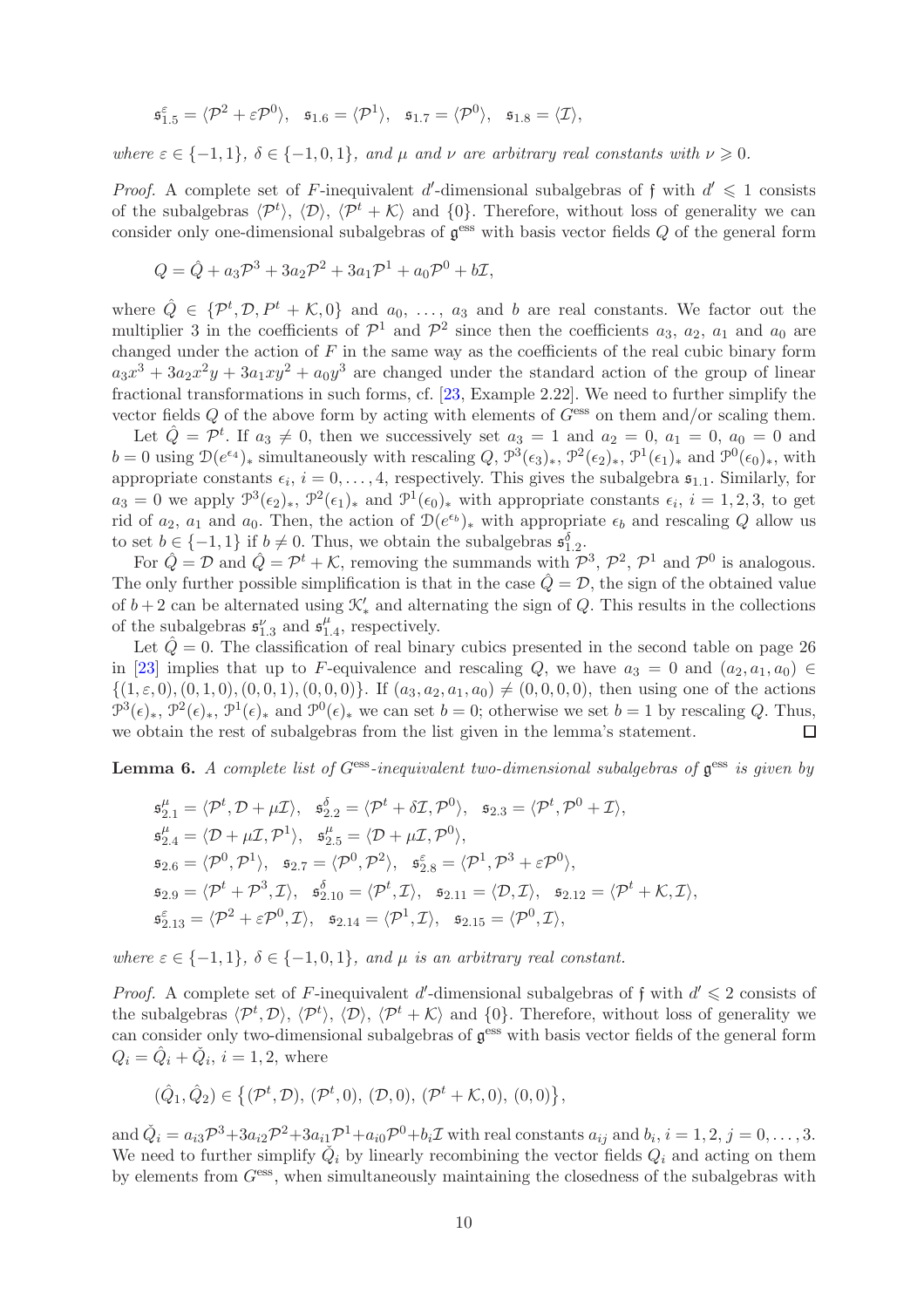$$
\mathfrak{s}_{1.5}^{\varepsilon}=\langle \mathcal{P}^2+\varepsilon\mathcal{P}^0\rangle, \quad \mathfrak{s}_{1.6}=\langle \mathcal{P}^1\rangle, \quad \mathfrak{s}_{1.7}=\langle \mathcal{P}^0\rangle, \quad \mathfrak{s}_{1.8}=\langle \mathcal{I}\rangle,
$$

where  $\varepsilon \in \{-1,1\}, \delta \in \{-1,0,1\}, \text{ and } \mu \text{ and } \nu \text{ are arbitrary real constants with } \nu \geq 0.$ 

*Proof.* A complete set of F-inequivalent d'-dimensional subalgebras of f with  $d' \leq 1$  consists of the subalgebras  $\langle \mathcal{P}^t \rangle$ ,  $\langle \mathcal{D} \rangle$ ,  $\langle \mathcal{P}^t + \mathcal{K} \rangle$  and  $\{0\}$ . Therefore, without loss of generality we can consider only one-dimensional subalgebras of  $\mathfrak{g}^{\text{ess}}$  with basis vector fields  $Q$  of the general form

$$
Q = \hat{Q} + a_3 \mathcal{P}^3 + 3a_2 \mathcal{P}^2 + 3a_1 \mathcal{P}^1 + a_0 \mathcal{P}^0 + b\mathcal{I},
$$

where  $\hat{Q} \in \{P^t, \mathcal{D}, P^t + \mathcal{K}, 0\}$  and  $a_0, \ldots, a_3$  and b are real constants. We factor out the multiplier 3 in the coefficients of  $\mathcal{P}^1$  and  $\mathcal{P}^2$  since then the coefficients  $a_3$ ,  $a_2$ ,  $a_1$  and  $a_0$  are changed under the action of  $F$  in the same way as the coefficients of the real cubic binary form  $a_3x^3 + 3a_2x^2y + 3a_1xy^2 + a_0y^3$  are changed under the standard action of the group of linear fractional transformations in such forms, cf. [\[23,](#page-23-21) Example 2.22]. We need to further simplify the vector fields  $Q$  of the above form by acting with elements of  $G<sup>ess</sup>$  on them and/or scaling them.

Let  $\hat{Q} = \mathcal{P}^t$ . If  $a_3 \neq 0$ , then we successively set  $a_3 = 1$  and  $a_2 = 0$ ,  $a_1 = 0$ ,  $a_0 = 0$  and  $b=0$  using  $\mathcal{D}(e^{\epsilon_4})_*$  simultaneously with rescaling  $Q, \mathcal{P}^3(\epsilon_3)_*, \mathcal{P}^2(\epsilon_2)_*, \mathcal{P}^1(\epsilon_1)_*$  and  $\mathcal{P}^0(\epsilon_0)_*,$  with appropriate constants  $\epsilon_i$ ,  $i = 0, \ldots, 4$ , respectively. This gives the subalgebra  $\mathfrak{s}_{1,1}$ . Similarly, for  $a_3 = 0$  we apply  $\mathcal{P}^3(\epsilon_2)_*, \mathcal{P}^2(\epsilon_1)_*$  and  $\mathcal{P}^1(\epsilon_0)_*$  with appropriate constants  $\epsilon_i, i = 1, 2, 3$ , to get rid of  $a_2$ ,  $a_1$  and  $a_0$ . Then, the action of  $\mathcal{D}(e^{\epsilon_b})_*$  with appropriate  $\epsilon_b$  and rescaling Q allow us to set  $b \in \{-1, 1\}$  if  $b \neq 0$ . Thus, we obtain the subalgebras  $\mathfrak{s}_{1,2}^{\delta}$ .

For  $\hat{Q} = \mathcal{D}$  and  $\hat{Q} = \mathcal{P}^t + \mathcal{K}$ , removing the summands with  $\mathcal{P}^3$ ,  $\mathcal{P}^2$ ,  $\mathcal{P}^1$  and  $\mathcal{P}^0$  is analogous. The only further possible simplification is that in the case  $\hat{Q} = \mathcal{D}$ , the sign of the obtained value of  $b+2$  can be alternated using  $\mathcal{K}'_*$  and alternating the sign of Q. This results in the collections of the subalgebras  $\mathfrak{s}_{1.3}^{\nu}$  and  $\mathfrak{s}_{1.4}^{\mu}$ , res  $l_{1.4}^{\mu}$ , respectively.

Let  $Q = 0$ . The classification of real binary cubics presented in the second table on page 26 in [\[23\]](#page-23-21) implies that up to F-equivalence and rescaling Q, we have  $a_3 = 0$  and  $(a_2, a_1, a_0) \in$  $\{(1, \varepsilon, 0), (0, 1, 0), (0, 0, 1), (0, 0, 0)\}.$  If  $(a_3, a_2, a_1, a_0) \neq (0, 0, 0, 0)$ , then using one of the actions  $\mathcal{P}^3(\epsilon)_*, \mathcal{P}^2(\epsilon)_*, \mathcal{P}^1(\epsilon)_*$  and  $\mathcal{P}^0(\epsilon)_*$  we can set  $b=0$ ; otherwise we set  $b=1$  by rescaling Q. Thus, we obtain the rest of subalgebras from the list given in the lemma's statement.

<span id="page-9-0"></span>**Lemma 6.** A complete list of  $G^{\text{ess}}$ -inequivalent two-dimensional subalgebras of  $\mathfrak{g}^{\text{ess}}$  is given by

$$
\begin{aligned}\n\mathfrak{s}_{2.1}^{\mu} &= \langle \mathcal{P}^{t}, \mathcal{D} + \mu \mathcal{I} \rangle, \quad \mathfrak{s}_{2.2}^{\delta} = \langle \mathcal{P}^{t} + \delta \mathcal{I}, \mathcal{P}^{0} \rangle, \quad \mathfrak{s}_{2.3} = \langle \mathcal{P}^{t}, \mathcal{P}^{0} + \mathcal{I} \rangle, \\
\mathfrak{s}_{2.4}^{\mu} &= \langle \mathcal{D} + \mu \mathcal{I}, \mathcal{P}^{1} \rangle, \quad \mathfrak{s}_{2.5}^{\mu} = \langle \mathcal{D} + \mu \mathcal{I}, \mathcal{P}^{0} \rangle, \\
\mathfrak{s}_{2.6} &= \langle \mathcal{P}^{0}, \mathcal{P}^{1} \rangle, \quad \mathfrak{s}_{2.7} = \langle \mathcal{P}^{0}, \mathcal{P}^{2} \rangle, \quad \mathfrak{s}_{2.8}^{\varepsilon} = \langle \mathcal{P}^{1}, \mathcal{P}^{3} + \varepsilon \mathcal{P}^{0} \rangle, \\
\mathfrak{s}_{2.9} &= \langle \mathcal{P}^{t} + \mathcal{P}^{3}, \mathcal{I} \rangle, \quad \mathfrak{s}_{2.10}^{\delta} = \langle \mathcal{P}^{t}, \mathcal{I} \rangle, \quad \mathfrak{s}_{2.11} = \langle \mathcal{D}, \mathcal{I} \rangle, \quad \mathfrak{s}_{2.12} = \langle \mathcal{P}^{t} + \mathcal{K}, \mathcal{I} \rangle, \\
\mathfrak{s}_{2.13}^{\varepsilon} &= \langle \mathcal{P}^{2} + \varepsilon \mathcal{P}^{0}, \mathcal{I} \rangle, \quad \mathfrak{s}_{2.14} = \langle \mathcal{P}^{1}, \mathcal{I} \rangle, \quad \mathfrak{s}_{2.15} = \langle \mathcal{P}^{0}, \mathcal{I} \rangle,\n\end{aligned}
$$

where  $\varepsilon \in \{-1,1\}$ ,  $\delta \in \{-1,0,1\}$ , and  $\mu$  is an arbitrary real constant.

*Proof.* A complete set of F-inequivalent d'-dimensional subalgebras of f with  $d' \leq 2$  consists of the subalgebras  $\langle \mathcal{P}^t, \mathcal{D} \rangle$ ,  $\langle \mathcal{P}^t \rangle$ ,  $\langle \mathcal{D} \rangle$ ,  $\langle \mathcal{P}^t + \mathcal{K} \rangle$  and  $\{0\}$ . Therefore, without loss of generality we can consider only two-dimensional subalgebras of  $\mathfrak{g}^{\text{ess}}$  with basis vector fields of the general form  $Q_i = \hat{Q}_i + \check{Q}_i, i = 1, 2$ , where

$$
(\hat{Q}_1, \hat{Q}_2) \in \{(\mathcal{P}^t, \mathcal{D}), (\mathcal{P}^t, 0), (\mathcal{D}, 0), (\mathcal{P}^t + \mathcal{K}, 0), (0, 0)\},\
$$

and  $\check{Q}_i = a_{i3}\mathcal{P}^3 + 3a_{i2}\mathcal{P}^2 + 3a_{i1}\mathcal{P}^1 + a_{i0}\mathcal{P}^0 + b_i\mathcal{I}$  with real constants  $a_{ij}$  and  $b_i$ ,  $i = 1, 2, j = 0, \ldots, 3$ . We need to further simplify  $\check{Q}_i$  by linearly recombining the vector fields  $Q_i$  and acting on them by elements from  $G<sup>ess</sup>$ , when simultaneously maintaining the closedness of the subalgebras with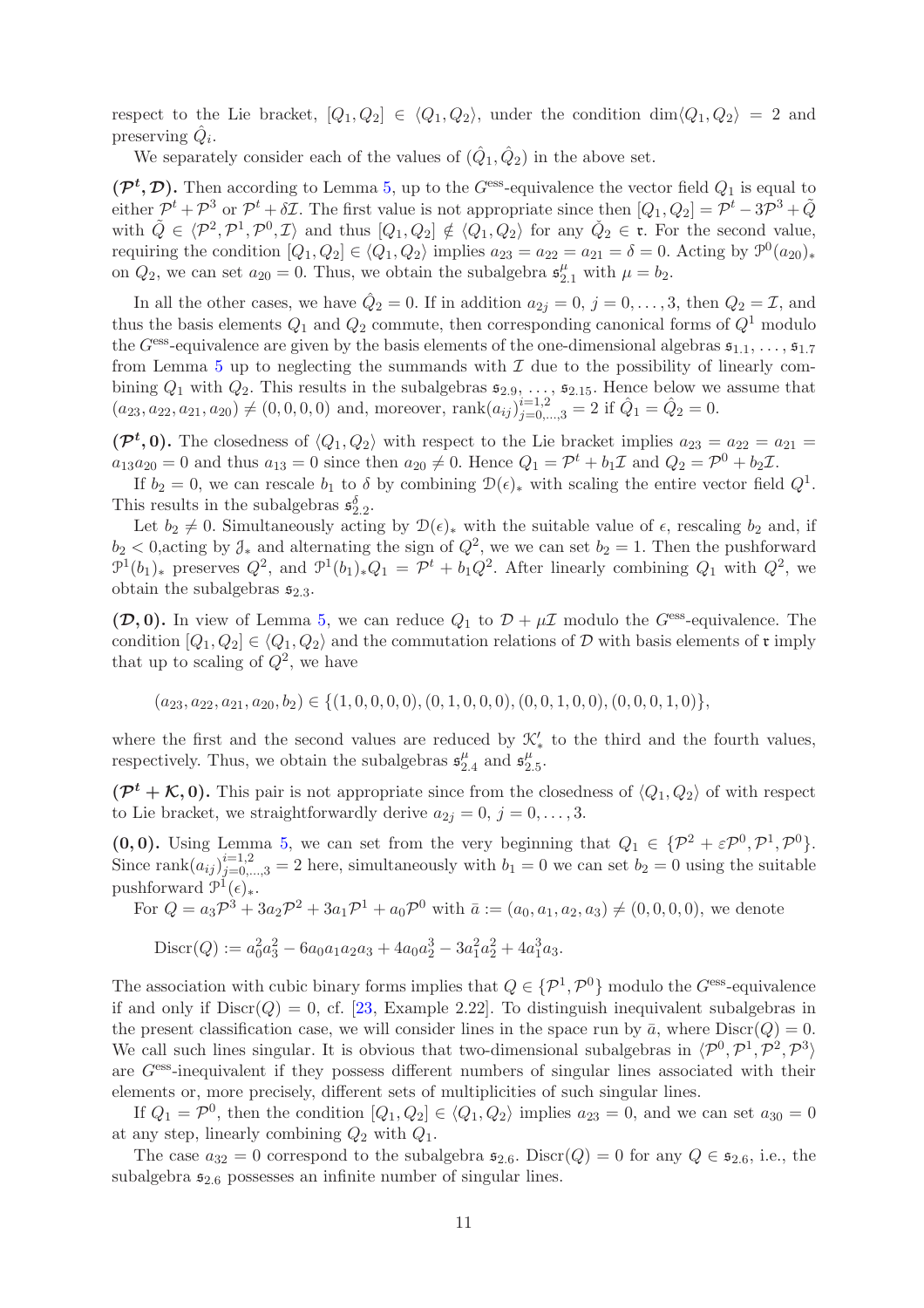respect to the Lie bracket,  $[Q_1, Q_2] \in \langle Q_1, Q_2 \rangle$ , under the condition dim $\langle Q_1, Q_2 \rangle = 2$  and preserving  $\hat{Q}_i$ .

We separately consider each of the values of  $(\hat{Q}_1, \hat{Q}_2)$  in the above set.

 $(\mathcal{P}^t, \mathcal{D})$ . Then according to Lemma [5,](#page-8-0) up to the G<sup>ess</sup>-equivalence the vector field  $Q_1$  is equal to either  $\mathcal{P}^t + \mathcal{P}^3$  or  $\mathcal{P}^t + \delta \mathcal{I}$ . The first value is not appropriate since then  $[Q_1, Q_2] = \mathcal{P}^t - 3\mathcal{P}^3 + \tilde{Q}$ with  $\tilde{Q} \in \langle \mathcal{P}^2, \mathcal{P}^1, \mathcal{P}^0, \mathcal{I} \rangle$  and thus  $[Q_1, Q_2] \notin \langle Q_1, Q_2 \rangle$  for any  $\tilde{Q}_2 \in \mathfrak{r}$ . For the second value, requiring the condition  $[Q_1, Q_2] \in \langle Q_1, Q_2 \rangle$  implies  $a_{23} = a_{22} = a_{21} = \delta = 0$ . Acting by  $\mathcal{P}^0(a_{20})_*$ on  $Q_2$ , we can set  $a_{20} = 0$ . Thus, we obtain the subalgebra  $\mathfrak{s}_{2.1}^{\mu}$  with  $\mu = b_2$ .

In all the other cases, we have  $\hat{Q}_2 = 0$ . If in addition  $a_{2j} = 0, j = 0, \ldots, 3$ , then  $Q_2 = \mathcal{I}$ , and thus the basis elements  $Q_1$  and  $Q_2$  commute, then corresponding canonical forms of  $Q<sup>1</sup>$  modulo the G<sup>ess</sup>-equivalence are given by the basis elements of the one-dimensional algebras  $\mathfrak{s}_{1,1}, \ldots, \mathfrak{s}_{1,7}$ from Lemma  $5$  up to neglecting the summands with  $\mathcal I$  due to the possibility of linearly combining  $Q_1$  with  $Q_2$ . This results in the subalgebras  $\mathfrak{s}_{2.9}, \ldots, \mathfrak{s}_{2.15}$ . Hence below we assume that  $(a_{23}, a_{22}, a_{21}, a_{20}) \neq (0, 0, 0, 0)$  and, moreover,  $\text{rank}(a_{ij})_{j=0,\dots,3}^{i=1,2} = 2$  if  $\hat{Q}_1 = \hat{Q}_2 = 0$ .

 $(\mathcal{P}^t, 0)$ . The closedness of  $\langle Q_1, Q_2 \rangle$  with respect to the Lie bracket implies  $a_{23} = a_{22} = a_{21} = a_{22}$  $a_{13}a_{20} = 0$  and thus  $a_{13} = 0$  since then  $a_{20} \neq 0$ . Hence  $Q_1 = \mathcal{P}^t + b_1\mathcal{I}$  and  $Q_2 = \mathcal{P}^0 + b_2\mathcal{I}$ .

If  $b_2 = 0$ , we can rescale  $b_1$  to  $\delta$  by combining  $\mathcal{D}(\epsilon)_*$  with scaling the entire vector field  $Q^1$ . This results in the subalgebras  $\mathfrak{s}_{2.2}^{\delta}$ .

Let  $b_2 \neq 0$ . Simultaneously acting by  $\mathcal{D}(\epsilon)_*$  with the suitable value of  $\epsilon$ , rescaling  $b_2$  and, if  $b_2 < 0$ , acting by  $\mathcal{J}_*$  and alternating the sign of  $Q^2$ , we we can set  $b_2 = 1$ . Then the pushforward  $\mathcal{P}^1(b_1)_*$  preserves  $Q^2$ , and  $\mathcal{P}^1(b_1)_*Q_1 = \mathcal{P}^t + b_1Q^2$ . After linearly combining  $Q_1$  with  $Q^2$ , we obtain the subalgebras  $\mathfrak{s}_{2,3}$ .

 $(\mathcal{D}, 0)$ . In view of Lemma [5,](#page-8-0) we can reduce  $Q_1$  to  $\mathcal{D} + \mu \mathcal{I}$  modulo the G<sup>ess</sup>-equivalence. The condition  $[Q_1, Q_2] \in \langle Q_1, Q_2 \rangle$  and the commutation relations of D with basis elements of r imply that up to scaling of  $Q^2$ , we have

$$
(a_{23}, a_{22}, a_{21}, a_{20}, b_2) \in \{(1, 0, 0, 0, 0), (0, 1, 0, 0, 0), (0, 0, 1, 0, 0), (0, 0, 0, 1, 0)\},\
$$

where the first and the second values are reduced by  $\mathcal{K}'_*$  to the third and the fourth values, where the first and the second values are reduced by  $\mathcal{L}_{\mathbf{A}}^{\mu}$  and  $\mathfrak{s}_{2.5}^{\mu}$  respectively. Thus, we obtain the subalgebras  $\mathfrak{s}_{2.4}^{\mu}$  and  $\mathfrak{s}_{2.5}^{\mu}$  $_{2.4}^{\mu}$  and  $\mathfrak{s}^{\mu}_2$  $\frac{\mu}{2.5}$ .

 $(\mathcal{P}^t + \mathcal{K}, 0)$ . This pair is not appropriate since from the closedness of  $\langle Q_1, Q_2 \rangle$  of with respect to Lie bracket, we straightforwardly derive  $a_{2j} = 0, j = 0, \ldots, 3$ .

(0,0). Using Lemma [5,](#page-8-0) we can set from the very beginning that  $Q_1 \in \{P^2 + \varepsilon P^0, P^1, P^0\}.$ Since rank $(a_{ij})_{j=0,\dots,3}^{i=1,2} = 2$  here, simultaneously with  $b_1 = 0$  we can set  $b_2 = 0$  using the suitable pushforward  $\mathcal{P}^{\mathbb{1}}(\epsilon)_*.$ 

For  $Q = a_3 \mathcal{P}^3 + 3a_2 \mathcal{P}^2 + 3a_1 \mathcal{P}^1 + a_0 \mathcal{P}^0$  with  $\bar{a} := (a_0, a_1, a_2, a_3) \neq (0, 0, 0, 0)$ , we denote

$$
\text{Discr}(Q) := a_0^2 a_3^2 - 6a_0 a_1 a_2 a_3 + 4a_0 a_2^3 - 3a_1^2 a_2^2 + 4a_1^3 a_3.
$$

The association with cubic binary forms implies that  $Q \in \{P^1, P^0\}$  modulo the  $G^{\text{ess}}$ -equivalence if and only if  $Discr(Q) = 0$ , cf. [\[23,](#page-23-21) Example 2.22]. To distinguish inequivalent subalgebras in the present classification case, we will consider lines in the space run by  $\bar{a}$ , where  $\text{Discr}(Q) = 0$ . We call such lines singular. It is obvious that two-dimensional subalgebras in  $\langle \mathcal{P}^0, \mathcal{P}^1, \mathcal{P}^2, \mathcal{P}^3 \rangle$ are Gess-inequivalent if they possess different numbers of singular lines associated with their elements or, more precisely, different sets of multiplicities of such singular lines.

If  $Q_1 = \mathcal{P}^0$ , then the condition  $[Q_1, Q_2] \in \langle Q_1, Q_2 \rangle$  implies  $a_{23} = 0$ , and we can set  $a_{30} = 0$ at any step, linearly combining  $Q_2$  with  $Q_1$ .

The case  $a_{32} = 0$  correspond to the subalgebra  $\mathfrak{s}_{2.6}$ . Discr $(Q) = 0$  for any  $Q \in \mathfrak{s}_{2.6}$ , i.e., the subalgebra  $\mathfrak{s}_{2.6}$  possesses an infinite number of singular lines.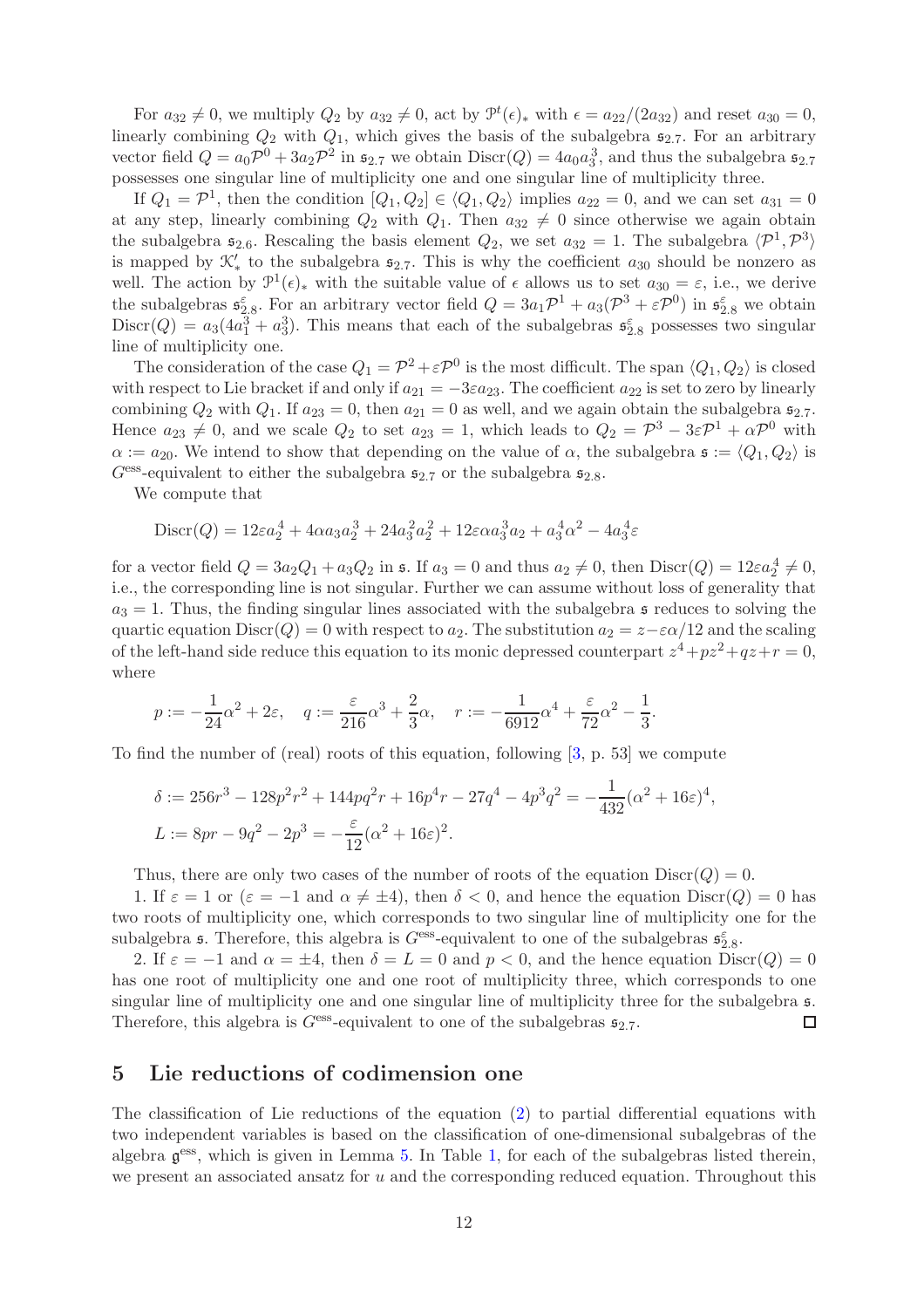For  $a_{32} \neq 0$ , we multiply  $Q_2$  by  $a_{32} \neq 0$ , act by  $\mathcal{P}^t(\epsilon)_*$  with  $\epsilon = a_{22}/(2a_{32})$  and reset  $a_{30} = 0$ , linearly combining  $Q_2$  with  $Q_1$ , which gives the basis of the subalgebra  $\mathfrak{s}_{2.7}$ . For an arbitrary vector field  $Q = a_0 \mathcal{P}^0 + 3a_2 \mathcal{P}^2$  in  $\mathfrak{s}_{2.7}$  we obtain  $Discr(Q) = 4a_0 a_3^3$ , and thus the subalgebra  $\mathfrak{s}_{2.7}$ possesses one singular line of multiplicity one and one singular line of multiplicity three.

If  $Q_1 = \mathcal{P}^1$ , then the condition  $[Q_1, Q_2] \in \langle Q_1, Q_2 \rangle$  implies  $a_{22} = 0$ , and we can set  $a_{31} = 0$ at any step, linearly combining  $Q_2$  with  $Q_1$ . Then  $a_{32} \neq 0$  since otherwise we again obtain the subalgebra  $\mathfrak{s}_{2.6}$ . Rescaling the basis element  $Q_2$ , we set  $a_{32} = 1$ . The subalgebra  $\langle \mathcal{P}^1, \mathcal{P}^3 \rangle$ is mapped by  $\mathcal{K}'_*$  to the subalgebra  $\mathfrak{s}_{2.7}$ . This is why the coefficient  $a_{30}$  should be nonzero as well. The action by  $\mathcal{P}^1(\epsilon)_*$  with the suitable value of  $\epsilon$  allows us to set  $a_{30} = \epsilon$ , i.e., we derive the subalgebras  $\mathfrak{s}_{2,8}^{\varepsilon}$ . For an arbitrary vector field  $Q = 3a_1 \mathcal{P}^1 + a_3(\mathcal{P}^3 + \varepsilon \mathcal{P}^0)$  in  $\mathfrak{s}_{2,8}^{\varepsilon}$  we obtain  $Discr(Q) = a_3(4a_1^3 + a_3^3)$ . This means that each of the subalgebras  $\mathfrak{s}_{2.8}^{\varepsilon}$  possesses two singular line of multiplicity one.

The consideration of the case  $Q_1 = \mathcal{P}^2 + \varepsilon \mathcal{P}^0$  is the most difficult. The span  $\langle Q_1, Q_2 \rangle$  is closed with respect to Lie bracket if and only if  $a_{21} = -3\varepsilon a_{23}$ . The coefficient  $a_{22}$  is set to zero by linearly combining  $Q_2$  with  $Q_1$ . If  $a_{23} = 0$ , then  $a_{21} = 0$  as well, and we again obtain the subalgebra  $\mathfrak{s}_{2.7}$ . Hence  $a_{23} \neq 0$ , and we scale  $Q_2$  to set  $a_{23} = 1$ , which leads to  $Q_2 = \mathcal{P}^3 - 3\varepsilon \mathcal{P}^1 + \alpha \mathcal{P}^0$  with  $\alpha := a_{20}$ . We intend to show that depending on the value of  $\alpha$ , the subalgebra  $\mathfrak{s} := \langle Q_1, Q_2 \rangle$  is  $G<sup>ess</sup>$ -equivalent to either the subalgebra  $\mathfrak{s}_{2.7}$  or the subalgebra  $\mathfrak{s}_{2.8}$ .

We compute that

$$
Discr(Q) = 12\varepsilon a_2^4 + 4\alpha a_3 a_2^3 + 24a_3^2 a_2^2 + 12\varepsilon \alpha a_3^3 a_2 + a_3^4 \alpha^2 - 4a_3^4 \varepsilon
$$

for a vector field  $Q = 3a_2Q_1 + a_3Q_2$  in s. If  $a_3 = 0$  and thus  $a_2 \neq 0$ , then  $Discr(Q) = 12\varepsilon a_2^4 \neq 0$ , i.e., the corresponding line is not singular. Further we can assume without loss of generality that  $a_3 = 1$ . Thus, the finding singular lines associated with the subalgebra s reduces to solving the quartic equation Discr(Q) = 0 with respect to  $a_2$ . The substitution  $a_2 = z - \varepsilon \alpha/12$  and the scaling of the left-hand side reduce this equation to its monic depressed counterpart  $z^4 + pz^2 + qz + r = 0$ , where

$$
p := -\frac{1}{24}\alpha^2 + 2\varepsilon
$$
,  $q := \frac{\varepsilon}{216}\alpha^3 + \frac{2}{3}\alpha$ ,  $r := -\frac{1}{6912}\alpha^4 + \frac{\varepsilon}{72}\alpha^2 - \frac{1}{3}$ .

To find the number of (real) roots of this equation, following [\[3,](#page-22-9) p. 53] we compute

$$
\delta := 256r^3 - 128p^2r^2 + 144pq^2r + 16p^4r - 27q^4 - 4p^3q^2 = -\frac{1}{432}(\alpha^2 + 16\varepsilon)^4,
$$
  
\n
$$
L := 8pr - 9q^2 - 2p^3 = -\frac{\varepsilon}{12}(\alpha^2 + 16\varepsilon)^2.
$$

Thus, there are only two cases of the number of roots of the equation  $Discr(Q) = 0$ .

1. If  $\varepsilon = 1$  or  $(\varepsilon = -1$  and  $\alpha \neq \pm 4$ , then  $\delta < 0$ , and hence the equation  $Discr(Q) = 0$  has two roots of multiplicity one, which corresponds to two singular line of multiplicity one for the subalgebra **s**. Therefore, this algebra is  $G^{\text{ess}}$ -equivalent to one of the subalgebras  $\mathfrak{s}_{2.8}^{\varepsilon}$ .

2. If  $\varepsilon = -1$  and  $\alpha = \pm 4$ , then  $\delta = L = 0$  and  $p < 0$ , and the hence equation  $Discr(Q) = 0$ has one root of multiplicity one and one root of multiplicity three, which corresponds to one singular line of multiplicity one and one singular line of multiplicity three for the subalgebra  $\mathfrak{s}$ . Therefore, this algebra is  $G<sup>ess</sup>$ -equivalent to one of the subalgebras  $\mathfrak{s}_{2.7}$ .  $\Box$ 

#### <span id="page-11-0"></span>5 Lie reductions of codimension one

The classification of Lie reductions of the equation [\(2\)](#page-1-0) to partial differential equations with two independent variables is based on the classification of one-dimensional subalgebras of the algebra  $g^{ess}$ , which is given in Lemma [5.](#page-8-0) In Table [1,](#page-12-0) for each of the subalgebras listed therein, we present an associated ansatz for u and the corresponding reduced equation. Throughout this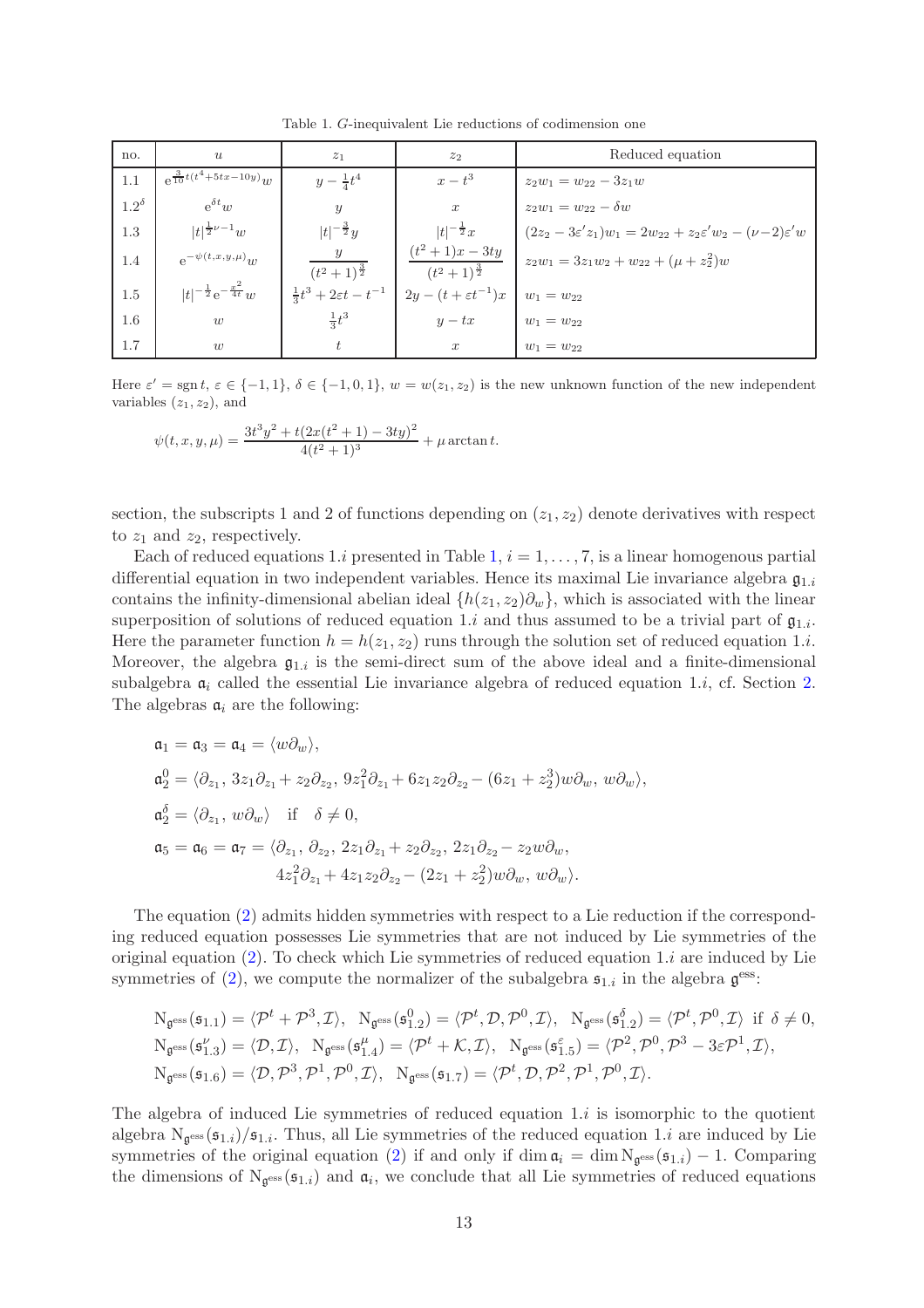<span id="page-12-0"></span>Table 1. G-inequivalent Lie reductions of codimension one

| no.            | $\boldsymbol{u}$                         | $z_1$                   | z <sub>2</sub>                                                              | Reduced equation                                                                          |
|----------------|------------------------------------------|-------------------------|-----------------------------------------------------------------------------|-------------------------------------------------------------------------------------------|
| 1.1            | $e^{\frac{3}{10}t(t^4+5tx-10y)}w$        | $y - \frac{1}{4}t^4$    | $x-t^3$                                                                     | $z_2w_1 = w_{22} - 3z_1w$                                                                 |
| $1.2^{\delta}$ | $e^{\delta t}w$                          | $\mathcal{Y}$           | $\boldsymbol{x}$                                                            | $z_2w_1 = w_{22} - \delta w$                                                              |
| 1.3            | $ t ^{\frac{1}{2}\nu-1}w$                | $ t ^{-\frac{3}{2}}y$   | $ t ^{-\frac{1}{2}}x$                                                       | $(2z_2 - 3\varepsilon' z_1)w_1 = 2w_{22} + z_2\varepsilon' w_2 - (\nu - 2)\varepsilon' w$ |
| 1.4            | $e^{-\psi(t,x,y,\mu)}w$                  | $(t^2+1)^{\frac{3}{2}}$ | $(t^2+1)x-3ty$<br>$(t^2+1)^{\frac{3}{2}}$                                   | $z_2w_1 = 3z_1w_2 + w_{22} + (\mu + z_2^2)w$                                              |
| 1.5            | $ t ^{-\frac{1}{2}}e^{-\frac{x^2}{4t}}w$ |                         | $\frac{1}{3}t^3 + 2\varepsilon t - t^{-1}$ $2y - (t + \varepsilon t^{-1})x$ | $w_1 = w_{22}$                                                                            |
| 1.6            | w                                        | $\frac{1}{3}t^3$        | $y - tx$                                                                    | $w_1 = w_{22}$                                                                            |
| 1.7            | w                                        |                         | $\boldsymbol{x}$                                                            | $w_1 = w_{22}$                                                                            |

Here  $\varepsilon' = \text{sgn } t, \varepsilon \in \{-1, 1\}, \delta \in \{-1, 0, 1\}, w = w(z_1, z_2)$  is the new unknown function of the new independent variables  $(z_1, z_2)$ , and

$$
\psi(t, x, y, \mu) = \frac{3t^3y^2 + t(2x(t^2 + 1) - 3ty)^2}{4(t^2 + 1)^3} + \mu \arctan t.
$$

section, the subscripts 1 and 2 of functions depending on  $(z_1, z_2)$  denote derivatives with respect to  $z_1$  and  $z_2$ , respectively.

Each of reduced equations 1.i presented in Table [1,](#page-12-0)  $i = 1, \ldots, 7$ , is a linear homogenous partial differential equation in two independent variables. Hence its maximal Lie invariance algebra  $\mathfrak{g}_{1,i}$ contains the infinity-dimensional abelian ideal  $\{h(z_1, z_2)\partial_w\}$ , which is associated with the linear superposition of solutions of reduced equation 1.i and thus assumed to be a trivial part of  $\mathfrak{g}_{1,i}$ . Here the parameter function  $h = h(z_1, z_2)$  runs through the solution set of reduced equation 1.*i*. Moreover, the algebra  $\mathfrak{g}_{1,i}$  is the semi-direct sum of the above ideal and a finite-dimensional subalgebra  $a_i$  called the essential Lie invariance algebra of reduced equation 1.*i*, cf. Section [2.](#page-2-0) The algebras  $a_i$  are the following:

$$
\begin{aligned}\n\mathfrak{a}_1 &= \mathfrak{a}_3 = \mathfrak{a}_4 = \langle w \partial_w \rangle, \\
\mathfrak{a}_2^0 &= \langle \partial_{z_1}, 3z_1 \partial_{z_1} + z_2 \partial_{z_2}, 9z_1^2 \partial_{z_1} + 6z_1 z_2 \partial_{z_2} - (6z_1 + z_2^3) w \partial_w, w \partial_w \rangle, \\
\mathfrak{a}_2^{\delta} &= \langle \partial_{z_1}, w \partial_w \rangle \quad \text{if} \quad \delta \neq 0, \\
\mathfrak{a}_5 &= \mathfrak{a}_6 = \mathfrak{a}_7 = \langle \partial_{z_1}, \partial_{z_2}, 2z_1 \partial_{z_1} + z_2 \partial_{z_2}, 2z_1 \partial_{z_2} - z_2 w \partial_w, \\
&\quad 4z_1^2 \partial_{z_1} + 4z_1 z_2 \partial_{z_2} - (2z_1 + z_2^2) w \partial_w, w \partial_w \rangle.\n\end{aligned}
$$

The equation [\(2\)](#page-1-0) admits hidden symmetries with respect to a Lie reduction if the corresponding reduced equation possesses Lie symmetries that are not induced by Lie symmetries of the original equation  $(2)$ . To check which Lie symmetries of reduced equation 1.*i* are induced by Lie symmetries of [\(2\)](#page-1-0), we compute the normalizer of the subalgebra  $\mathfrak{s}_{1,i}$  in the algebra  $\mathfrak{g}^{\text{ess}}$ :

$$
N_{\mathfrak{g}^{\text{ess}}}(\mathfrak{s}_{1.1}) = \langle \mathcal{P}^t + \mathcal{P}^3, \mathcal{I} \rangle, \ N_{\mathfrak{g}^{\text{ess}}}(\mathfrak{s}_{1.2}^0) = \langle \mathcal{P}^t, \mathcal{D}, \mathcal{P}^0, \mathcal{I} \rangle, \ N_{\mathfrak{g}^{\text{ess}}}(\mathfrak{s}_{1.2}^{\delta}) = \langle \mathcal{P}^t, \mathcal{P}^0, \mathcal{I} \rangle \text{ if } \delta \neq 0,
$$
  
\n
$$
N_{\mathfrak{g}^{\text{ess}}}(\mathfrak{s}_{1.3}^{\nu'}) = \langle \mathcal{D}, \mathcal{I} \rangle, \ N_{\mathfrak{g}^{\text{ess}}}(\mathfrak{s}_{1.4}^{\mu'}) = \langle \mathcal{P}^t + \mathcal{K}, \mathcal{I} \rangle, \ N_{\mathfrak{g}^{\text{ess}}}(\mathfrak{s}_{1.5}^{\epsilon}) = \langle \mathcal{P}^2, \mathcal{P}^0, \mathcal{P}^3 - 3\varepsilon \mathcal{P}^1, \mathcal{I} \rangle,
$$
  
\n
$$
N_{\mathfrak{g}^{\text{ess}}}(\mathfrak{s}_{1.6}) = \langle \mathcal{D}, \mathcal{P}^3, \mathcal{P}^1, \mathcal{P}^0, \mathcal{I} \rangle, \ N_{\mathfrak{g}^{\text{ess}}}(\mathfrak{s}_{1.7}) = \langle \mathcal{P}^t, \mathcal{D}, \mathcal{P}^2, \mathcal{P}^1, \mathcal{P}^0, \mathcal{I} \rangle.
$$

The algebra of induced Lie symmetries of reduced equation  $1.i$  is isomorphic to the quotient algebra  $N_{\mathfrak{g}^{\text{ess}}}(\mathfrak{s}_{1,i})/\mathfrak{s}_{1,i}$ . Thus, all Lie symmetries of the reduced equation 1.*i* are induced by Lie symmetries of the original equation [\(2\)](#page-1-0) if and only if  $\dim \mathfrak{a}_i = \dim N_{\mathfrak{g}^{\text{ess}}}(\mathfrak{s}_{1,i}) - 1$ . Comparing the dimensions of  $N_{\mathfrak{g}^{\text{ess}}}(\mathfrak{s}_{1,i})$  and  $\mathfrak{a}_i$ , we conclude that all Lie symmetries of reduced equations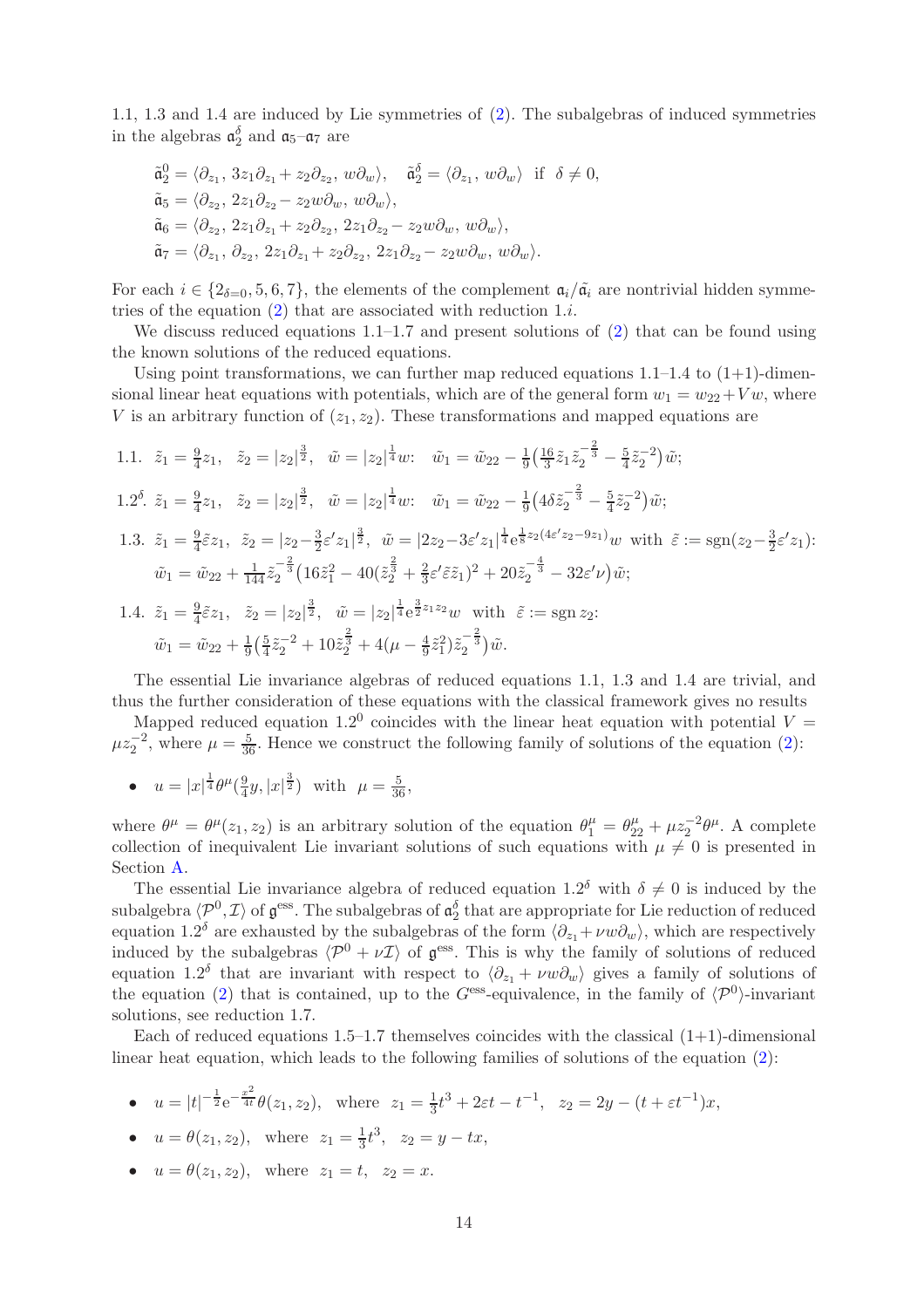1.1, 1.3 and 1.4 are induced by Lie symmetries of [\(2\)](#page-1-0). The subalgebras of induced symmetries in the algebras  $\mathfrak{a}_2^{\delta}$  and  $\mathfrak{a}_5$ - $\mathfrak{a}_7$  are

$$
\tilde{\mathfrak{a}}_2^0 = \langle \partial_{z_1}, 3z_1 \partial_{z_1} + z_2 \partial_{z_2}, w \partial_w \rangle, \quad \tilde{\mathfrak{a}}_2^{\delta} = \langle \partial_{z_1}, w \partial_w \rangle \text{ if } \delta \neq 0,
$$
  
\n
$$
\tilde{\mathfrak{a}}_5 = \langle \partial_{z_2}, 2z_1 \partial_{z_2} - z_2 w \partial_w, w \partial_w \rangle,
$$
  
\n
$$
\tilde{\mathfrak{a}}_6 = \langle \partial_{z_2}, 2z_1 \partial_{z_1} + z_2 \partial_{z_2}, 2z_1 \partial_{z_2} - z_2 w \partial_w, w \partial_w \rangle,
$$
  
\n
$$
\tilde{\mathfrak{a}}_7 = \langle \partial_{z_1}, \partial_{z_2}, 2z_1 \partial_{z_1} + z_2 \partial_{z_2}, 2z_1 \partial_{z_2} - z_2 w \partial_w, w \partial_w \rangle.
$$

For each  $i \in \{2_{\delta=0}, 5, 6, 7\}$ , the elements of the complement  $\mathfrak{a}_i/\tilde{\mathfrak{a}}_i$  are nontrivial hidden symmetries of the equation  $(2)$  that are associated with reduction 1.*i*.

We discuss reduced equations  $1.1-1.7$  and present solutions of [\(2\)](#page-1-0) that can be found using the known solutions of the reduced equations.

Using point transformations, we can further map reduced equations  $1.1-1.4$  to  $(1+1)$ -dimensional linear heat equations with potentials, which are of the general form  $w_1 = w_{22} + V w$ , where V is an arbitrary function of  $(z_1, z_2)$ . These transformations and mapped equations are

1.1. 
$$
\tilde{z}_1 = \frac{9}{4}z_1
$$
,  $\tilde{z}_2 = |z_2|^{\frac{3}{2}}$ ,  $\tilde{w} = |z_2|^{\frac{1}{4}}w$ :  $\tilde{w}_1 = \tilde{w}_{22} - \frac{1}{9}(\frac{16}{3}\tilde{z}_1\tilde{z}_2^{-\frac{2}{3}} - \frac{5}{4}\tilde{z}_2^{-2})\tilde{w}$ ;  
\n1.2<sup>δ</sup>.  $\tilde{z}_1 = \frac{9}{4}z_1$ ,  $\tilde{z}_2 = |z_2|^{\frac{3}{2}}$ ,  $\tilde{w} = |z_2|^{\frac{1}{4}}w$ :  $\tilde{w}_1 = \tilde{w}_{22} - \frac{1}{9}(4\delta\tilde{z}_2^{-\frac{2}{3}} - \frac{5}{4}\tilde{z}_2^{-2})\tilde{w}$ ;  
\n1.3.  $\tilde{z}_1 = \frac{9}{4}\tilde{\epsilon}z_1$ ,  $\tilde{z}_2 = |z_2 - \frac{3}{2}\epsilon'z_1|^{\frac{3}{2}}$ ,  $\tilde{w} = |2z_2 - 3\epsilon'z_1|^{\frac{1}{4}}e^{\frac{1}{8}z_2(4\epsilon'z_2 - 9z_1)}w$  with  $\tilde{\epsilon} := \text{sgn}(z_2 - \frac{3}{2}\epsilon'z_1)$ :  
\n $\tilde{w}_1 = \tilde{w}_{22} + \frac{1}{144}\tilde{z}_2^{-\frac{2}{3}}(16\tilde{z}_1^2 - 40(\tilde{z}_2^{\frac{2}{3}} + \frac{2}{3}\epsilon'\tilde{\epsilon}\tilde{z}_1)^2 + 20\tilde{z}_2^{-\frac{4}{3}} - 32\epsilon'\nu)\tilde{w}$ ;  
\n1.4.  $\tilde{z}_1 = \frac{9}{4}\tilde{\epsilon}z_1$ ,  $\tilde{z}_2 = |z_2|^{\frac{3}{2}}$ ,  $\tilde{w} = |z_2|^{\frac{1}{4}}e^{\frac{3}{2}z_1z_2}w$  with  $\tilde{\epsilon} := \text{sgn } z_2$ :  
\n $\tilde{w}_1 = \tilde{w}_{22}$ 

The essential Lie invariance algebras of reduced equations 1.1, 1.3 and 1.4 are trivial, and thus the further consideration of these equations with the classical framework gives no results

Mapped reduced equation 1.2<sup>0</sup> coincides with the linear heat equation with potential  $V =$  $\mu z_2^{-2}$ , where  $\mu = \frac{5}{36}$ . Hence we construct the following family of solutions of the equation [\(2\)](#page-1-0):

•  $u = |x|^{\frac{1}{4}} \theta^{\mu} (\frac{9}{4})$  $\frac{9}{4}y, |x|^{\frac{3}{2}}$  with  $\mu = \frac{5}{36}$ ,

where  $\theta^{\mu} = \theta^{\mu}(z_1, z_2)$  is an arbitrary solution of the equation  $\theta_1^{\mu} = \theta_{22}^{\mu} + \mu z_2^{-2} \theta^{\mu}$ . A complete collection of inequivalent Lie invariant solutions of such equations with  $\mu \neq 0$  is presented in Section [A.](#page-18-0)

The essential Lie invariance algebra of reduced equation  $1.2^{\delta}$  with  $\delta \neq 0$  is induced by the subalgebra  $\langle \mathcal{P}^0,\mathcal{I}\rangle$  of  $\mathfrak{g}^{\text{ess}}$ . The subalgebras of  $\mathfrak{a}_2^{\delta}$  that are appropriate for Lie reduction of reduced equation 1.2<sup>δ</sup> are exhausted by the subalgebras of the form  $\langle \partial_{z_1} + \nu w \partial_w \rangle$ , which are respectively induced by the subalgebras  $\langle \mathcal{P}^0 + \nu \mathcal{I} \rangle$  of  $\mathfrak{g}^{\text{ess}}$ . This is why the family of solutions of reduced equation 1.2<sup>δ</sup> that are invariant with respect to  $\langle \partial_{z_1} + \nu w \partial_w \rangle$  gives a family of solutions of the equation [\(2\)](#page-1-0) that is contained, up to the  $G<sup>ess</sup>$ -equivalence, in the family of  $\langle \mathcal{P}^0 \rangle$ -invariant solutions, see reduction 1.7.

Each of reduced equations  $1.5-1.7$  themselves coincides with the classical  $(1+1)$ -dimensional linear heat equation, which leads to the following families of solutions of the equation [\(2\)](#page-1-0):

•  $u = |t|^{-\frac{1}{2}} e^{-\frac{x^2}{4t}} \theta(z_1, z_2)$ , where  $z_1 = \frac{1}{3}$  $\frac{1}{3}t^3 + 2\varepsilon t - t^{-1}$ ,  $z_2 = 2y - (t + \varepsilon t^{-1})x$ ,

• 
$$
u = \theta(z_1, z_2)
$$
, where  $z_1 = \frac{1}{3}t^3$ ,  $z_2 = y - tx$ ,

•  $u = \theta(z_1, z_2)$ , where  $z_1 = t$ ,  $z_2 = x$ .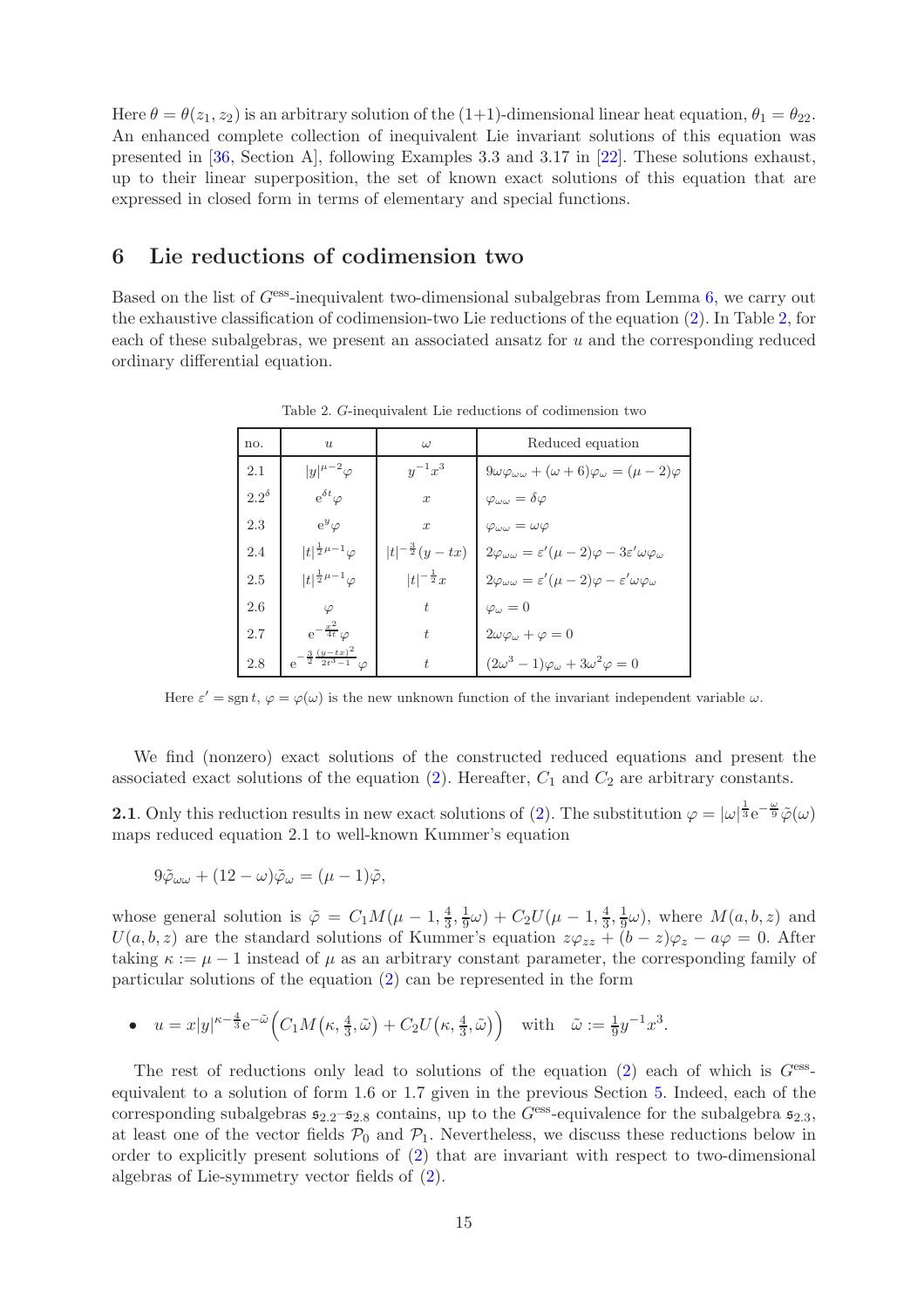Here  $\theta = \theta(z_1, z_2)$  is an arbitrary solution of the (1+1)-dimensional linear heat equation,  $\theta_1 = \theta_{22}$ . An enhanced complete collection of inequivalent Lie invariant solutions of this equation was presented in [\[36,](#page-23-22) Section A], following Examples 3.3 and 3.17 in [\[22\]](#page-23-14). These solutions exhaust, up to their linear superposition, the set of known exact solutions of this equation that are expressed in closed form in terms of elementary and special functions.

# <span id="page-14-0"></span>6 Lie reductions of codimension two

Based on the list of  $G<sup>ess</sup>$ -inequivalent two-dimensional subalgebras from Lemma [6,](#page-9-0) we carry out the exhaustive classification of codimension-two Lie reductions of the equation [\(2\)](#page-1-0). In Table [2,](#page-14-1) for each of these subalgebras, we present an associated ansatz for  $u$  and the corresponding reduced ordinary differential equation.

| no.            | $\boldsymbol{u}$                                 | $\omega$                   | Reduced equation                                                                         |
|----------------|--------------------------------------------------|----------------------------|------------------------------------------------------------------------------------------|
| 2.1            | $ y ^{\mu-2}\varphi$                             | $y^{-1}x^3$                | $9\omega\varphi_{\omega\omega} + (\omega + 6)\varphi_{\omega} = (\mu - 2)\varphi$        |
| $2.2^{\delta}$ | $e^{\delta t} \varphi$                           | $\boldsymbol{x}$           | $\varphi_{\omega\omega}=\delta\varphi$                                                   |
| 2.3            | $e^y\varphi$                                     | $\boldsymbol{x}$           | $\varphi_{\omega\omega}=\omega\varphi$                                                   |
| 2.4            | $ t ^{\frac{1}{2}\mu-1}\varphi$                  | $ t ^{-\frac{3}{2}}(y-tx)$ | $2\varphi_{\omega\omega}=\varepsilon'(\mu-2)\varphi-3\varepsilon'\omega\varphi_{\omega}$ |
| 2.5            | $ t ^{\frac{1}{2}\mu-1}\varphi$                  | $ t ^{-\frac{1}{2}}x$      | $2\varphi_{\omega\omega}=\varepsilon'(\mu-2)\varphi-\varepsilon'\omega\varphi_{\omega}$  |
| 2.6            | $\varphi$                                        | t.                         | $\varphi_{\omega}=0$                                                                     |
| 2.7            | $e^{-\frac{x^2}{4t}}\varphi$                     | t                          | $2\omega\varphi_{\omega}+\varphi=0$                                                      |
| 2.8            | $e^{-\frac{3}{2}\frac{(y-tx)^2}{2t^3-1}}\varphi$ | $\ddot{t}$                 | $(2\omega^3 - 1)\varphi_\omega + 3\omega^2\varphi = 0$                                   |

<span id="page-14-1"></span>Table 2. G-inequivalent Lie reductions of codimension two

Here  $\varepsilon' = \text{sgn } t$ ,  $\varphi = \varphi(\omega)$  is the new unknown function of the invariant independent variable  $\omega$ .

We find (nonzero) exact solutions of the constructed reduced equations and present the associated exact solutions of the equation  $(2)$ . Hereafter,  $C_1$  and  $C_2$  are arbitrary constants.

**2.1**. Only this reduction results in new exact solutions of [\(2\)](#page-1-0). The substitution  $\varphi = |\omega|^{\frac{1}{3}} e^{-\frac{\omega}{9}} \tilde{\varphi}(\omega)$ maps reduced equation 2.1 to well-known Kummer's equation

$$
9\tilde{\varphi}_{\omega\omega} + (12 - \omega)\tilde{\varphi}_{\omega} = (\mu - 1)\tilde{\varphi},
$$

whose general solution is  $\tilde{\varphi} = C_1 M(\mu - 1, \frac{4}{3})$  $\frac{4}{3}, \frac{1}{9}$  $(\frac{1}{9}\omega) + C_2 U(\mu - 1, \frac{4}{3})$  $\frac{4}{3}, \frac{1}{9}$  $\frac{1}{9}\omega$ , where  $M(a, b, z)$  and  $U(a, b, z)$  are the standard solutions of Kummer's equation  $z\varphi_{zz} + (b-z)\varphi_z - a\varphi = 0$ . After taking  $\kappa := \mu - 1$  instead of  $\mu$  as an arbitrary constant parameter, the corresponding family of particular solutions of the equation [\(2\)](#page-1-0) can be represented in the form

• 
$$
u = x|y|^{\kappa - \frac{4}{3}}e^{-\tilde{\omega}}\left(C_1M\left(\kappa, \frac{4}{3}, \tilde{\omega}\right) + C_2U\left(\kappa, \frac{4}{3}, \tilde{\omega}\right)\right)
$$
 with  $\tilde{\omega} := \frac{1}{9}y^{-1}x^3$ .

The rest of reductions only lead to solutions of the equation  $(2)$  each of which is  $G<sup>ess</sup>$ . equivalent to a solution of form 1.6 or 1.7 given in the previous Section [5.](#page-11-0) Indeed, each of the corresponding subalgebras  $\mathfrak{s}_{2.2}$ – $\mathfrak{s}_{2.8}$  contains, up to the Gess-equivalence for the subalgebra  $\mathfrak{s}_{2.3}$ , at least one of the vector fields  $P_0$  and  $P_1$ . Nevertheless, we discuss these reductions below in order to explicitly present solutions of [\(2\)](#page-1-0) that are invariant with respect to two-dimensional algebras of Lie-symmetry vector fields of [\(2\)](#page-1-0).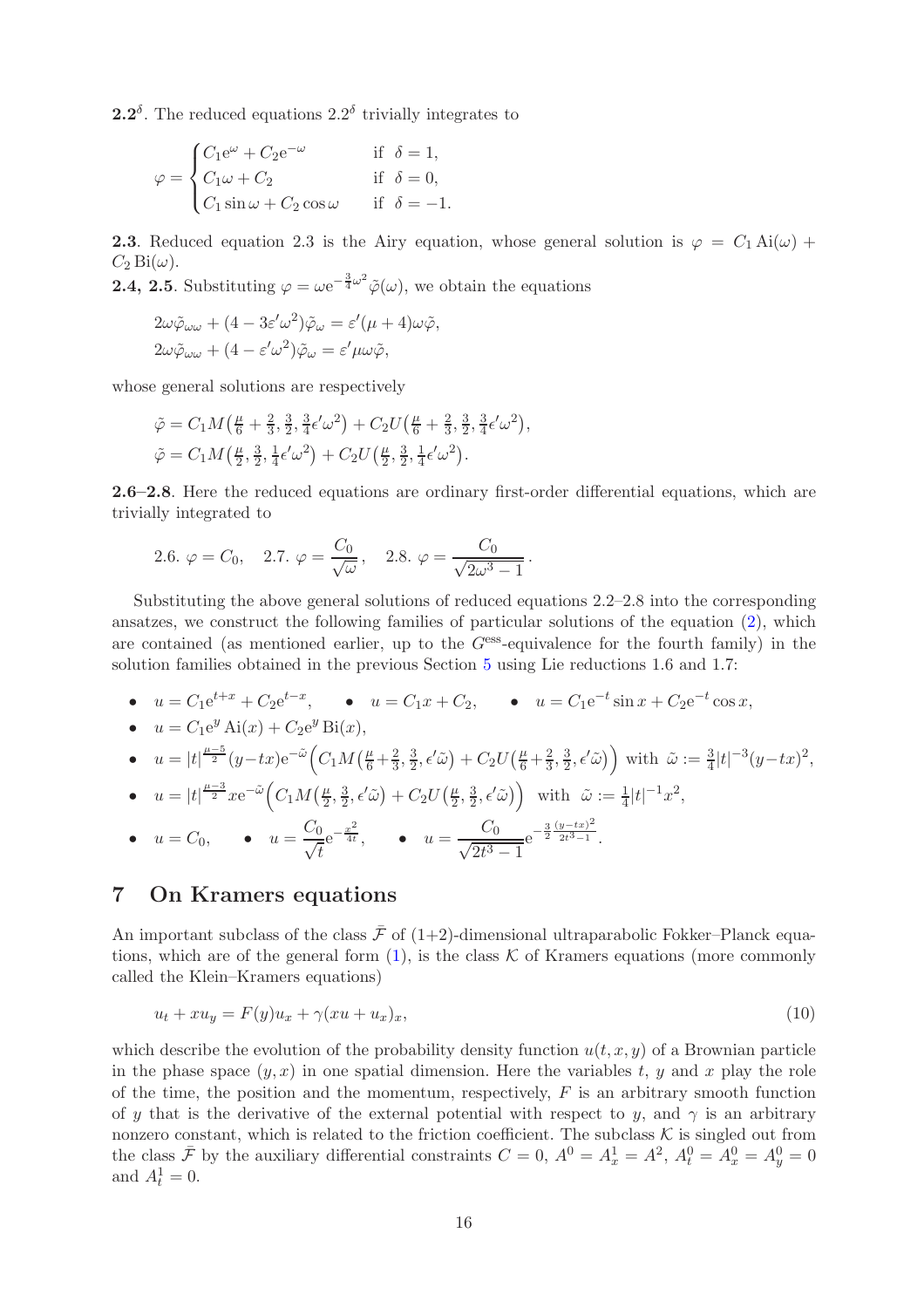**2.2**<sup> $\delta$ </sup>. The reduced equations 2.2<sup> $\delta$ </sup> trivially integrates to

$$
\varphi = \begin{cases} C_1 e^{\omega} + C_2 e^{-\omega} & \text{if } \delta = 1, \\ C_1 \omega + C_2 & \text{if } \delta = 0, \\ C_1 \sin \omega + C_2 \cos \omega & \text{if } \delta = -1. \end{cases}
$$

**2.3**. Reduced equation 2.3 is the Airy equation, whose general solution is  $\varphi = C_1 Ai(\omega) +$  $C_2$  Bi( $\omega$ ).

**2.4, 2.5**. Substituting  $\varphi = \omega e^{-\frac{3}{4}\omega^2} \tilde{\varphi}(\omega)$ , we obtain the equations

$$
2\omega \tilde{\varphi}_{\omega\omega} + (4 - 3\varepsilon'\omega^2)\tilde{\varphi}_{\omega} = \varepsilon'(\mu + 4)\omega\tilde{\varphi},
$$
  

$$
2\omega \tilde{\varphi}_{\omega\omega} + (4 - \varepsilon'\omega^2)\tilde{\varphi}_{\omega} = \varepsilon'\mu\omega\tilde{\varphi},
$$

whose general solutions are respectively

$$
\tilde{\varphi} = C_1 M \left( \frac{\mu}{6} + \frac{2}{3}, \frac{3}{2}, \frac{3}{4} \epsilon' \omega^2 \right) + C_2 U \left( \frac{\mu}{6} + \frac{2}{3}, \frac{3}{2}, \frac{3}{4} \epsilon' \omega^2 \right),
$$
  

$$
\tilde{\varphi} = C_1 M \left( \frac{\mu}{2}, \frac{3}{2}, \frac{1}{4} \epsilon' \omega^2 \right) + C_2 U \left( \frac{\mu}{2}, \frac{3}{2}, \frac{1}{4} \epsilon' \omega^2 \right).
$$

2.6–2.8. Here the reduced equations are ordinary first-order differential equations, which are trivially integrated to

2.6. 
$$
\varphi = C_0
$$
, 2.7.  $\varphi = \frac{C_0}{\sqrt{\omega}}$ , 2.8.  $\varphi = \frac{C_0}{\sqrt{2\omega^3 - 1}}$ .

Substituting the above general solutions of reduced equations 2.2–2.8 into the corresponding ansatzes, we construct the following families of particular solutions of the equation [\(2\)](#page-1-0), which are contained (as mentioned earlier, up to the  $G<sup>ess</sup>$ -equivalence for the fourth family) in the solution families obtained in the previous Section [5](#page-11-0) using Lie reductions 1.6 and 1.7:

•  $u = C_1 e^{t+x} + C_2 e^{t-x}$ , •  $u = C_1 x + C_2$ , •  $u = C_1 e^{-t} \sin x + C_2 e^{-t} \cos x$ , •  $u = C_1 e^y A i(x) + C_2 e^y B i(x),$ 

• 
$$
u = |t|^{\frac{\mu-5}{2}} (y-tx) e^{-\tilde{\omega}} \Big( C_1 M \Big( \frac{\mu}{6} + \frac{2}{3}, \frac{3}{2}, \epsilon' \tilde{\omega} \Big) + C_2 U \Big( \frac{\mu}{6} + \frac{2}{3}, \frac{3}{2}, \epsilon' \tilde{\omega} \Big) \Big)
$$
 with  $\tilde{\omega} := \frac{3}{4} |t|^{-3} (y-tx)^2$ ,  
\n•  $u = |t|^{\frac{\mu-3}{2}} x e^{-\tilde{\omega}} \Big( C_1 M \Big( \frac{\mu}{2}, \frac{3}{2}, \epsilon' \tilde{\omega} \Big) + C_2 U \Big( \frac{\mu}{2}, \frac{3}{2}, \epsilon' \tilde{\omega} \Big) \Big)$  with  $\tilde{\omega} := \frac{1}{4} |t|^{-1} x^2$ ,

• 
$$
u = C_0
$$
,   
•  $u = \frac{C_0}{\sqrt{t}} e^{-\frac{x^2}{4t}}$ ,   
•  $u = \frac{C_0}{\sqrt{2t^3 - 1}} e^{-\frac{3}{2} \frac{(y - tx)^2}{2t^3 - 1}}$ .

# <span id="page-15-0"></span>7 On Kramers equations

An important subclass of the class  $\bar{\mathcal{F}}$  of (1+2)-dimensional ultraparabolic Fokker–Planck equations, which are of the general form  $(1)$ , is the class K of Kramers equations (more commonly called the Klein–Kramers equations)

$$
u_t + xu_y = F(y)u_x + \gamma(xu + u_x)_x,\tag{10}
$$

which describe the evolution of the probability density function  $u(t, x, y)$  of a Brownian particle in the phase space  $(y, x)$  in one spatial dimension. Here the variables t, y and x play the role of the time, the position and the momentum, respectively,  $F$  is an arbitrary smooth function of y that is the derivative of the external potential with respect to y, and  $\gamma$  is an arbitrary nonzero constant, which is related to the friction coefficient. The subclass  $K$  is singled out from the class  $\bar{\mathcal{F}}$  by the auxiliary differential constraints  $C = 0$ ,  $A^0 = A_x^1 = A^2$ ,  $A_t^0 = A_x^0 = A_y^0 = 0$ and  $A_t^1 = 0$ .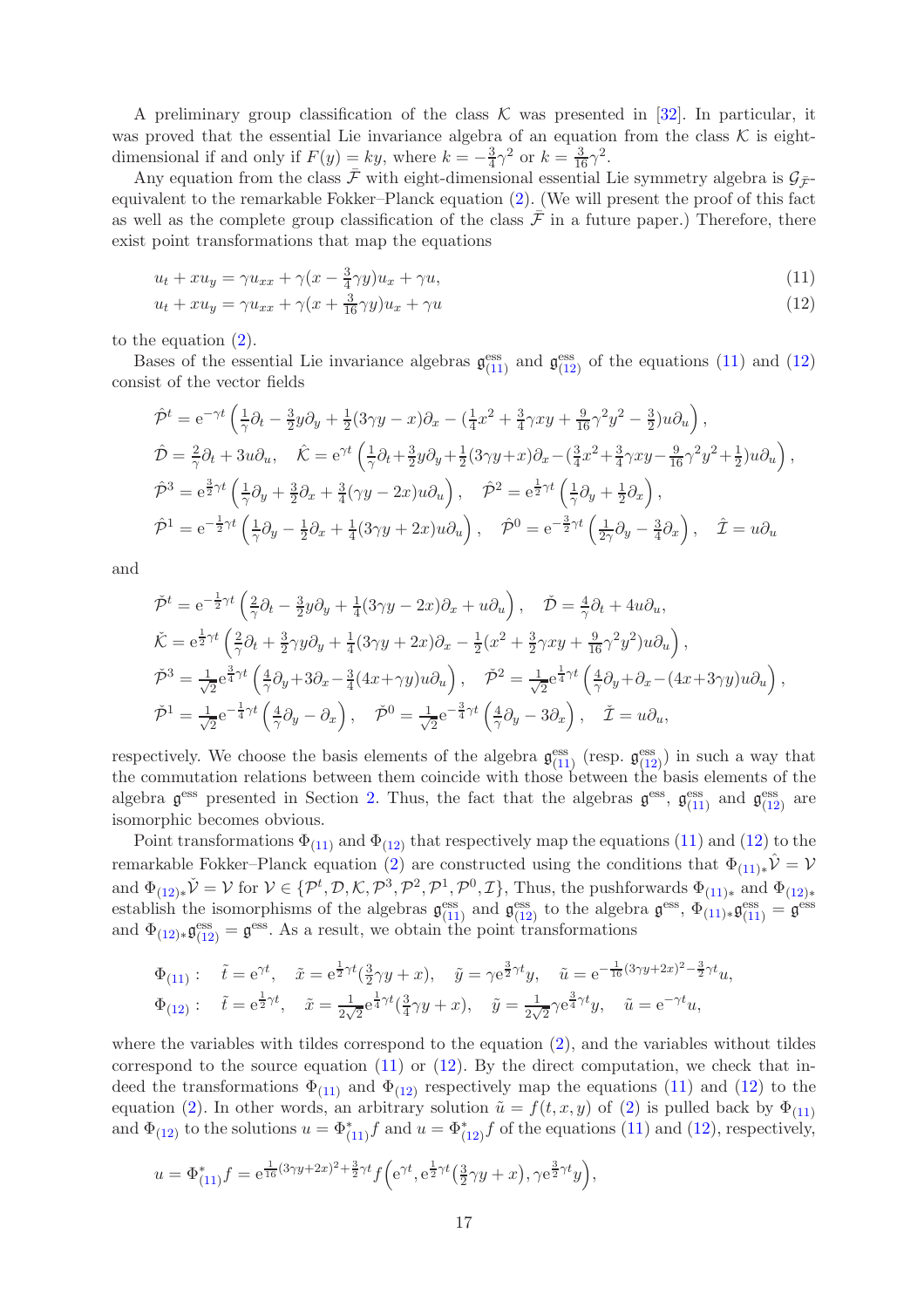A preliminary group classification of the class  $\mathcal K$  was presented in [\[32\]](#page-23-10). In particular, it was proved that the essential Lie invariance algebra of an equation from the class  $K$  is eightdimensional if and only if  $F(y) = ky$ , where  $k = -\frac{3}{4}$  $\frac{3}{4}\gamma^2$  or  $k = \frac{3}{16}\gamma^2$ .

Any equation from the class  $\bar{\mathcal{F}}$  with eight-dimensional essential Lie symmetry algebra is  $\mathcal{G}_{\bar{\mathcal{F}}}$ equivalent to the remarkable Fokker–Planck equation [\(2\)](#page-1-0). (We will present the proof of this fact as well as the complete group classification of the class  $\bar{\mathcal{F}}$  in a future paper.) Therefore, there exist point transformations that map the equations

<span id="page-16-1"></span><span id="page-16-0"></span>
$$
u_t + xu_y = \gamma u_{xx} + \gamma (x - \frac{3}{4}\gamma y)u_x + \gamma u,\tag{11}
$$

$$
u_t + xu_y = \gamma u_{xx} + \gamma \left( x + \frac{3}{16} \gamma y \right) u_x + \gamma u \tag{12}
$$

to the equation [\(2\)](#page-1-0).

Bases of the essential Lie invariance algebras  $\mathfrak{g}_{(11)}^{\text{ess}}$  $\mathfrak{g}_{(11)}^{\text{ess}}$  $\mathfrak{g}_{(11)}^{\text{ess}}$  and  $\mathfrak{g}_{(12)}^{\text{ess}}$  $\mathfrak{g}_{(12)}^{\text{ess}}$  $\mathfrak{g}_{(12)}^{\text{ess}}$  of the equations [\(11\)](#page-16-0) and [\(12\)](#page-16-1) consist of the vector fields

$$
\hat{\mathcal{P}}^t = e^{-\gamma t} \left( \frac{1}{\gamma} \partial_t - \frac{3}{2} y \partial_y + \frac{1}{2} (3\gamma y - x) \partial_x - (\frac{1}{4} x^2 + \frac{3}{4} \gamma xy + \frac{9}{16} \gamma^2 y^2 - \frac{3}{2}) u \partial_u \right),
$$
  
\n
$$
\hat{\mathcal{D}} = \frac{2}{\gamma} \partial_t + 3u \partial_u, \quad \hat{\mathcal{K}} = e^{\gamma t} \left( \frac{1}{\gamma} \partial_t + \frac{3}{2} y \partial_y + \frac{1}{2} (3\gamma y + x) \partial_x - (\frac{3}{4} x^2 + \frac{3}{4} \gamma xy - \frac{9}{16} \gamma^2 y^2 + \frac{1}{2}) u \partial_u \right),
$$
  
\n
$$
\hat{\mathcal{P}}^3 = e^{\frac{3}{2} \gamma t} \left( \frac{1}{\gamma} \partial_y + \frac{3}{2} \partial_x + \frac{3}{4} (\gamma y - 2x) u \partial_u \right), \quad \hat{\mathcal{P}}^2 = e^{\frac{1}{2} \gamma t} \left( \frac{1}{\gamma} \partial_y + \frac{1}{2} \partial_x \right),
$$
  
\n
$$
\hat{\mathcal{P}}^1 = e^{-\frac{1}{2} \gamma t} \left( \frac{1}{\gamma} \partial_y - \frac{1}{2} \partial_x + \frac{1}{4} (3\gamma y + 2x) u \partial_u \right), \quad \hat{\mathcal{P}}^0 = e^{-\frac{3}{2} \gamma t} \left( \frac{1}{2\gamma} \partial_y - \frac{3}{4} \partial_x \right), \quad \hat{\mathcal{I}} = u \partial_u
$$

and

$$
\tilde{\mathcal{P}}^t = e^{-\frac{1}{2}\gamma t} \left( \frac{2}{\gamma} \partial_t - \frac{3}{2} y \partial_y + \frac{1}{4} (3\gamma y - 2x) \partial_x + u \partial_u \right), \quad \tilde{\mathcal{D}} = \frac{4}{\gamma} \partial_t + 4u \partial_u,
$$
  
\n
$$
\tilde{\mathcal{K}} = e^{\frac{1}{2}\gamma t} \left( \frac{2}{\gamma} \partial_t + \frac{3}{2} \gamma y \partial_y + \frac{1}{4} (3\gamma y + 2x) \partial_x - \frac{1}{2} (x^2 + \frac{3}{2} \gamma xy + \frac{9}{16} \gamma^2 y^2) u \partial_u \right),
$$
  
\n
$$
\tilde{\mathcal{P}}^3 = \frac{1}{\sqrt{2}} e^{\frac{3}{4}\gamma t} \left( \frac{4}{\gamma} \partial_y + 3\partial_x - \frac{3}{4} (4x + \gamma y) u \partial_u \right), \quad \tilde{\mathcal{P}}^2 = \frac{1}{\sqrt{2}} e^{\frac{1}{4}\gamma t} \left( \frac{4}{\gamma} \partial_y + \partial_x - (4x + 3\gamma y) u \partial_u \right),
$$
  
\n
$$
\tilde{\mathcal{P}}^1 = \frac{1}{\sqrt{2}} e^{-\frac{1}{4}\gamma t} \left( \frac{4}{\gamma} \partial_y - \partial_x \right), \quad \tilde{\mathcal{P}}^0 = \frac{1}{\sqrt{2}} e^{-\frac{3}{4}\gamma t} \left( \frac{4}{\gamma} \partial_y - 3\partial_x \right), \quad \tilde{\mathcal{I}} = u \partial_u,
$$

respectively. We choose the basis elements of the algebra  $\mathfrak{g}_{(11)}^{\text{ess}}$  $\mathfrak{g}_{(11)}^{\text{ess}}$  $\mathfrak{g}_{(11)}^{\text{ess}}$  (resp.  $\mathfrak{g}_{(12)}^{\text{ess}}$  $\mathfrak{g}_{(12)}^{\text{ess}}$  $\mathfrak{g}_{(12)}^{\text{ess}}$ ) in such a way that the commutation relations between them coincide with those between the basis elements of the algebra  $\mathfrak{g}^{\text{ess}}$  presented in Section [2.](#page-2-0) Thus, the fact that the algebras  $\mathfrak{g}^{\text{ess}}$ ,  $\mathfrak{g}^{\text{ess}}_{(11)}$  $\mathfrak{g}^{\text{ess}}_{(11)}$  $\mathfrak{g}^{\text{ess}}_{(11)}$  and  $\mathfrak{g}^{\text{ess}}_{(12)}$  $\mathfrak{g}^{\text{ess}}_{(12)}$  $\mathfrak{g}^{\text{ess}}_{(12)}$  are isomorphic becomes obvious.

Point transformations  $\Phi_{(11)}$  $\Phi_{(11)}$  $\Phi_{(11)}$  and  $\Phi_{(12)}$  $\Phi_{(12)}$  $\Phi_{(12)}$  that respectively map the equations [\(11\)](#page-16-0) and [\(12\)](#page-16-1) to the remarkable Fokker–Planck equation [\(2\)](#page-1-0) are constructed using the conditions that  $\Phi_{(11)*}\hat{V} = V$  $\Phi_{(11)*}\hat{V} = V$  $\Phi_{(11)*}\hat{V} = V$ and  $\Phi_{(12)*}\check{\mathcal{V}} = \mathcal{V}$  $\Phi_{(12)*}\check{\mathcal{V}} = \mathcal{V}$  $\Phi_{(12)*}\check{\mathcal{V}} = \mathcal{V}$  for  $\mathcal{V} \in \{ \mathcal{P}^t, \mathcal{D}, \mathcal{K}, \mathcal{P}^3, \mathcal{P}^2, \mathcal{P}^1, \mathcal{P}^0, \mathcal{I} \},$  Thus, the pushforwards  $\Phi_{(11)*}$  $\Phi_{(11)*}$  $\Phi_{(11)*}$  and  $\Phi_{(12)*}$ establish the isomorphisms of the algebras  $\mathfrak{g}_{(11)}^{\text{ess}}$  $\mathfrak{g}_{(11)}^{\text{ess}}$  $\mathfrak{g}_{(11)}^{\text{ess}}$  and  $\mathfrak{g}_{(12)}^{\text{ess}}$  $\mathfrak{g}_{(12)}^{\text{ess}}$  $\mathfrak{g}_{(12)}^{\text{ess}}$  to the algebra  $\mathfrak{g}^{\text{ess}}, \Phi_{(11)*}\mathfrak{g}_{(11)}^{\text{ess}} = \mathfrak{g}^{\text{ess}}$ and  $\Phi_{(12)*} \mathfrak{g}^{\text{ess}}_{(12)} = \mathfrak{g}^{\text{ess}}$  $\Phi_{(12)*} \mathfrak{g}^{\text{ess}}_{(12)} = \mathfrak{g}^{\text{ess}}$  $\Phi_{(12)*} \mathfrak{g}^{\text{ess}}_{(12)} = \mathfrak{g}^{\text{ess}}$ . As a result, we obtain the point transformations

$$
\Phi_{(11)}: \quad \tilde{t} = e^{\gamma t}, \quad \tilde{x} = e^{\frac{1}{2}\gamma t}(\frac{3}{2}\gamma y + x), \quad \tilde{y} = \gamma e^{\frac{3}{2}\gamma t}y, \quad \tilde{u} = e^{-\frac{1}{16}(3\gamma y + 2x)^2 - \frac{3}{2}\gamma t}u,
$$
\n
$$
\Phi_{(12)}: \quad \tilde{t} = e^{\frac{1}{2}\gamma t}, \quad \tilde{x} = \frac{1}{2\sqrt{2}}e^{\frac{1}{4}\gamma t}(\frac{3}{4}\gamma y + x), \quad \tilde{y} = \frac{1}{2\sqrt{2}}\gamma e^{\frac{3}{4}\gamma t}y, \quad \tilde{u} = e^{-\gamma t}u,
$$

where the variables with tildes correspond to the equation [\(2\)](#page-1-0), and the variables without tildes correspond to the source equation  $(11)$  or  $(12)$ . By the direct computation, we check that indeed the transformations  $\Phi_{(11)}$  $\Phi_{(11)}$  $\Phi_{(11)}$  and  $\Phi_{(12)}$  $\Phi_{(12)}$  $\Phi_{(12)}$  respectively map the equations [\(11\)](#page-16-0) and [\(12\)](#page-16-1) to the equation [\(2\)](#page-1-0). In other words, an arbitrary solution  $\tilde{u} = f(t, x, y)$  of (2) is pulled back by  $\Phi_{(11)}$  $\Phi_{(11)}$  $\Phi_{(11)}$ and  $\Phi_{(12)}$  $\Phi_{(12)}$  $\Phi_{(12)}$  to the solutions  $u = \Phi_{(11)}^* f$  $u = \Phi_{(11)}^* f$  $u = \Phi_{(11)}^* f$  and  $u = \Phi_{(12)}^* f$  of the equations [\(11\)](#page-16-0) and [\(12\)](#page-16-1), respectively,

$$
u = \Phi_{(11)}^* f = e^{\frac{1}{16}(3\gamma y + 2x)^2 + \frac{3}{2}\gamma t} f\left(e^{\gamma t}, e^{\frac{1}{2}\gamma t}(\frac{3}{2}\gamma y + x), \gamma e^{\frac{3}{2}\gamma t} y\right),
$$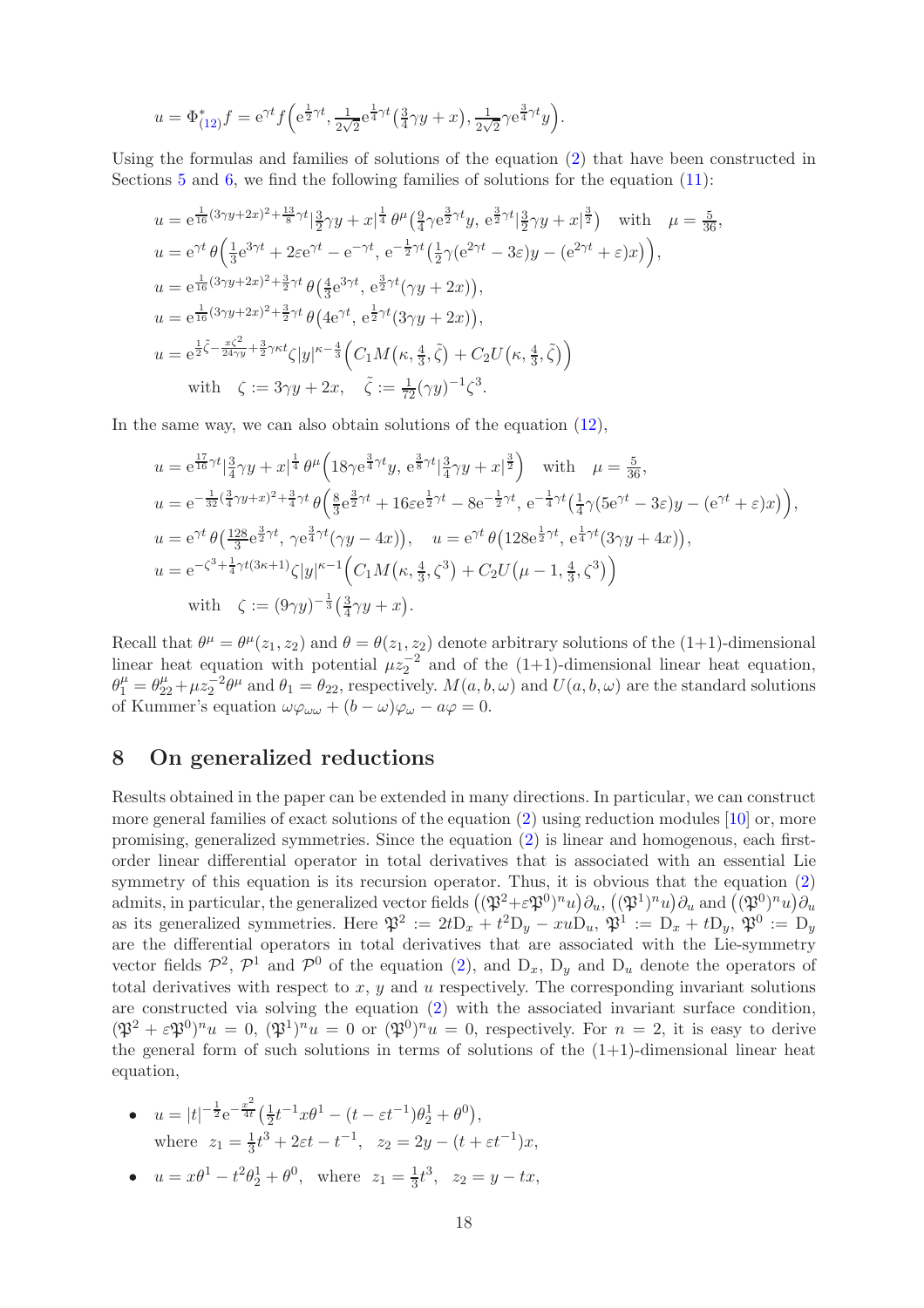$$
u = \Phi_{(12)}^* f = e^{\gamma t} f\left(e^{\frac{1}{2}\gamma t}, \frac{1}{2\sqrt{2}} e^{\frac{1}{4}\gamma t} \left(\frac{3}{4}\gamma y + x\right), \frac{1}{2\sqrt{2}}\gamma e^{\frac{3}{4}\gamma t} y\right).
$$

Using the formulas and families of solutions of the equation [\(2\)](#page-1-0) that have been constructed in Sections [5](#page-11-0) and [6,](#page-14-0) we find the following families of solutions for the equation [\(11\)](#page-16-0):

$$
u = e^{\frac{1}{16}(3\gamma y + 2x)^2 + \frac{13}{8}\gamma t} |\frac{3}{2}\gamma y + x|^{\frac{1}{4}} \theta^{\mu} (\frac{9}{4}\gamma e^{\frac{3}{2}\gamma t} y, e^{\frac{3}{2}\gamma t} |\frac{3}{2}\gamma y + x|^{\frac{3}{2}}) \text{ with } \mu = \frac{5}{36},
$$
  
\n
$$
u = e^{\gamma t} \theta \left( \frac{1}{3} e^{3\gamma t} + 2\varepsilon e^{\gamma t} - e^{-\gamma t}, e^{-\frac{1}{2}\gamma t} (\frac{1}{2}\gamma (e^{2\gamma t} - 3\varepsilon) y - (e^{2\gamma t} + \varepsilon) x) \right),
$$
  
\n
$$
u = e^{\frac{1}{16}(3\gamma y + 2x)^2 + \frac{3}{2}\gamma t} \theta \left( \frac{4}{3} e^{3\gamma t}, e^{\frac{3}{2}\gamma t} (\gamma y + 2x) \right),
$$
  
\n
$$
u = e^{\frac{1}{16}(3\gamma y + 2x)^2 + \frac{3}{2}\gamma t} \theta \left( 4e^{\gamma t}, e^{\frac{1}{2}\gamma t} (3\gamma y + 2x) \right),
$$
  
\n
$$
u = e^{\frac{1}{2}\zeta - \frac{x\zeta^2}{24\gamma y} + \frac{3}{2}\gamma \kappa t} \zeta |y|^{\kappa - \frac{4}{3}} \left( C_1 M(\kappa, \frac{4}{3}, \tilde{\zeta}) + C_2 U(\kappa, \frac{4}{3}, \tilde{\zeta}) \right)
$$
  
\nwith  $\zeta := 3\gamma y + 2x, \quad \tilde{\zeta} := \frac{1}{72} (\gamma y)^{-1} \zeta^3.$ 

In the same way, we can also obtain solutions of the equation [\(12\)](#page-16-1),

$$
u = e^{\frac{17}{16}\gamma t} |\frac{3}{4}\gamma y + x|^{\frac{1}{4}} \theta^{\mu} \left( 18\gamma e^{\frac{3}{4}\gamma t} y, e^{\frac{3}{8}\gamma t} |\frac{3}{4}\gamma y + x|^{\frac{3}{2}} \right) \text{ with } \mu = \frac{5}{36},
$$
  
\n
$$
u = e^{-\frac{1}{32}(\frac{3}{4}\gamma y + x)^2 + \frac{3}{4}\gamma t} \theta \left( \frac{8}{3} e^{\frac{3}{2}\gamma t} + 16\varepsilon e^{\frac{1}{2}\gamma t} - 8e^{-\frac{1}{2}\gamma t}, e^{-\frac{1}{4}\gamma t} (\frac{1}{4}\gamma (5e^{\gamma t} - 3\varepsilon) y - (e^{\gamma t} + \varepsilon) x) \right),
$$
  
\n
$$
u = e^{\gamma t} \theta \left( \frac{128}{3} e^{\frac{3}{2}\gamma t}, \gamma e^{\frac{3}{4}\gamma t} (\gamma y - 4x) \right), \quad u = e^{\gamma t} \theta \left( 128 e^{\frac{1}{2}\gamma t}, e^{\frac{1}{4}\gamma t} (3\gamma y + 4x) \right),
$$
  
\n
$$
u = e^{-\zeta^3 + \frac{1}{4}\gamma t (3\kappa + 1)} \zeta |y|^{\kappa - 1} \left( C_1 M \left( \kappa, \frac{4}{3}, \zeta^3 \right) + C_2 U \left( \mu - 1, \frac{4}{3}, \zeta^3 \right) \right)
$$
  
\nwith  $\zeta := (9\gamma y)^{-\frac{1}{3}} (\frac{3}{4}\gamma y + x).$ 

Recall that  $\theta^{\mu} = \theta^{\mu}(z_1, z_2)$  and  $\theta = \theta(z_1, z_2)$  denote arbitrary solutions of the (1+1)-dimensional linear heat equation with potential  $\mu z_2^{-2}$  and of the (1+1)-dimensional linear heat equation,  $\theta_1^{\mu} = \theta_{22}^{\mu} + \mu z_2^{-2} \theta^{\mu}$  and  $\theta_1 = \theta_{22}$ , respectively.  $M(a, b, \omega)$  and  $U(a, b, \omega)$  are the standard solutions of Kummer's equation  $\omega\varphi_{\omega\omega} + (b - \omega)\varphi_{\omega} - a\varphi = 0$ .

# 8 On generalized reductions

Results obtained in the paper can be extended in many directions. In particular, we can construct more general families of exact solutions of the equation [\(2\)](#page-1-0) using reduction modules [\[10\]](#page-22-10) or, more promising, generalized symmetries. Since the equation [\(2\)](#page-1-0) is linear and homogenous, each firstorder linear differential operator in total derivatives that is associated with an essential Lie symmetry of this equation is its recursion operator. Thus, it is obvious that the equation  $(2)$ admits, in particular, the generalized vector fields  $((\mathfrak{P}^2 + \varepsilon \mathfrak{P}^0)^n u) \partial_u, ((\mathfrak{P}^1)^n u) \partial_u$  and  $((\mathfrak{P}^0)^n u) \partial_u$ as its generalized symmetries. Here  $\mathfrak{P}^2 := 2t \mathcal{D}_x + t^2 \mathcal{D}_y - xu \mathcal{D}_u$ ,  $\mathfrak{P}^1 := \mathcal{D}_x + t \mathcal{D}_y$ ,  $\mathfrak{P}^0 := \mathcal{D}_y$ are the differential operators in total derivatives that are associated with the Lie-symmetry vector fields  $\mathcal{P}^2$ ,  $\mathcal{P}^1$  and  $\mathcal{P}^0$  of the equation [\(2\)](#page-1-0), and  $D_x$ ,  $D_y$  and  $D_u$  denote the operators of total derivatives with respect to  $x, y$  and  $u$  respectively. The corresponding invariant solutions are constructed via solving the equation [\(2\)](#page-1-0) with the associated invariant surface condition,  $(\mathfrak{P}^2 + \varepsilon \mathfrak{P}^0)^n u = 0$ ,  $(\mathfrak{P}^1)^n u = 0$  or  $(\mathfrak{P}^0)^n u = 0$ , respectively. For  $n = 2$ , it is easy to derive the general form of such solutions in terms of solutions of the  $(1+1)$ -dimensional linear heat equation,

- $u = |t|^{-\frac{1}{2}} e^{-\frac{x^2}{4t}}$  $rac{x}{4t}(\frac{1}{2})$  $\frac{1}{2}t^{-1}x\theta^{1} - (t - \varepsilon t^{-1})\theta_{2}^{1} + \theta^{0}$ , where  $z_1 = \frac{1}{3}$  $\frac{1}{3}t^3 + 2\varepsilon t - t^{-1}$ ,  $z_2 = 2y - (t + \varepsilon t^{-1})x$ ,
- $u = x\theta^1 t^2\theta_2^1 + \theta^0$ , where  $z_1 = \frac{1}{3}$  $\frac{1}{3}t^3$ ,  $z_2 = y - tx$ ,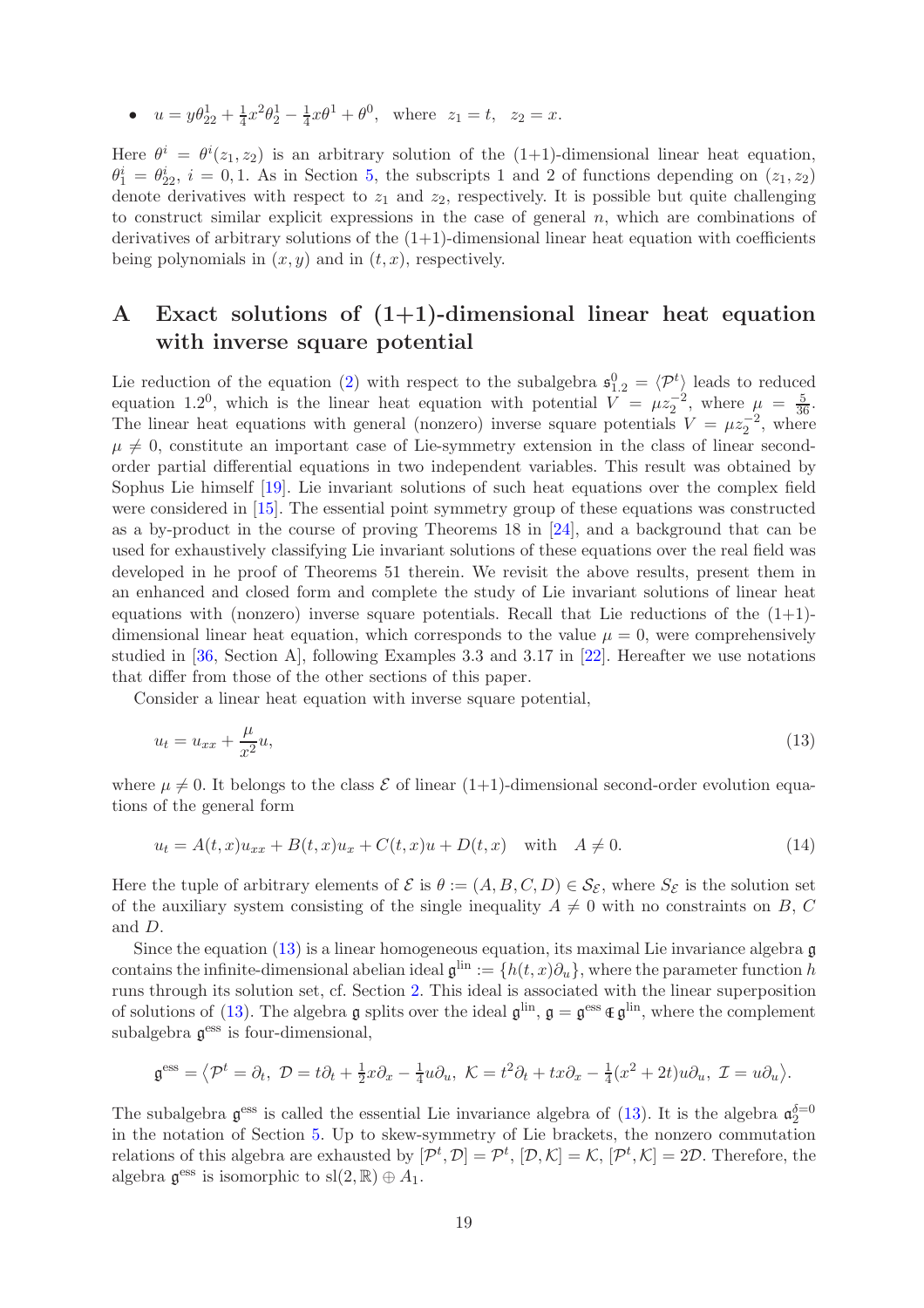•  $u = y\theta_{22}^1 + \frac{1}{4}$  $\frac{1}{4}x^2\theta_2^1 - \frac{1}{4}$  $\frac{1}{4}x\theta^1 + \theta^0$ , where  $z_1 = t$ ,  $z_2 = x$ .

Here  $\theta^i = \theta^i(z_1, z_2)$  is an arbitrary solution of the  $(1+1)$ -dimensional linear heat equation,  $\theta_1^i = \theta_{22}^i$ ,  $i = 0, 1$ . As in Section [5,](#page-11-0) the subscripts 1 and 2 of functions depending on  $(z_1, z_2)$ denote derivatives with respect to  $z_1$  and  $z_2$ , respectively. It is possible but quite challenging to construct similar explicit expressions in the case of general  $n$ , which are combinations of derivatives of arbitrary solutions of the  $(1+1)$ -dimensional linear heat equation with coefficients being polynomials in  $(x, y)$  and in  $(t, x)$ , respectively.

# <span id="page-18-0"></span>A Exact solutions of  $(1+1)$ -dimensional linear heat equation with inverse square potential

Lie reduction of the equation [\(2\)](#page-1-0) with respect to the subalgebra  $\mathfrak{s}_{1,2}^0 = \langle \mathcal{P}^t \rangle$  leads to reduced equation 1.2<sup>0</sup>, which is the linear heat equation with potential  $V = \mu z_2^{-2}$ , where  $\mu = \frac{5}{36}$ . The linear heat equations with general (nonzero) inverse square potentials  $V = \mu z_2^{-2}$ , where  $\mu \neq 0$ , constitute an important case of Lie-symmetry extension in the class of linear secondorder partial differential equations in two independent variables. This result was obtained by Sophus Lie himself [\[19\]](#page-23-0). Lie invariant solutions of such heat equations over the complex field were considered in [\[15\]](#page-23-7). The essential point symmetry group of these equations was constructed as a by-product in the course of proving Theorems 18 in [\[24\]](#page-23-6), and a background that can be used for exhaustively classifying Lie invariant solutions of these equations over the real field was developed in he proof of Theorems 51 therein. We revisit the above results, present them in an enhanced and closed form and complete the study of Lie invariant solutions of linear heat equations with (nonzero) inverse square potentials. Recall that Lie reductions of the  $(1+1)$ dimensional linear heat equation, which corresponds to the value  $\mu = 0$ , were comprehensively studied in [\[36,](#page-23-22) Section A], following Examples 3.3 and 3.17 in [\[22\]](#page-23-14). Hereafter we use notations that differ from those of the other sections of this paper.

Consider a linear heat equation with inverse square potential,

<span id="page-18-1"></span>
$$
u_t = u_{xx} + \frac{\mu}{x^2}u,\tag{13}
$$

where  $\mu \neq 0$ . It belongs to the class  $\mathcal E$  of linear (1+1)-dimensional second-order evolution equations of the general form

$$
u_t = A(t, x)u_{xx} + B(t, x)u_x + C(t, x)u + D(t, x) \text{ with } A \neq 0.
$$
 (14)

Here the tuple of arbitrary elements of  $\mathcal E$  is  $\theta := (A, B, C, D) \in \mathcal S_{\mathcal E}$ , where  $S_{\mathcal E}$  is the solution set of the auxiliary system consisting of the single inequality  $A \neq 0$  with no constraints on B, C and D.

Since the equation  $(13)$  is a linear homogeneous equation, its maximal Lie invariance algebra g contains the infinite-dimensional abelian ideal  $\mathfrak{g}^{\text{lin}} := \{h(t,x)\partial_u\}$ , where the parameter function h runs through its solution set, cf. Section [2.](#page-2-0) This ideal is associated with the linear superposition of solutions of [\(13\)](#page-18-1). The algebra  $\mathfrak g$  splits over the ideal  $\mathfrak g^{\text{lin}}, \mathfrak g = \mathfrak g^{\text{ess}} \oplus \mathfrak g^{\text{lin}},$  where the complement subalgebra  $\mathfrak{g}^{\text{ess}}$  is four-dimensional,

$$
\mathfrak{g}^{\text{ess}} = \langle \mathcal{P}^t = \partial_t, \ \mathcal{D} = t\partial_t + \frac{1}{2}x\partial_x - \frac{1}{4}u\partial_u, \ \mathcal{K} = t^2\partial_t + tx\partial_x - \frac{1}{4}(x^2 + 2t)u\partial_u, \ \mathcal{I} = u\partial_u \rangle.
$$

The subalgebra  $\mathfrak{g}^{\text{ess}}$  is called the essential Lie invariance algebra of [\(13\)](#page-18-1). It is the algebra  $\mathfrak{a}_2^{\delta=0}$ in the notation of Section [5.](#page-11-0) Up to skew-symmetry of Lie brackets, the nonzero commutation relations of this algebra are exhausted by  $[\mathcal{P}^t, \mathcal{D}] = \mathcal{P}^t$ ,  $[\mathcal{D}, \mathcal{K}] = \mathcal{K}$ ,  $[\mathcal{P}^t, \mathcal{K}] = 2\mathcal{D}$ . Therefore, the algebra  $\mathfrak{g}^{\text{ess}}$  is isomorphic to  $\text{sl}(2,\mathbb{R})\oplus A_1$ .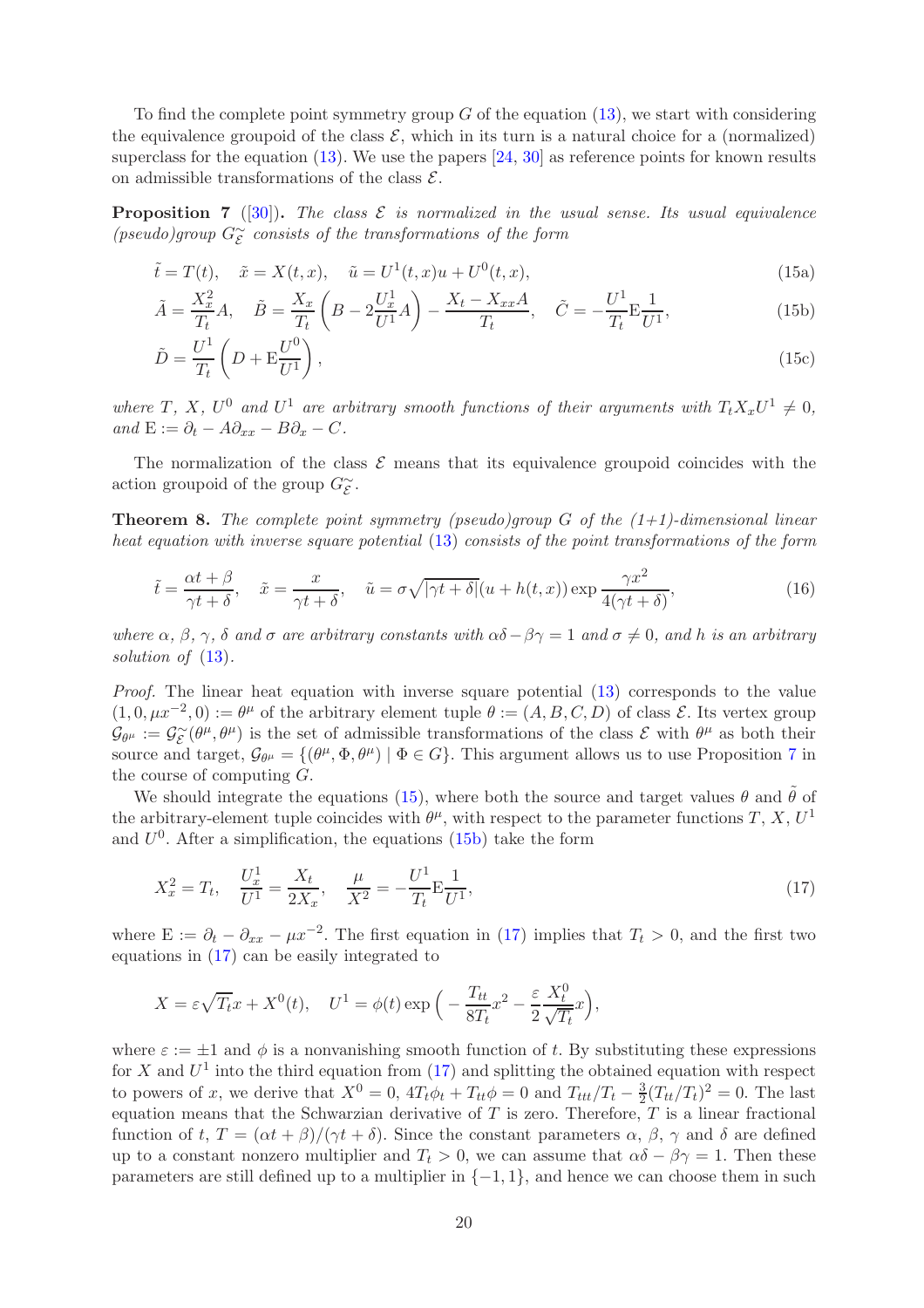To find the complete point symmetry group  $G$  of the equation  $(13)$ , we start with considering the equivalence groupoid of the class  $\mathcal{E}$ , which in its turn is a natural choice for a (normalized) superclass for the equation  $(13)$ . We use the papers  $[24, 30]$  $[24, 30]$  as reference points for known results on admissible transformations of the class  $\mathcal{E}$ .

<span id="page-19-0"></span>**Proposition 7** ([\[30\]](#page-23-1)). The class  $\mathcal{E}$  is normalized in the usual sense. Its usual equivalence (pseudo)group  $G_{\mathcal{E}}^{\sim}$  consists of the transformations of the form

<span id="page-19-1"></span>
$$
\tilde{t} = T(t), \quad \tilde{x} = X(t, x), \quad \tilde{u} = U^1(t, x)u + U^0(t, x),
$$
\n(15a)

<span id="page-19-2"></span>
$$
\tilde{A} = \frac{X_x^2}{T_t} A, \quad \tilde{B} = \frac{X_x}{T_t} \left( B - 2 \frac{U_x^1}{U^1} A \right) - \frac{X_t - X_{xx} A}{T_t}, \quad \tilde{C} = -\frac{U^1}{T_t} E \frac{1}{U^1},\tag{15b}
$$

<span id="page-19-4"></span>
$$
\tilde{D} = \frac{U^1}{T_t} \left( D + \mathcal{E} \frac{U^0}{U^1} \right),\tag{15c}
$$

where T, X,  $U^0$  and  $U^1$  are arbitrary smooth functions of their arguments with  $T_t X_x U^1 \neq 0$ , and  $E := \partial_t - A\partial_{xx} - B\partial_x - C$ .

The normalization of the class  $\mathcal E$  means that its equivalence groupoid coincides with the action groupoid of the group  $G_{\mathcal{E}}^{\sim}$ .

**Theorem 8.** The complete point symmetry (pseudo)group G of the  $(1+1)$ -dimensional linear heat equation with inverse square potential [\(13\)](#page-18-1) consists of the point transformations of the form

$$
\tilde{t} = \frac{\alpha t + \beta}{\gamma t + \delta}, \quad \tilde{x} = \frac{x}{\gamma t + \delta}, \quad \tilde{u} = \sigma \sqrt{|\gamma t + \delta|} (u + h(t, x)) \exp \frac{\gamma x^2}{4(\gamma t + \delta)},
$$
\n(16)

where  $\alpha$ ,  $\beta$ ,  $\gamma$ ,  $\delta$  and  $\sigma$  are arbitrary constants with  $\alpha\delta-\beta\gamma=1$  and  $\sigma\neq 0$ , and h is an arbitrary solution of  $(13)$ .

Proof. The linear heat equation with inverse square potential  $(13)$  corresponds to the value  $(1, 0, \mu x^{-2}, 0) := \theta^{\mu}$  of the arbitrary element tuple  $\theta := (A, B, C, D)$  of class  $\mathcal{E}$ . Its vertex group  $\mathcal{G}_{\theta^{\mu}} := \mathcal{G}_{\mathcal{E}}^{\sim}(\theta^{\mu}, \theta^{\mu})$  is the set of admissible transformations of the class  $\mathcal{E}$  with  $\theta^{\mu}$  as both their Source and target,  $G_{\theta^{\mu}} = \{(\theta^{\mu}, \Phi, \theta^{\mu}) \mid \Phi \in G\}$ . This argument allows us to use Proposition [7](#page-19-0) in the course of computing G.

We should integrate the equations [\(15\)](#page-19-1), where both the source and target values  $\theta$  and  $\tilde{\theta}$  of the arbitrary-element tuple coincides with  $\theta^{\mu}$ , with respect to the parameter functions T, X,  $U^1$ and  $U^0$ . After a simplification, the equations [\(15b\)](#page-19-2) take the form

<span id="page-19-3"></span>
$$
X_x^2 = T_t, \quad \frac{U_x^1}{U^1} = \frac{X_t}{2X_x}, \quad \frac{\mu}{X^2} = -\frac{U^1}{T_t} \mathcal{E} \frac{1}{U^1},\tag{17}
$$

where  $E := \partial_t - \partial_{xx} - \mu x^{-2}$ . The first equation in [\(17\)](#page-19-3) implies that  $T_t > 0$ , and the first two equations in [\(17\)](#page-19-3) can be easily integrated to

$$
X = \varepsilon \sqrt{T_t} x + X^0(t), \quad U^1 = \phi(t) \exp\left(-\frac{T_{tt}}{8T_t} x^2 - \frac{\varepsilon}{2} \frac{X_t^0}{\sqrt{T_t}} x\right),
$$

where  $\varepsilon := \pm 1$  and  $\phi$  is a nonvanishing smooth function of t. By substituting these expressions for X and  $U^1$  into the third equation from  $(17)$  and splitting the obtained equation with respect to powers of x, we derive that  $X^0 = 0$ ,  $4T_t\phi_t + T_{tt}\phi = 0$  and  $T_{ttt}/T_t - \frac{3}{2}$  $\frac{3}{2}(T_{tt}/T_t)^2 = 0$ . The last equation means that the Schwarzian derivative of T is zero. Therefore,  $T$  is a linear fractional function of t,  $T = (\alpha t + \beta)/(\gamma t + \delta)$ . Since the constant parameters  $\alpha$ ,  $\beta$ ,  $\gamma$  and  $\delta$  are defined up to a constant nonzero multiplier and  $T_t > 0$ , we can assume that  $\alpha\delta - \beta\gamma = 1$ . Then these parameters are still defined up to a multiplier in  $\{-1, 1\}$ , and hence we can choose them in such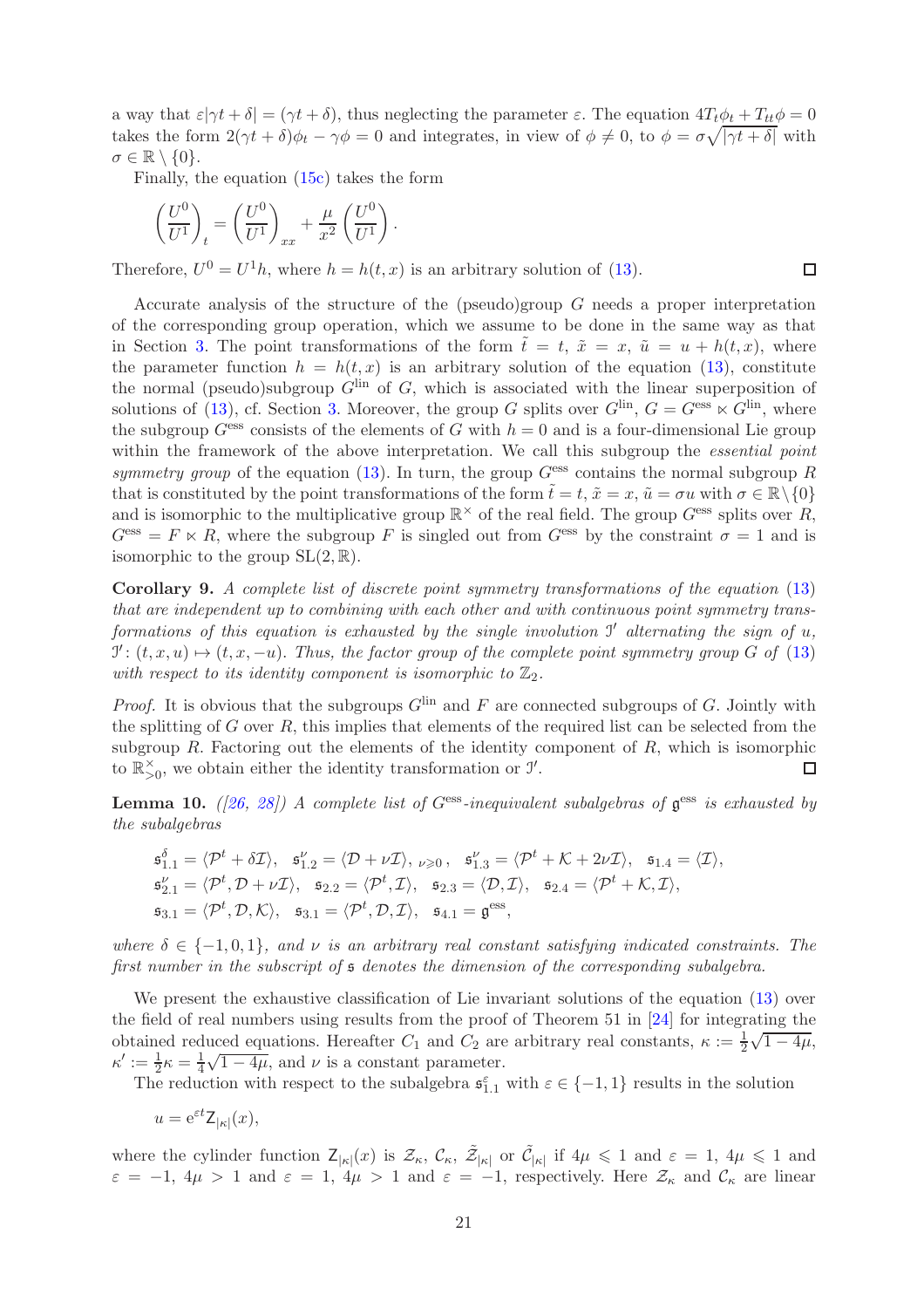a way that  $\varepsilon|\gamma t + \delta| = (\gamma t + \delta)$ , thus neglecting the parameter  $\varepsilon$ . The equation  $4T_t\phi_t + T_{tt}\phi = 0$ takes the form  $2(\gamma t + \delta)\phi_t - \gamma \phi = 0$  and integrates, in view of  $\phi \neq 0$ , to  $\phi = \sigma \sqrt{|\gamma t + \delta|}$  with  $\sigma \in \mathbb{R} \setminus \{0\}.$ 

 $\Box$ 

Finally, the equation [\(15c\)](#page-19-4) takes the form

$$
\left(\frac{U^0}{U^1}\right)_t = \left(\frac{U^0}{U^1}\right)_{xx} + \frac{\mu}{x^2} \left(\frac{U^0}{U^1}\right)
$$

Therefore,  $U^0 = U^1 h$ , where  $h = h(t, x)$  is an arbitrary solution of [\(13\)](#page-18-1).

.

Accurate analysis of the structure of the (pseudo)group G needs a proper interpretation of the corresponding group operation, which we assume to be done in the same way as that in Section [3.](#page-3-0) The point transformations of the form  $\tilde{t} = t$ ,  $\tilde{x} = x$ ,  $\tilde{u} = u + h(t, x)$ , where the parameter function  $h = h(t, x)$  is an arbitrary solution of the equation [\(13\)](#page-18-1), constitute the normal (pseudo)subgroup  $G<sup>lin</sup>$  of G, which is associated with the linear superposition of solutions of [\(13\)](#page-18-1), cf. Section [3.](#page-3-0) Moreover, the group G splits over  $G^{\text{lin}}$ ,  $G = G^{\text{ess}} \ltimes G^{\text{lin}}$ , where the subgroup  $G<sup>ess</sup>$  consists of the elements of G with  $h = 0$  and is a four-dimensional Lie group within the framework of the above interpretation. We call this subgroup the *essential point* symmetry group of the equation [\(13\)](#page-18-1). In turn, the group  $G<sup>ess</sup>$  contains the normal subgroup R that is constituted by the point transformations of the form  $\tilde{t} = t$ ,  $\tilde{x} = x$ ,  $\tilde{u} = \sigma u$  with  $\sigma \in \mathbb{R} \setminus \{0\}$ and is isomorphic to the multiplicative group  $\mathbb{R}^{\times}$  of the real field. The group  $G^{\text{ess}}$  splits over R,  $G<sup>ess</sup> = F \ltimes R$ , where the subgroup F is singled out from  $G<sup>ess</sup>$  by the constraint  $\sigma = 1$  and is isomorphic to the group  $SL(2, \mathbb{R})$ .

Corollary 9. A complete list of discrete point symmetry transformations of the equation [\(13\)](#page-18-1) that are independent up to combining with each other and with continuous point symmetry transformations of this equation is exhausted by the single involution  $J'$  alternating the sign of  $u$ ,  $\mathcal{I}' : (t, x, u) \mapsto (t, x, -u)$ . Thus, the factor group of the complete point symmetry group G of [\(13\)](#page-18-1) with respect to its identity component is isomorphic to  $\mathbb{Z}_2$ .

*Proof.* It is obvious that the subgroups  $G^{\text{lin}}$  and F are connected subgroups of G. Jointly with the splitting of  $G$  over  $R$ , this implies that elements of the required list can be selected from the subgroup  $R$ . Factoring out the elements of the identity component of  $R$ , which is isomorphic to  $\mathbb{R}_{>0}^{\times}$ , we obtain either the identity transformation or  $\mathcal{I}'$ .  $\Box$ 

**Lemma 10.** ([\[26,](#page-23-19) [28\]](#page-23-20)) A complete list of  $G^{\text{ess}}$ -inequivalent subalgebras of  $\mathfrak{g}^{\text{ess}}$  is exhausted by the subalgebras

$$
\begin{aligned}\n\mathfrak{s}_{1.1}^{\delta} &= \langle \mathcal{P}^t + \delta \mathcal{I} \rangle, \quad \mathfrak{s}_{1.2}^{\nu} = \langle \mathcal{D} + \nu \mathcal{I} \rangle, \quad \mathfrak{s}_{1.3}^{\nu} = \langle \mathcal{P}^t + \mathcal{K} + 2\nu \mathcal{I} \rangle, \quad \mathfrak{s}_{1.4} = \langle \mathcal{I} \rangle, \\
\mathfrak{s}_{2.1}^{\nu} &= \langle \mathcal{P}^t, \mathcal{D} + \nu \mathcal{I} \rangle, \quad \mathfrak{s}_{2.2} = \langle \mathcal{P}^t, \mathcal{I} \rangle, \quad \mathfrak{s}_{2.3} = \langle \mathcal{D}, \mathcal{I} \rangle, \quad \mathfrak{s}_{2.4} = \langle \mathcal{P}^t + \mathcal{K}, \mathcal{I} \rangle, \\
\mathfrak{s}_{3.1} &= \langle \mathcal{P}^t, \mathcal{D}, \mathcal{K} \rangle, \quad \mathfrak{s}_{3.1} = \langle \mathcal{P}^t, \mathcal{D}, \mathcal{I} \rangle, \quad \mathfrak{s}_{4.1} = \mathfrak{g}^{\text{ess}},\n\end{aligned}
$$

where  $\delta \in \{-1, 0, 1\}$ , and  $\nu$  is an arbitrary real constant satisfying indicated constraints. The first number in the subscript of s denotes the dimension of the corresponding subalgebra.

We present the exhaustive classification of Lie invariant solutions of the equation [\(13\)](#page-18-1) over the field of real numbers using results from the proof of Theorem 51 in [\[24\]](#page-23-6) for integrating the obtained reduced equations. Hereafter  $C_1$  and  $C_2$  are arbitrary real constants,  $\kappa := \frac{1}{2}\sqrt{1-4\mu}$ ,  $\kappa' := \frac{1}{2}\kappa = \frac{1}{4}\sqrt{1-4\mu}$ , and  $\nu$  is a constant parameter.

The reduction with respect to the subalgebra  $\mathfrak{s}_{1,1}^{\varepsilon}$  with  $\varepsilon \in \{-1,1\}$  results in the solution

$$
u = e^{\varepsilon t} \mathsf{Z}_{|\kappa|}(x),
$$

where the cylinder function  $Z_{|\kappa|}(x)$  is  $\mathcal{Z}_{\kappa}$ ,  $\mathcal{C}_{\kappa}$ ,  $\mathcal{Z}_{|\kappa|}$  or  $\tilde{\mathcal{C}}_{|\kappa|}$  if  $4\mu \leq 1$  and  $\varepsilon = 1, 4\mu \leq 1$  and  $\varepsilon = -1$ ,  $4\mu > 1$  and  $\varepsilon = 1$ ,  $4\mu > 1$  and  $\varepsilon = -1$ , respectively. Here  $\mathcal{Z}_{\kappa}$  and  $\mathcal{C}_{\kappa}$  are linear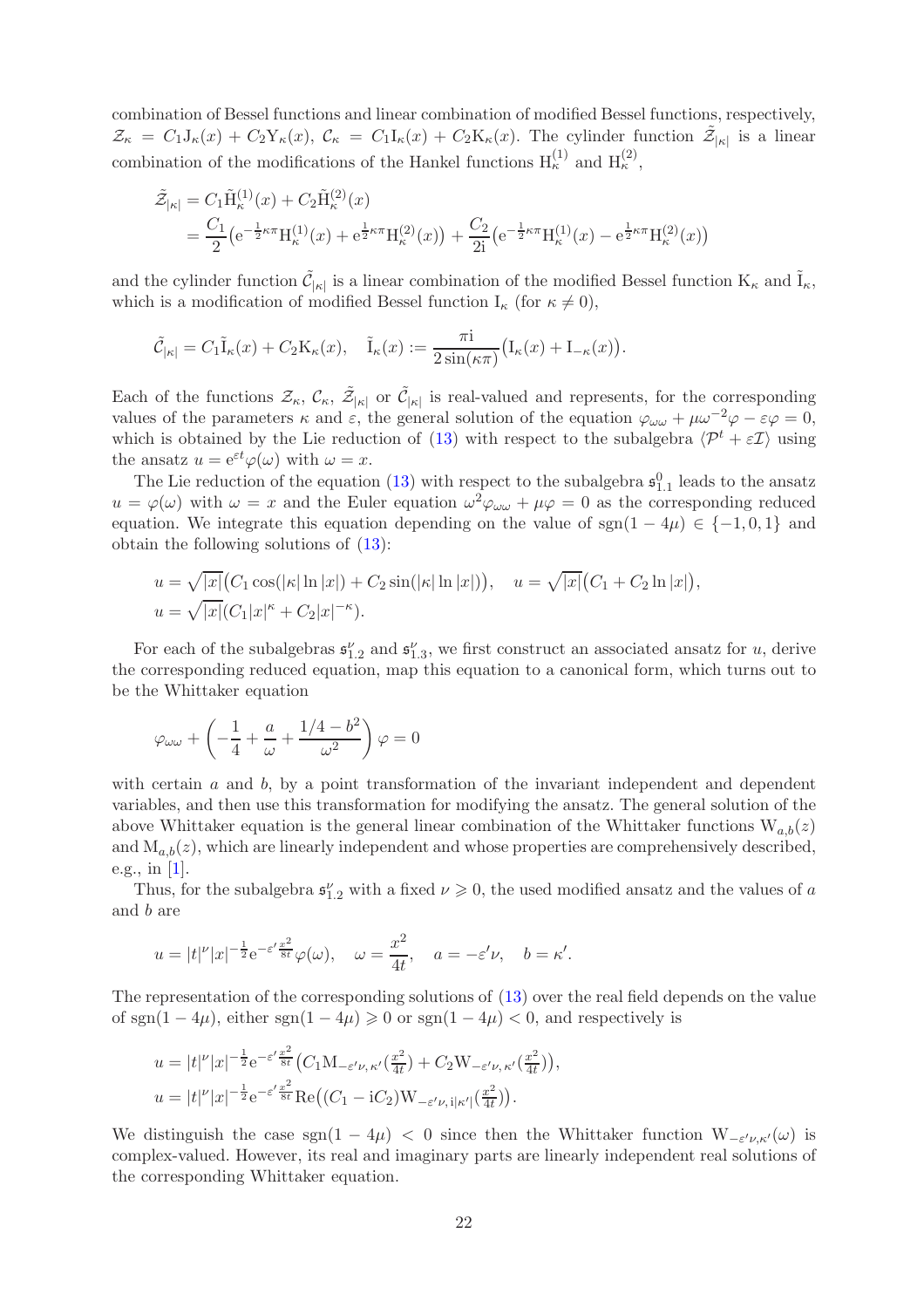combination of Bessel functions and linear combination of modified Bessel functions, respectively,  $\mathcal{Z}_{\kappa} = C_1 J_{\kappa}(x) + C_2 Y_{\kappa}(x), \ \mathcal{C}_{\kappa} = C_1 I_{\kappa}(x) + C_2 K_{\kappa}(x).$  The cylinder function  $\tilde{\mathcal{Z}}_{|\kappa|}$  is a linear combination of the modifications of the Hankel functions  $H_{\kappa}^{(1)}$  and  $H_{\kappa}^{(2)}$ ,

$$
\tilde{\mathcal{Z}}_{|\kappa|} = C_1 \tilde{H}_{\kappa}^{(1)}(x) + C_2 \tilde{H}_{\kappa}^{(2)}(x) \n= \frac{C_1}{2} \left( e^{-\frac{1}{2}\kappa \pi} H_{\kappa}^{(1)}(x) + e^{\frac{1}{2}\kappa \pi} H_{\kappa}^{(2)}(x) \right) + \frac{C_2}{2i} \left( e^{-\frac{1}{2}\kappa \pi} H_{\kappa}^{(1)}(x) - e^{\frac{1}{2}\kappa \pi} H_{\kappa}^{(2)}(x) \right)
$$

and the cylinder function  $\tilde{\mathcal{C}}_{|\kappa|}$  is a linear combination of the modified Bessel function  $K_{\kappa}$  and  $\tilde{I}_{\kappa}$ , which is a modification of modified Bessel function  $I_{\kappa}$  (for  $\kappa \neq 0$ ),

$$
\tilde{\mathcal{C}}_{|\kappa|} = C_1 \tilde{\mathbf{I}}_{\kappa}(x) + C_2 \mathbf{K}_{\kappa}(x), \quad \tilde{\mathbf{I}}_{\kappa}(x) := \frac{\pi i}{2 \sin(\kappa \pi)} \big(\mathbf{I}_{\kappa}(x) + \mathbf{I}_{-\kappa}(x)\big).
$$

Each of the functions  $\mathcal{Z}_{\kappa}$ ,  $\mathcal{Z}_{|\kappa|}$  or  $\tilde{\mathcal{C}}_{|\kappa|}$  is real-valued and represents, for the corresponding values of the parameters  $\kappa$  and  $\varepsilon$ , the general solution of the equation  $\varphi_{\omega\omega} + \mu \omega^{-2} \varphi - \varepsilon \varphi = 0$ , which is obtained by the Lie reduction of [\(13\)](#page-18-1) with respect to the subalgebra  $\langle \mathcal{P}^t + \varepsilon \mathcal{I} \rangle$  using the ansatz  $u = e^{\varepsilon t} \varphi(\omega)$  with  $\omega = x$ .

The Lie reduction of the equation [\(13\)](#page-18-1) with respect to the subalgebra  $\mathfrak{s}_{1,1}^0$  leads to the ansatz  $u = \varphi(\omega)$  with  $\omega = x$  and the Euler equation  $\omega^2 \varphi_{\omega \omega} + \mu \varphi = 0$  as the corresponding reduced equation. We integrate this equation depending on the value of sgn(1 – 4 $\mu$ ) ∈ {-1,0,1} and obtain the following solutions of [\(13\)](#page-18-1):

$$
u = \sqrt{|x|} (C_1 \cos(|\kappa| \ln |x|) + C_2 \sin(|\kappa| \ln |x|)), \quad u = \sqrt{|x|} (C_1 + C_2 \ln |x|),
$$
  

$$
u = \sqrt{|x|} (C_1 |x|^{\kappa} + C_2 |x|^{-\kappa}).
$$

For each of the subalgebras  $\mathfrak{s}_{1,2}^{\nu}$  and  $\mathfrak{s}_{1,3}^{\nu}$ , we first construct an associated ansatz for u, derive the corresponding reduced equation, map this equation to a canonical form, which turns out to be the Whittaker equation

$$
\varphi_{\omega\omega} + \left(-\frac{1}{4} + \frac{a}{\omega} + \frac{1/4 - b^2}{\omega^2}\right)\varphi = 0
$$

with certain  $a$  and  $b$ , by a point transformation of the invariant independent and dependent variables, and then use this transformation for modifying the ansatz. The general solution of the above Whittaker equation is the general linear combination of the Whittaker functions  $W_{a,b}(z)$ and  $M_{a,b}(z)$ , which are linearly independent and whose properties are comprehensively described, e.g., in [\[1\]](#page-22-11).

Thus, for the subalgebra  $\mathfrak{s}_{1,2}^{\nu}$  with a fixed  $\nu \geq 0$ , the used modified ansatz and the values of a and b are

$$
u = |t|^{\nu} |x|^{-\frac{1}{2}} e^{-\varepsilon' \frac{x^2}{8t}} \varphi(\omega), \quad \omega = \frac{x^2}{4t}, \quad a = -\varepsilon' \nu, \quad b = \kappa'.
$$

The representation of the corresponding solutions of [\(13\)](#page-18-1) over the real field depends on the value of sgn(1 – 4 $\mu$ ), either sgn(1 – 4 $\mu$ )  $\geqslant$  0 or sgn(1 – 4 $\mu$ ) < 0, and respectively is

$$
u = |t|^{\nu} |x|^{-\frac{1}{2}} e^{-\varepsilon' \frac{x^2}{8t}} \left( C_1 \mathcal{M}_{-\varepsilon' \nu, \kappa'}(\frac{x^2}{4t}) + C_2 \mathcal{W}_{-\varepsilon' \nu, \kappa'}(\frac{x^2}{4t}) \right),
$$
  

$$
u = |t|^{\nu} |x|^{-\frac{1}{2}} e^{-\varepsilon' \frac{x^2}{8t}} \text{Re} \left( (C_1 - iC_2) \mathcal{W}_{-\varepsilon' \nu, i|\kappa'|}(\frac{x^2}{4t}) \right).
$$

We distinguish the case  $sgn(1-4\mu) < 0$  since then the Whittaker function  $W_{-\varepsilon'\nu,\kappa'}(\omega)$  is complex-valued. However, its real and imaginary parts are linearly independent real solutions of the corresponding Whittaker equation.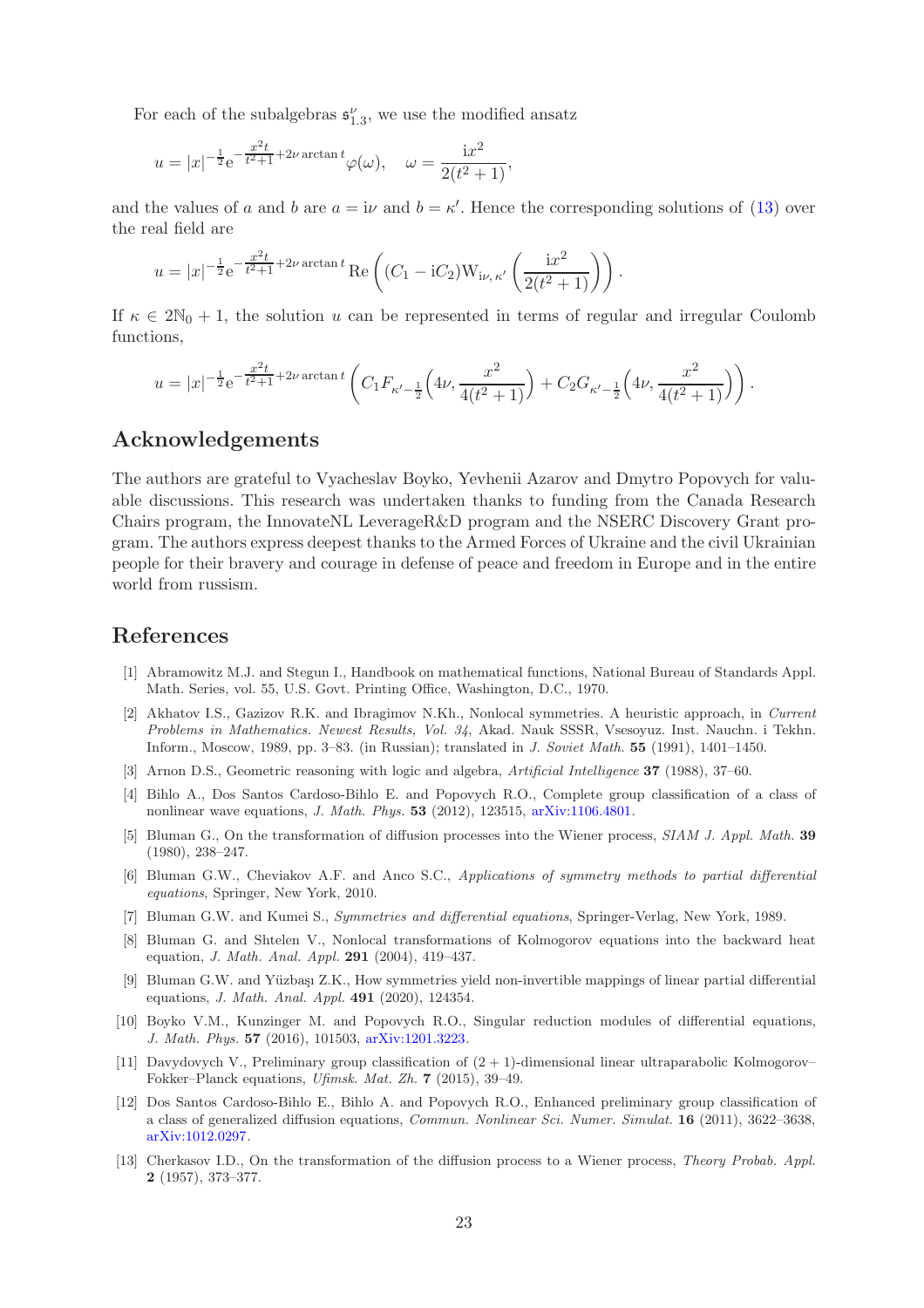For each of the subalgebras  $\mathfrak{s}^{\nu}_{1,3}$ , we use the modified ansatz

$$
u = |x|^{-\frac{1}{2}} e^{-\frac{x^2 t}{t^2 + 1} + 2\nu \arctan t} \varphi(\omega), \quad \omega = \frac{ix^2}{2(t^2 + 1)},
$$

and the values of a and b are  $a = i\nu$  and  $b = \kappa'$ . Hence the corresponding solutions of [\(13\)](#page-18-1) over the real field are

$$
u = |x|^{-\frac{1}{2}} e^{-\frac{x^2 t}{t^2 + 1} + 2\nu \arctan t} \operatorname{Re}\left((C_1 - iC_2) W_{i\nu, \kappa'}\left(\frac{i x^2}{2(t^2 + 1)}\right)\right).
$$

If  $\kappa \in 2\mathbb{N}_0 + 1$ , the solution u can be represented in terms of regular and irregular Coulomb functions,

$$
u=|x|^{-\frac{1}{2}}{\rm e}^{-\frac{x^2t}{t^2+1}+2\nu\arctan t}\left(C_1F_{\kappa'-\frac{1}{2}}\Big(4\nu,\frac{x^2}{4(t^2+1)}\Big)+C_2G_{\kappa'-\frac{1}{2}}\Big(4\nu,\frac{x^2}{4(t^2+1)}\Big)\right).
$$

# Acknowledgements

The authors are grateful to Vyacheslav Boyko, Yevhenii Azarov and Dmytro Popovych for valuable discussions. This research was undertaken thanks to funding from the Canada Research Chairs program, the InnovateNL LeverageR&D program and the NSERC Discovery Grant program. The authors express deepest thanks to the Armed Forces of Ukraine and the civil Ukrainian people for their bravery and courage in defense of peace and freedom in Europe and in the entire world from russism.

# <span id="page-22-11"></span>References

- [1] Abramowitz M.J. and Stegun I., Handbook on mathematical functions, National Bureau of Standards Appl. Math. Series, vol. 55, U.S. Govt. Printing Office, Washington, D.C., 1970.
- [2] Akhatov I.S., Gazizov R.K. and Ibragimov N.Kh., Nonlocal symmetries. A heuristic approach, in Current Problems in Mathematics. Newest Results, Vol. 34, Akad. Nauk SSSR, Vsesoyuz. Inst. Nauchn. i Tekhn. Inform., Moscow, 1989, pp. 3–83. (in Russian); translated in J. Soviet Math. 55 (1991), 1401–1450.
- <span id="page-22-9"></span><span id="page-22-7"></span>[3] Arnon D.S., Geometric reasoning with logic and algebra, Artificial Intelligence 37 (1988), 37–60.
- <span id="page-22-0"></span>[4] Bihlo A., Dos Santos Cardoso-Bihlo E. and Popovych R.O., Complete group classification of a class of nonlinear wave equations, J. Math. Phys. 53 (2012), 123515, [arXiv:1106.4801.](http://arxiv.org/abs/1106.4801)
- <span id="page-22-5"></span>[5] Bluman G., On the transformation of diffusion processes into the Wiener process, SIAM J. Appl. Math. 39 (1980), 238–247.
- <span id="page-22-6"></span>[6] Bluman G.W., Cheviakov A.F. and Anco S.C., Applications of symmetry methods to partial differential equations, Springer, New York, 2010.
- <span id="page-22-2"></span>[7] Bluman G.W. and Kumei S., Symmetries and differential equations, Springer-Verlag, New York, 1989.
- <span id="page-22-3"></span>[8] Bluman G. and Shtelen V., Nonlocal transformations of Kolmogorov equations into the backward heat equation, J. Math. Anal. Appl. 291 (2004), 419–437.
- [9] Bluman G.W. and Yüzbaşı Z.K., How symmetries yield non-invertible mappings of linear partial differential equations, J. Math. Anal. Appl. 491 (2020), 124354.
- <span id="page-22-10"></span><span id="page-22-4"></span>[10] Boyko V.M., Kunzinger M. and Popovych R.O., Singular reduction modules of differential equations, J. Math. Phys. 57 (2016), 101503, [arXiv:1201.3223.](http://arxiv.org/abs/1201.3223)
- <span id="page-22-8"></span>[11] Davydovych V., Preliminary group classification of (2 + 1)-dimensional linear ultraparabolic Kolmogorov– Fokker–Planck equations, Ufimsk. Mat. Zh. 7 (2015), 39–49.
- [12] Dos Santos Cardoso-Bihlo E., Bihlo A. and Popovych R.O., Enhanced preliminary group classification of a class of generalized diffusion equations, Commun. Nonlinear Sci. Numer. Simulat. 16 (2011), 3622–3638, [arXiv:1012.0297.](http://arxiv.org/abs/1012.0297)
- <span id="page-22-1"></span>[13] Cherkasov I.D., On the transformation of the diffusion process to a Wiener process, Theory Probab. Appl. 2 (1957), 373–377.